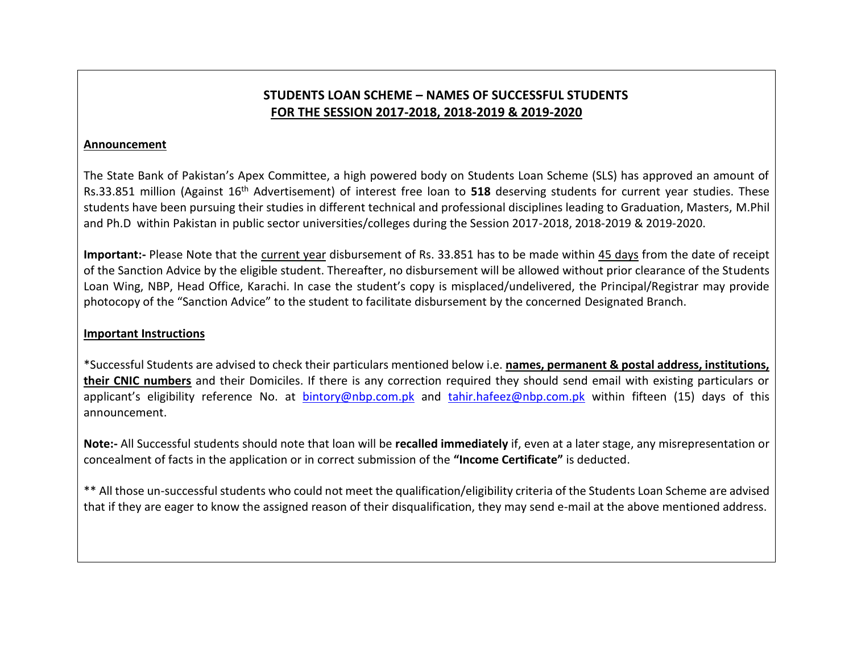## **STUDENTS LOAN SCHEME – NAMES OF SUCCESSFUL STUDENTS FOR THE SESSION 2017-2018, 2018-2019 & 2019-2020**

## **Announcement**

The State Bank of Pakistan's Apex Committee, a high powered body on Students Loan Scheme (SLS) has approved an amount of Rs.33.851 million (Against 16<sup>th</sup> Advertisement) of interest free loan to 518 deserving students for current year studies. These students have been pursuing their studies in different technical and professional disciplines leading to Graduation, Masters, M.Phil and Ph.D within Pakistan in public sector universities/colleges during the Session 2017-2018, 2018-2019 & 2019-2020.

**Important:-** Please Note that the current year disbursement of Rs. 33.851 has to be made within 45 days from the date of receipt of the Sanction Advice by the eligible student. Thereafter, no disbursement will be allowed without prior clearance of the Students Loan Wing, NBP, Head Office, Karachi. In case the student's copy is misplaced/undelivered, the Principal/Registrar may provide photocopy of the "Sanction Advice" to the student to facilitate disbursement by the concerned Designated Branch.

## **Important Instructions**

\*Successful Students are advised to check their particulars mentioned below i.e. **names, permanent & postal address, institutions, their CNIC numbers** and their Domiciles. If there is any correction required they should send email with existing particulars or applicant's eligibility reference No. at [bintory@nbp.com.pk](mailto:bintory@nbp.com.pk) and [tahir.hafeez@nbp.com.pk](mailto:tahir.hafeez@nbp.com.pk) within fifteen (15) days of this announcement.

**Note:-** All Successful students should note that loan will be **recalled immediately** if, even at a later stage, any misrepresentation or concealment of facts in the application or in correct submission of the **"Income Certificate"** is deducted.

\*\* All those un-successful students who could not meet the qualification/eligibility criteria of the Students Loan Scheme are advised that if they are eager to know the assigned reason of their disqualification, they may send e-mail at the above mentioned address.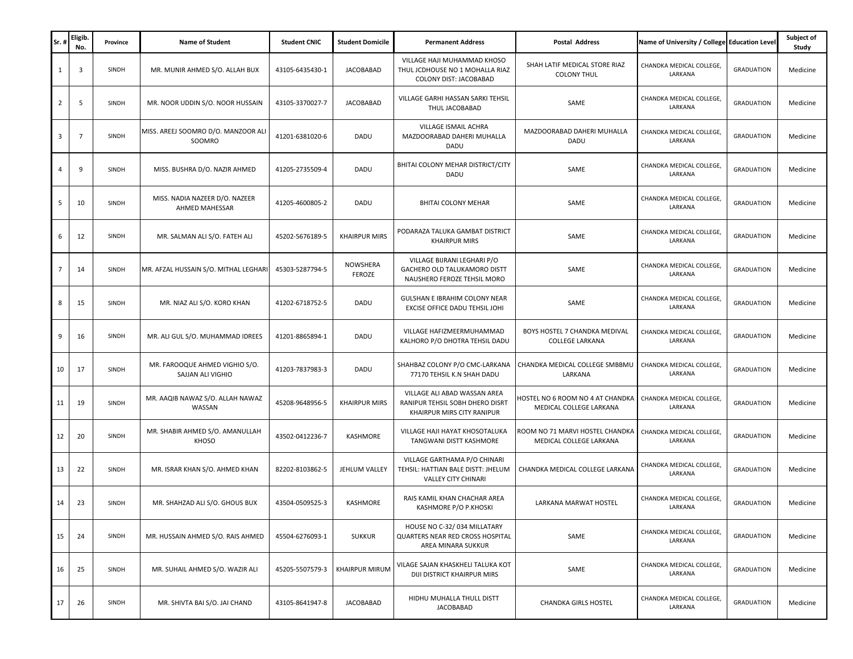| Sr. | Eligib.<br>No.          | Province     | <b>Name of Student</b>                              | <b>Student CNIC</b> | <b>Student Domicile</b>   | <b>Permanent Address</b>                                                                         | Postal Address                                              | Name of University / College Education Level |                   | Subject of<br>Study |
|-----|-------------------------|--------------|-----------------------------------------------------|---------------------|---------------------------|--------------------------------------------------------------------------------------------------|-------------------------------------------------------------|----------------------------------------------|-------------------|---------------------|
| 1   | $\overline{\mathbf{3}}$ | SINDH        | MR. MUNIR AHMED S/O. ALLAH BUX                      | 43105-6435430-1     | <b>JACOBABAD</b>          | VILLAGE HAJI MUHAMMAD KHOSO<br>THUL JCDHOUSE NO 1 MOHALLA RIAZ<br>COLONY DIST: JACOBABAD         | SHAH LATIF MEDICAL STORE RIAZ<br><b>COLONY THUL</b>         | CHANDKA MEDICAL COLLEGE,<br>LARKANA          | <b>GRADUATION</b> | Medicine            |
| 2   | 5                       | <b>SINDH</b> | MR. NOOR UDDIN S/O. NOOR HUSSAIN                    | 43105-3370027-7     | <b>JACOBABAD</b>          | VILLAGE GARHI HASSAN SARKI TEHSIL<br>THUL JACOBABAD                                              | SAME                                                        | CHANDKA MEDICAL COLLEGE,<br>LARKANA          | <b>GRADUATION</b> | Medicine            |
| 3   | $\overline{7}$          | SINDH        | MISS. AREEJ SOOMRO D/O. MANZOOR ALI<br>SOOMRO       | 41201-6381020-6     | DADU                      | VILLAGE ISMAIL ACHRA<br>MAZDOORABAD DAHERI MUHALLA<br>DADU                                       | MAZDOORABAD DAHERI MUHALLA<br>DADU                          | CHANDKA MEDICAL COLLEGE,<br>LARKANA          | <b>GRADUATION</b> | Medicine            |
| 4   | 9                       | SINDH        | MISS. BUSHRA D/O. NAZIR AHMED                       | 41205-2735509-4     | DADU                      | BHITAI COLONY MEHAR DISTRICT/CITY<br>DADU                                                        | SAME                                                        | CHANDKA MEDICAL COLLEGE,<br>LARKANA          | <b>GRADUATION</b> | Medicine            |
| 5   | 10                      | <b>SINDH</b> | MISS. NADIA NAZEER D/O. NAZEER<br>AHMED MAHESSAR    | 41205-4600805-2     | DADU                      | BHITAI COLONY MEHAR                                                                              | SAME                                                        | CHANDKA MEDICAL COLLEGE,<br>LARKANA          | <b>GRADUATION</b> | Medicine            |
| 6   | 12                      | SINDH        | MR. SALMAN ALI S/O. FATEH ALI                       | 45202-5676189-5     | <b>KHAIRPUR MIRS</b>      | PODARAZA TALUKA GAMBAT DISTRICT<br><b>KHAIRPUR MIRS</b>                                          | SAME                                                        | CHANDKA MEDICAL COLLEGE,<br>LARKANA          | <b>GRADUATION</b> | Medicine            |
|     | 14                      | SINDH        | MR. AFZAL HUSSAIN S/O. MITHAL LEGHARI               | 45303-5287794-5     | NOWSHERA<br><b>FEROZE</b> | VILLAGE BIJRANI LEGHARI P/O<br>GACHERO OLD TALUKAMORO DISTT<br>NAUSHERO FEROZE TEHSIL MORO       | SAME                                                        | CHANDKA MEDICAL COLLEGE,<br>LARKANA          | <b>GRADUATION</b> | Medicine            |
| 8   | 15                      | SINDH        | MR. NIAZ ALI S/O. KORO KHAN                         | 41202-6718752-5     | DADU                      | GULSHAN E IBRAHIM COLONY NEAR<br>EXCISE OFFICE DADU TEHSIL JOHI                                  | SAME                                                        | CHANDKA MEDICAL COLLEGE,<br>LARKANA          | <b>GRADUATION</b> | Medicine            |
| 9   | 16                      | SINDH        | MR. ALI GUL S/O. MUHAMMAD IDREES                    | 41201-8865894-1     | DADU                      | VILLAGE HAFIZMEERMUHAMMAD<br>KALHORO P/O DHOTRA TEHSIL DADU                                      | BOYS HOSTEL 7 CHANDKA MEDIVAL<br><b>COLLEGE LARKANA</b>     | CHANDKA MEDICAL COLLEGE,<br>LARKANA          | <b>GRADUATION</b> | Medicine            |
| 10  | 17                      | SINDH        | MR. FAROOQUE AHMED VIGHIO S/O.<br>SAJJAN ALI VIGHIO | 41203-7837983-3     | DADU                      | SHAHBAZ COLONY P/O CMC-LARKANA<br>77170 TEHSIL K.N SHAH DADU                                     | CHANDKA MEDICAL COLLEGE SMBBMU<br>LARKANA                   | CHANDKA MEDICAL COLLEGE,<br>LARKANA          | <b>GRADUATION</b> | Medicine            |
| 11  | 19                      | SINDH        | MR. AAQIB NAWAZ S/O. ALLAH NAWAZ<br>WASSAN          | 45208-9648956-5     | <b>KHAIRPUR MIRS</b>      | VILLAGE ALI ABAD WASSAN AREA<br>RANIPUR TEHSIL SOBH DHERO DISRT<br>KHAIRPUR MIRS CITY RANIPUR    | HOSTEL NO 6 ROOM NO 4 AT CHANDKA<br>MEDICAL COLLEGE LARKANA | CHANDKA MEDICAL COLLEGE,<br>LARKANA          | <b>GRADUATION</b> | Medicine            |
| 12  | 20                      | SINDH        | MR. SHABIR AHMED S/O. AMANULLAH<br><b>KHOSO</b>     | 43502-0412236-7     | KASHMORE                  | VILLAGE HAJI HAYAT KHOSOTALUKA<br>TANGWANI DISTT KASHMORE                                        | ROOM NO 71 MARVI HOSTEL CHANDKA<br>MEDICAL COLLEGE LARKANA  | CHANDKA MEDICAL COLLEGE,<br>LARKANA          | <b>GRADUATION</b> | Medicine            |
| 13  | 22                      | SINDH        | MR. ISRAR KHAN S/O. AHMED KHAN                      | 82202-8103862-5     | JEHLUM VALLEY             | VILLAGE GARTHAMA P/O CHINARI<br>TEHSIL: HATTIAN BALE DISTT: JHELUM<br><b>VALLEY CITY CHINARI</b> | CHANDKA MEDICAL COLLEGE LARKANA                             | CHANDKA MEDICAL COLLEGE,<br>LARKANA          | <b>GRADUATION</b> | Medicine            |
| 14  | 23                      | SINDH        | MR. SHAHZAD ALI S/O. GHOUS BUX                      | 43504-0509525-3     | KASHMORE                  | RAIS KAMIL KHAN CHACHAR AREA<br>KASHMORE P/O P.KHOSKI                                            | <b>LARKANA MARWAT HOSTEL</b>                                | CHANDKA MEDICAL COLLEGE,<br>LARKANA          | <b>GRADUATION</b> | Medicine            |
| 15  | 24                      | SINDH        | MR. HUSSAIN AHMED S/O. RAIS AHMED                   | 45504-6276093-1     | <b>SUKKUR</b>             | HOUSE NO C-32/034 MILLATARY<br>QUARTERS NEAR RED CROSS HOSPITAL<br>AREA MINARA SUKKUR            | SAME                                                        | CHANDKA MEDICAL COLLEGE,<br>LARKANA          | <b>GRADUATION</b> | Medicine            |
| 16  | 25                      | SINDH        | MR. SUHAIL AHMED S/O. WAZIR ALI                     | 45205-5507579-3     | KHAIRPUR MIRUM            | VILAGE SAJAN KHASKHELI TALUKA KOT<br>DIJI DISTRICT KHAIRPUR MIRS                                 | SAME                                                        | CHANDKA MEDICAL COLLEGE,<br>LARKANA          | <b>GRADUATION</b> | Medicine            |
| 17  | 26                      | SINDH        | MR. SHIVTA BAI S/O. JAI CHAND                       | 43105-8641947-8     | <b>JACOBABAD</b>          | HIDHU MUHALLA THULL DISTT<br><b>JACOBABAD</b>                                                    | <b>CHANDKA GIRLS HOSTEL</b>                                 | CHANDKA MEDICAL COLLEGE,<br>LARKANA          | <b>GRADUATION</b> | Medicine            |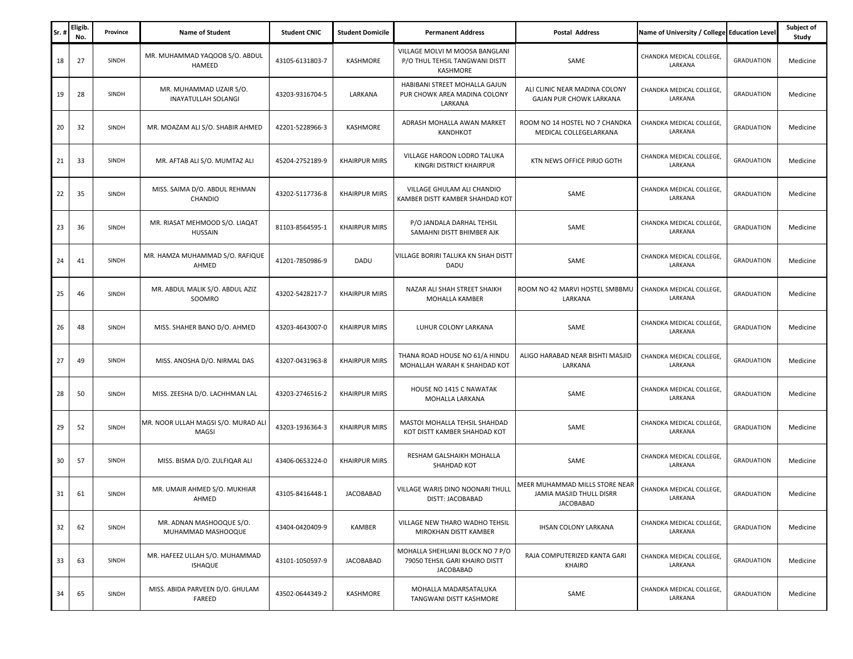| Sr. | Eligib.<br>No. | Province | <b>Name of Student</b>                              | <b>Student CNIC</b> | <b>Student Domicile</b> | <b>Permanent Address</b>                                                        | <b>Postal Address</b>                                                                 | Name of University / College Education Level |                   | Subject of<br>Study |
|-----|----------------|----------|-----------------------------------------------------|---------------------|-------------------------|---------------------------------------------------------------------------------|---------------------------------------------------------------------------------------|----------------------------------------------|-------------------|---------------------|
| 18  | 27             | SINDH    | MR. MUHAMMAD YAQOOB S/O. ABDUL<br>HAMEED            | 43105-6131803-7     | KASHMORE                | VILLAGE MOLVI M MOOSA BANGLANI<br>P/O THUL TEHSIL TANGWANI DISTT<br>KASHMORE    | SAME                                                                                  | CHANDKA MEDICAL COLLEGE,<br>LARKANA          | <b>GRADUATION</b> | Medicine            |
| 19  | 28             | SINDH    | MR. MUHAMMAD UZAIR S/O.<br>INAYATULLAH SOLANGI      | 43203-9316704-5     | LARKANA                 | HABIBANI STREET MOHALLA GAJUN<br>PUR CHOWK AREA MADINA COLONY<br>LARKANA        | ALI CLINIC NEAR MADINA COLONY<br>GAJAN PUR CHOWK LARKANA                              | CHANDKA MEDICAL COLLEGE,<br>LARKANA          | <b>GRADUATION</b> | Medicine            |
| 20  | 32             | SINDH    | MR. MOAZAM ALI S/O. SHABIR AHMED                    | 42201-5228966-3     | KASHMORE                | ADRASH MOHALLA AWAN MARKET<br>KANDHKOT                                          | ROOM NO 14 HOSTEL NO 7 CHANDKA<br>MEDICAL COLLEGELARKANA                              | CHANDKA MEDICAL COLLEGE,<br>LARKANA          | <b>GRADUATION</b> | Medicine            |
| 21  | 33             | SINDH    | MR. AFTAB ALI S/O. MUMTAZ ALI                       | 45204-2752189-9     | <b>KHAIRPUR MIRS</b>    | VILLAGE HAROON LODRO TALUKA<br>KINGRI DISTRICT KHAIRPUR                         | KTN NEWS OFFICE PIRJO GOTH                                                            | CHANDKA MEDICAL COLLEGE,<br>LARKANA          | <b>GRADUATION</b> | Medicine            |
| 22  | 35             | SINDH    | MISS. SAIMA D/O. ABDUL REHMAN<br>CHANDIO            | 43202-5117736-8     | <b>KHAIRPUR MIRS</b>    | VILLAGE GHULAM ALI CHANDIO<br>KAMBER DISTT KAMBER SHAHDAD KOT                   | SAME                                                                                  | CHANDKA MEDICAL COLLEGE,<br>LARKANA          | <b>GRADUATION</b> | Medicine            |
| 23  | 36             | SINDH    | MR. RIASAT MEHMOOD S/O. LIAQAT<br><b>HUSSAIN</b>    | 81103-8564595-1     | <b>KHAIRPUR MIRS</b>    | P/O JANDALA DARHAL TEHSIL<br>SAMAHNI DISTT BHIMBER AJK                          | SAME                                                                                  | CHANDKA MEDICAL COLLEGE,<br>LARKANA          | <b>GRADUATION</b> | Medicine            |
| 24  | 41             | SINDH    | MR. HAMZA MUHAMMAD S/O. RAFIQUE<br>AHMED            | 41201-7850986-9     | DADU                    | VILLAGE BORIRI TALUKA KN SHAH DISTT<br>DADU                                     | SAME                                                                                  | CHANDKA MEDICAL COLLEGE,<br>LARKANA          | <b>GRADUATION</b> | Medicine            |
| 25  | 46             | SINDH    | MR. ABDUL MALIK S/O. ABDUL AZIZ<br>SOOMRO           | 43202-5428217-7     | <b>KHAIRPUR MIRS</b>    | NAZAR ALI SHAH STREET SHAIKH<br>MOHALLA KAMBER                                  | ROOM NO 42 MARVI HOSTEL SMBBMU<br>LARKANA                                             | CHANDKA MEDICAL COLLEGE,<br>LARKANA          | <b>GRADUATION</b> | Medicine            |
| 26  | 48             | SINDH    | MISS. SHAHER BANO D/O. AHMED                        | 43203-4643007-0     | <b>KHAIRPUR MIRS</b>    | LUHUR COLONY LARKANA                                                            | SAME                                                                                  | CHANDKA MEDICAL COLLEGE,<br>LARKANA          | <b>GRADUATION</b> | Medicine            |
| 27  | 49             | SINDH    | MISS. ANOSHA D/O. NIRMAL DAS                        | 43207-0431963-8     | <b>KHAIRPUR MIRS</b>    | THANA ROAD HOUSE NO 61/A HINDU<br>MOHALLAH WARAH K SHAHDAD KOT                  | ALIGO HARABAD NEAR BISHTI MASJID<br>LARKANA                                           | CHANDKA MEDICAL COLLEGE,<br>LARKANA          | <b>GRADUATION</b> | Medicine            |
| 28  | 50             | SINDH    | MISS. ZEESHA D/O. LACHHMAN LAL                      | 43203-2746516-2     | <b>KHAIRPUR MIRS</b>    | HOUSE NO 1415 C NAWATAK<br>MOHALLA LARKANA                                      | SAME                                                                                  | CHANDKA MEDICAL COLLEGE,<br>LARKANA          | <b>GRADUATION</b> | Medicine            |
| 29  | 52             | SINDH    | MR. NOOR ULLAH MAGSI S/O. MURAD ALI<br><b>MAGSI</b> | 43203-1936364-3     | <b>KHAIRPUR MIRS</b>    | MASTOI MOHALLA TEHSIL SHAHDAD<br>KOT DISTT KAMBER SHAHDAD KOT                   | SAME                                                                                  | CHANDKA MEDICAL COLLEGE,<br>LARKANA          | <b>GRADUATION</b> | Medicine            |
| 30  | 57             | SINDH    | MISS. BISMA D/O. ZULFIQAR ALI                       | 43406-0653224-0     | <b>KHAIRPUR MIRS</b>    | RESHAM GALSHAIKH MOHALLA<br>SHAHDAD KOT                                         | SAME                                                                                  | CHANDKA MEDICAL COLLEGE,<br>LARKANA          | <b>GRADUATION</b> | Medicine            |
| 31  | 61             | SINDH    | MR. UMAIR AHMED S/O. MUKHIAR<br>AHMED               | 43105-8416448-1     | <b>JACOBABAD</b>        | VILLAGE WARIS DINO NOONARI THULI<br>DISTT: JACOBABAD                            | <b>MEER MUHAMMAD MILLS STORE NEAR</b><br>JAMIA MASJID THULL DISRR<br><b>JACOBABAD</b> | CHANDKA MEDICAL COLLEGE,<br>LARKANA          | <b>GRADUATION</b> | Medicine            |
| 32  | 62             | SINDH    | MR. ADNAN MASHOOQUE S/O.<br>MUHAMMAD MASHOOQUE      | 43404-0420409-9     | KAMBER                  | VILLAGE NEW THARO WADHO TEHSIL<br>MIROKHAN DISTT KAMBER                         | <b>IHSAN COLONY LARKANA</b>                                                           | CHANDKA MEDICAL COLLEGE.<br>LARKANA          | <b>GRADUATION</b> | Medicine            |
| 33  | 63             | SINDH    | MR. HAFEEZ ULLAH S/O. MUHAMMAD<br><b>ISHAQUE</b>    | 43101-1050597-9     | <b>JACOBABAD</b>        | MOHALLA SHEHLIANI BLOCK NO 7 P/O<br>79050 TEHSIL GARI KHAIRO DISTT<br>JACOBABAD | RAJA COMPUTERIZED KANTA GARI<br><b>KHAIRO</b>                                         | CHANDKA MEDICAL COLLEGE.<br>LARKANA          | <b>GRADUATION</b> | Medicine            |
| 34  | 65             | SINDH    | MISS. ABIDA PARVEEN D/O. GHULAM<br>FAREED           | 43502-0644349-2     | KASHMORE                | MOHALLA MADARSATALUKA<br>TANGWANI DISTT KASHMORE                                | SAME                                                                                  | CHANDKA MEDICAL COLLEGE,<br>LARKANA          | <b>GRADUATION</b> | Medicine            |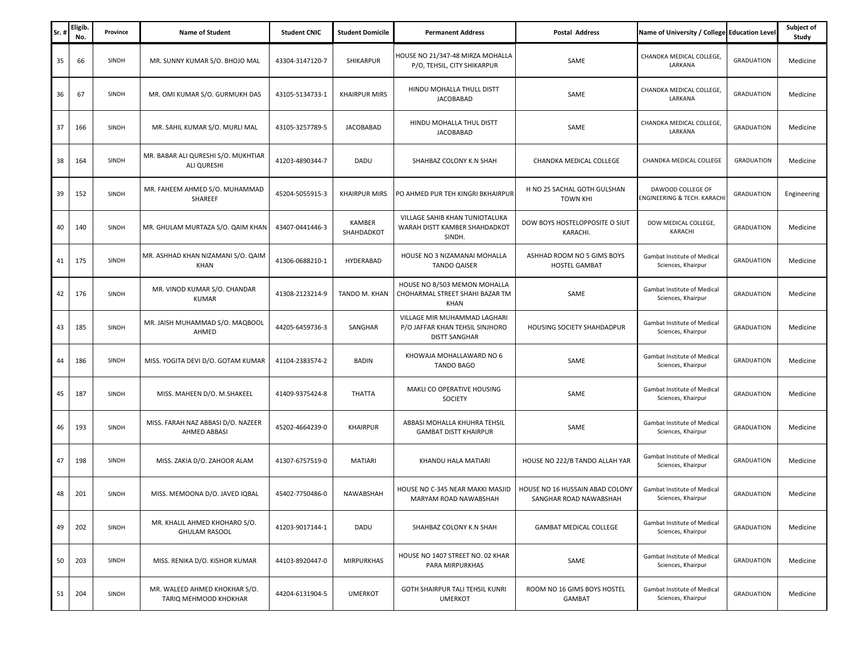| Sr. | Eligib.<br>No. | Province | <b>Name of Student</b>                                 | <b>Student CNIC</b> | <b>Student Domicile</b> | <b>Permanent Address</b>                                                                | <b>Postal Address</b>                                     | Name of University / College Education Level      |                   | Subject of<br>Study |
|-----|----------------|----------|--------------------------------------------------------|---------------------|-------------------------|-----------------------------------------------------------------------------------------|-----------------------------------------------------------|---------------------------------------------------|-------------------|---------------------|
| 35  | 66             | SINDH    | MR. SUNNY KUMAR S/O. BHOJO MAL                         | 43304-3147120-7     | <b>SHIKARPUR</b>        | HOUSE NO 21/347-48 MIRZA MOHALLA<br>P/O, TEHSIL, CITY SHIKARPUR                         | SAME                                                      | CHANDKA MEDICAL COLLEGE,<br>LARKANA               | <b>GRADUATION</b> | Medicine            |
| 36  | 67             | SINDH    | MR. OMI KUMAR S/O. GURMUKH DAS                         | 43105-5134733-1     | <b>KHAIRPUR MIRS</b>    | HINDU MOHALLA THULL DISTT<br><b>JACOBABAD</b>                                           | SAME                                                      | CHANDKA MEDICAL COLLEGE,<br>LARKANA               | <b>GRADUATION</b> | Medicine            |
| 37  | 166            | SINDH    | MR. SAHIL KUMAR S/O. MURLI MAL                         | 43105-3257789-5     | <b>JACOBABAD</b>        | HINDU MOHALLA THUL DISTT<br><b>JACOBABAD</b>                                            | SAME                                                      | CHANDKA MEDICAL COLLEGE,<br>LARKANA               | <b>GRADUATION</b> | Medicine            |
| 38  | 164            | SINDH    | MR. BABAR ALI QURESHI S/O. MUKHTIAR<br>ALI QURESHI     | 41203-4890344-7     | DADU                    | SHAHBAZ COLONY K.N SHAH                                                                 | CHANDKA MEDICAL COLLEGE                                   | CHANDKA MEDICAL COLLEGE                           | <b>GRADUATION</b> | Medicine            |
| 39  | 152            | SINDH    | MR. FAHEEM AHMED S/O. MUHAMMAD<br>SHAREEF              | 45204-5055915-3     | <b>KHAIRPUR MIRS</b>    | PO AHMED PUR TEH KINGRI BKHAIRPUF                                                       | H NO 25 SACHAL GOTH GULSHAN<br><b>TOWN KHI</b>            | DAWOOD COLLEGE OF<br>ENGINEERING & TECH. KARACHI  | <b>GRADUATION</b> | Engineering         |
| 40  | 140            | SINDH    | MR. GHULAM MURTAZA S/O. QAIM KHAN                      | 43407-0441446-3     | KAMBER<br>SHAHDADKOT    | VILLAGE SAHIB KHAN TUNIOTALUKA<br>WARAH DISTT KAMBER SHAHDADKOT<br>SINDH.               | DOW BOYS HOSTELOPPOSITE O SIUT<br>KARACHI.                | DOW MEDICAL COLLEGE,<br>KARACHI                   | <b>GRADUATION</b> | Medicine            |
| 41  | 175            | SINDH    | MR. ASHHAD KHAN NIZAMANI S/O. QAIM<br>KHAN             | 41306-0688210-1     | HYDERABAD               | HOUSE NO 3 NIZAMANAI MOHALLA<br><b>TANDO QAISER</b>                                     | ASHHAD ROOM NO 5 GIMS BOYS<br>HOSTEL GAMBAT               | Gambat Institute of Medical<br>Sciences, Khairpur | <b>GRADUATION</b> | Medicine            |
| 42  | 176            | SINDH    | MR. VINOD KUMAR S/O. CHANDAR<br><b>KUMAR</b>           | 41308-2123214-9     | TANDO M. KHAN           | HOUSE NO B/503 MEMON MOHALLA<br>CHOHARMAL STREET SHAHI BAZAR TM<br>KHAN                 | SAME                                                      | Gambat Institute of Medical<br>Sciences, Khairpur | <b>GRADUATION</b> | Medicine            |
| 43  | 185            | SINDH    | MR. JAISH MUHAMMAD S/O. MAQBOOL<br>AHMED               | 44205-6459736-3     | SANGHAR                 | VILLAGE MIR MUHAMMAD LAGHARI<br>P/O JAFFAR KHAN TEHSIL SINJHORO<br><b>DISTT SANGHAR</b> | HOUSING SOCIETY SHAHDADPUR                                | Gambat Institute of Medical<br>Sciences, Khairpur | <b>GRADUATION</b> | Medicine            |
| 44  | 186            | SINDH    | MISS. YOGITA DEVI D/O. GOTAM KUMAR                     | 41104-2383574-2     | <b>BADIN</b>            | KHOWAJA MOHALLAWARD NO 6<br><b>TANDO BAGO</b>                                           | SAME                                                      | Gambat Institute of Medical<br>Sciences, Khairpur | <b>GRADUATION</b> | Medicine            |
| 45  | 187            | SINDH    | MISS. MAHEEN D/O. M.SHAKEEL                            | 41409-9375424-8     | <b>THATTA</b>           | MAKLI CO OPERATIVE HOUSING<br><b>SOCIETY</b>                                            | SAME                                                      | Gambat Institute of Medical<br>Sciences, Khairpur | <b>GRADUATION</b> | Medicine            |
| 46  | 193            | SINDH    | MISS. FARAH NAZ ABBASI D/O. NAZEER<br>AHMED ABBASI     | 45202-4664239-0     | <b>KHAIRPUR</b>         | ABBASI MOHALLA KHUHRA TEHSIL<br><b>GAMBAT DISTT KHAIRPUR</b>                            | SAME                                                      | Gambat Institute of Medical<br>Sciences, Khairpur | <b>GRADUATION</b> | Medicine            |
| 47  | 198            | SINDH    | MISS. ZAKIA D/O. ZAHOOR ALAM                           | 41307-6757519-0     | <b>MATIARI</b>          | KHANDU HALA MATIARI                                                                     | HOUSE NO 222/B TANDO ALLAH YAR                            | Gambat Institute of Medical<br>Sciences, Khairpur | <b>GRADUATION</b> | Medicine            |
| 48  | 201            | SINDH    | MISS. MEMOONA D/O. JAVED IQBAL                         | 45402-7750486-0     | <b>NAWABSHAH</b>        | HOUSE NO C-345 NEAR MAKKI MASJID<br>MARYAM ROAD NAWABSHAH                               | HOUSE NO 16 HUSSAIN ABAD COLONY<br>SANGHAR ROAD NAWABSHAH | Gambat Institute of Medical<br>Sciences, Khairpur | <b>GRADUATION</b> | Medicine            |
| 49  | 202            | SINDH    | MR. KHALIL AHMED KHOHARO S/O.<br><b>GHULAM RASOOL</b>  | 41203-9017144-1     | DADU                    | SHAHBAZ COLONY K.N SHAH                                                                 | GAMBAT MEDICAL COLLEGE                                    | Gambat Institute of Medical<br>Sciences, Khairpur | <b>GRADUATION</b> | Medicine            |
| 50  | 203            | SINDH    | MISS. RENIKA D/O. KISHOR KUMAR                         | 44103-8920447-0     | <b>MIRPURKHAS</b>       | HOUSE NO 1407 STREET NO. 02 KHAR<br>PARA MIRPURKHAS                                     | SAME                                                      | Gambat Institute of Medical<br>Sciences, Khairpur | <b>GRADUATION</b> | Medicine            |
| 51  | 204            | SINDH    | MR. WALEED AHMED KHOKHAR S/O.<br>TARIQ MEHMOOD KHOKHAR | 44204-6131904-5     | <b>UMERKOT</b>          | <b>GOTH SHAIRPUR TALI TEHSIL KUNRI</b><br><b>UMERKOT</b>                                | ROOM NO 16 GIMS BOYS HOSTEL<br>GAMBAT                     | Gambat Institute of Medical<br>Sciences, Khairpur | <b>GRADUATION</b> | Medicine            |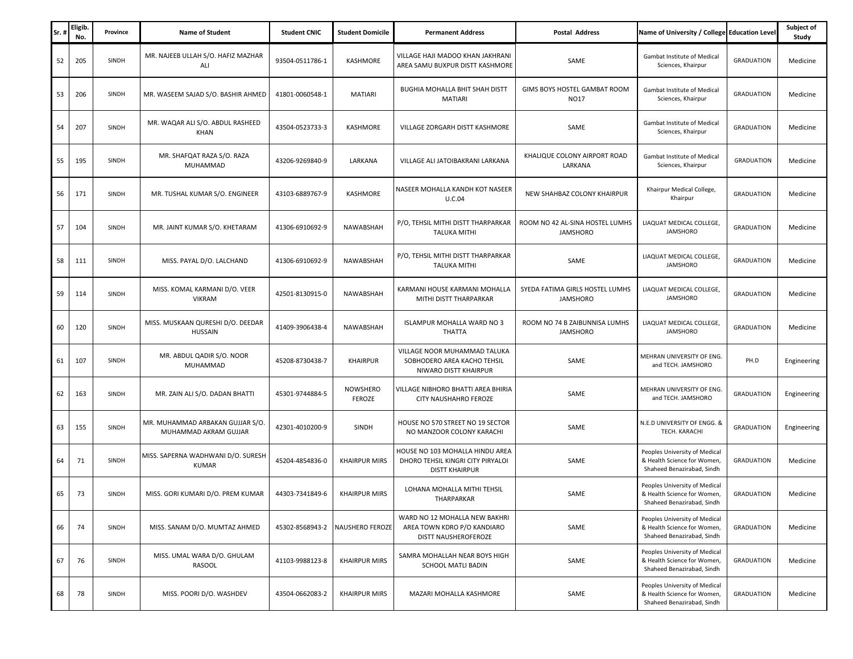| Sr. | Eligib.<br>No. | Province | <b>Name of Student</b>                                    | <b>Student CNIC</b> | <b>Student Domicile</b> | <b>Permanent Address</b>                                                                      | Postal Address                                     | Name of University / College Education Level                                               |                   | Subject of<br>Study |
|-----|----------------|----------|-----------------------------------------------------------|---------------------|-------------------------|-----------------------------------------------------------------------------------------------|----------------------------------------------------|--------------------------------------------------------------------------------------------|-------------------|---------------------|
| 52  | 205            | SINDH    | MR. NAJEEB ULLAH S/O. HAFIZ MAZHAR<br>ALI                 | 93504-0511786-1     | KASHMORE                | VILLAGE HAJI MADOO KHAN JAKHRANI<br>AREA SAMU BUXPUR DISTT KASHMORE                           | SAME                                               | Gambat Institute of Medical<br>Sciences, Khairpur                                          | <b>GRADUATION</b> | Medicine            |
| 53  | 206            | SINDH    | MR. WASEEM SAJAD S/O. BASHIR AHMED                        | 41801-0060548-1     | MATIARI                 | BUGHIA MOHALLA BHIT SHAH DISTT<br>MATIARI                                                     | GIMS BOYS HOSTEL GAMBAT ROOM<br><b>NO17</b>        | Gambat Institute of Medical<br>Sciences, Khairpur                                          | <b>GRADUATION</b> | Medicine            |
| 54  | 207            | SINDH    | MR. WAQAR ALI S/O. ABDUL RASHEED<br>KHAN                  | 43504-0523733-3     | KASHMORE                | VILLAGE ZORGARH DISTT KASHMORE                                                                | SAME                                               | Gambat Institute of Medical<br>Sciences, Khairpur                                          | <b>GRADUATION</b> | Medicine            |
| 55  | 195            | SINDH    | MR. SHAFQAT RAZA S/O. RAZA<br>MUHAMMAD                    | 43206-9269840-9     | LARKANA                 | VILLAGE ALI JATOIBAKRANI LARKANA                                                              | KHALIQUE COLONY AIRPORT ROAD<br>LARKANA            | Gambat Institute of Medical<br>Sciences, Khairpur                                          | <b>GRADUATION</b> | Medicine            |
| 56  | 171            | SINDH    | MR. TUSHAL KUMAR S/O. ENGINEER                            | 43103-6889767-9     | KASHMORE                | NASEER MOHALLA KANDH KOT NASEER<br>U.C.04                                                     | NEW SHAHBAZ COLONY KHAIRPUR                        | Khairpur Medical College,<br>Khairpur                                                      | <b>GRADUATION</b> | Medicine            |
| 57  | 104            | SINDH    | MR. JAINT KUMAR S/O. KHETARAM                             | 41306-6910692-9     | NAWABSHAH               | P/O, TEHSIL MITHI DISTT THARPARKAR<br><b>TALUKA MITHI</b>                                     | ROOM NO 42 AL-SINA HOSTEL LUMHS<br><b>JAMSHORO</b> | LIAQUAT MEDICAL COLLEGE,<br><b>JAMSHORO</b>                                                | <b>GRADUATION</b> | Medicine            |
| 58  | 111            | SINDH    | MISS. PAYAL D/O. LALCHAND                                 | 41306-6910692-9     | NAWABSHAH               | P/O, TEHSIL MITHI DISTT THARPARKAR<br><b>TALUKA MITHI</b>                                     | SAME                                               | LIAQUAT MEDICAL COLLEGE,<br><b>JAMSHORO</b>                                                | <b>GRADUATION</b> | Medicine            |
| 59  | 114            | SINDH    | MISS. KOMAL KARMANI D/O. VEER<br><b>VIKRAM</b>            | 42501-8130915-0     | NAWABSHAH               | KARMANI HOUSE KARMANI MOHALLA<br>MITHI DISTT THARPARKAR                                       | SYEDA FATIMA GIRLS HOSTEL LUMHS<br><b>JAMSHORO</b> | LIAQUAT MEDICAL COLLEGE,<br><b>JAMSHORO</b>                                                | <b>GRADUATION</b> | Medicine            |
| 60  | 120            | SINDH    | MISS. MUSKAAN QURESHI D/O. DEEDAR<br><b>HUSSAIN</b>       | 41409-3906438-4     | NAWABSHAH               | ISLAMPUR MOHALLA WARD NO 3<br>THATTA                                                          | ROOM NO 74 B ZAIBUNNISA LUMHS<br><b>JAMSHORO</b>   | LIAQUAT MEDICAL COLLEGE,<br>JAMSHORO                                                       | <b>GRADUATION</b> | Medicine            |
| 61  | 107            | SINDH    | MR. ABDUL QADIR S/O. NOOR<br>MUHAMMAD                     | 45208-8730438-7     | <b>KHAIRPUR</b>         | VILLAGE NOOR MUHAMMAD TALUKA<br>SOBHODERO AREA KACHO TEHSIL<br>NIWARO DISTT KHAIRPUR          | SAME                                               | MEHRAN UNIVERSITY OF ENG.<br>and TECH. JAMSHORO                                            | PH.D              | Engineering         |
| 62  | 163            | SINDH    | MR. ZAIN ALI S/O. DADAN BHATTI                            | 45301-9744884-5     | NOWSHERO<br>FEROZE      | VILLAGE NIBHORO BHATTI AREA BHIRIA<br>CITY NAUSHAHRO FEROZE                                   | SAME                                               | MEHRAN UNIVERSITY OF ENG.<br>and TECH. JAMSHORO                                            | <b>GRADUATION</b> | Engineering         |
| 63  | 155            | SINDH    | MR. MUHAMMAD ARBAKAN GUJJAR S/O.<br>MUHAMMAD AKRAM GUJJAR | 42301-4010200-9     | SINDH                   | HOUSE NO 570 STREET NO 19 SECTOR<br>NO MANZOOR COLONY KARACHI                                 | SAME                                               | N.E.D UNIVERSITY OF ENGG. &<br>TECH. KARACHI                                               | <b>GRADUATION</b> | Engineering         |
| 64  | 71             | SINDH    | MISS. SAPERNA WADHWANI D/O. SURESH<br><b>KUMAR</b>        | 45204-4854836-0     | <b>KHAIRPUR MIRS</b>    | HOUSE NO 103 MOHALLA HINDU AREA<br>DHORO TEHSIL KINGRI CITY PIRYALOI<br><b>DISTT KHAIRPUR</b> | SAME                                               | Peoples University of Medical<br>& Health Science for Women.<br>Shaheed Benazirabad, Sindh | <b>GRADUATION</b> | Medicine            |
| 65  | 73             | SINDH    | MISS. GORI KUMARI D/O. PREM KUMAR                         | 44303-7341849-6     | <b>KHAIRPUR MIRS</b>    | LOHANA MOHALLA MITHI TEHSIL<br>THARPARKAR                                                     | SAME                                               | Peoples University of Medical<br>& Health Science for Women,<br>Shaheed Benazirabad, Sindh | <b>GRADUATION</b> | Medicine            |
| 66  | 74             | SINDH    | MISS. SANAM D/O. MUMTAZ AHMED                             | 45302-8568943-2     | <b>NAUSHERO FEROZE</b>  | WARD NO 12 MOHALLA NEW BAKHRI<br>AREA TOWN KDRO P/O KANDIARO<br>DISTT NAUSHEROFEROZE          | SAME                                               | Peoples University of Medical<br>& Health Science for Women,<br>Shaheed Benazirabad, Sindh | <b>GRADUATION</b> | Medicine            |
| 67  | 76             | SINDH    | MISS. UMAL WARA D/O. GHULAM<br>RASOOL                     | 41103-9988123-8     | <b>KHAIRPUR MIRS</b>    | SAMRA MOHALLAH NEAR BOYS HIGH<br>SCHOOL MATLI BADIN                                           | SAME                                               | Peoples University of Medical<br>& Health Science for Women,<br>Shaheed Benazirabad, Sindh | <b>GRADUATION</b> | Medicine            |
| 68  | 78             | SINDH    | MISS. POORI D/O. WASHDEV                                  | 43504-0662083-2     | <b>KHAIRPUR MIRS</b>    | MAZARI MOHALLA KASHMORE                                                                       | SAME                                               | Peoples University of Medical<br>& Health Science for Women,<br>Shaheed Benazirabad, Sindh | <b>GRADUATION</b> | Medicine            |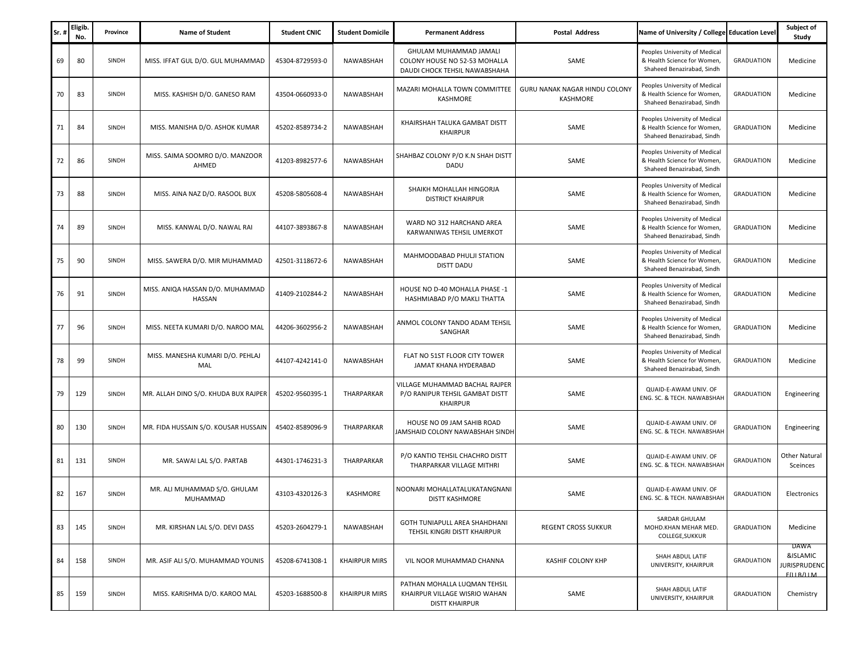| Sr. | Eligib.<br>No. | Province | <b>Name of Student</b>                     | <b>Student CNIC</b> | <b>Student Domicile</b> | <b>Permanent Address</b>                                                                 | <b>Postal Address</b>                     | Name of University / College Education Level                                               |                   | Subject of<br>Study                           |
|-----|----------------|----------|--------------------------------------------|---------------------|-------------------------|------------------------------------------------------------------------------------------|-------------------------------------------|--------------------------------------------------------------------------------------------|-------------------|-----------------------------------------------|
| 69  | 80             | SINDH    | MISS. IFFAT GUL D/O. GUL MUHAMMAD          | 45304-8729593-0     | NAWABSHAH               | GHULAM MUHAMMAD JAMALI<br>COLONY HOUSE NO 52-53 MOHALLA<br>DAUDI CHOCK TEHSIL NAWABSHAHA | SAME                                      | Peoples University of Medical<br>& Health Science for Women,<br>Shaheed Benazirabad, Sindh | <b>GRADUATION</b> | Medicine                                      |
| 70  | 83             | SINDH    | MISS. KASHISH D/O. GANESO RAM              | 43504-0660933-0     | NAWABSHAH               | MAZARI MOHALLA TOWN COMMITTEE<br>KASHMORE                                                | GURU NANAK NAGAR HINDU COLONY<br>KASHMORE | Peoples University of Medical<br>& Health Science for Women,<br>Shaheed Benazirabad, Sindh | <b>GRADUATION</b> | Medicine                                      |
| 71  | 84             | SINDH    | MISS. MANISHA D/O. ASHOK KUMAR             | 45202-8589734-2     | NAWABSHAH               | KHAIRSHAH TALUKA GAMBAT DISTT<br><b>KHAIRPUR</b>                                         | SAME                                      | Peoples University of Medical<br>& Health Science for Women,<br>Shaheed Benazirabad, Sindh | <b>GRADUATION</b> | Medicine                                      |
| 72  | 86             | SINDH    | MISS. SAIMA SOOMRO D/O. MANZOOR<br>AHMED   | 41203-8982577-6     | NAWABSHAH               | SHAHBAZ COLONY P/O K.N SHAH DISTT<br>DADU                                                | SAME                                      | Peoples University of Medical<br>& Health Science for Women,<br>Shaheed Benazirabad, Sindh | <b>GRADUATION</b> | Medicine                                      |
| 73  | 88             | SINDH    | MISS. AINA NAZ D/O. RASOOL BUX             | 45208-5805608-4     | NAWABSHAH               | SHAIKH MOHALLAH HINGORJA<br><b>DISTRICT KHAIRPUR</b>                                     | SAME                                      | Peoples University of Medical<br>& Health Science for Women,<br>Shaheed Benazirabad, Sindh | <b>GRADUATION</b> | Medicine                                      |
| 74  | 89             | SINDH    | MISS. KANWAL D/O. NAWAL RAI                | 44107-3893867-8     | NAWABSHAH               | WARD NO 312 HARCHAND AREA<br>KARWANIWAS TEHSIL UMERKOT                                   | SAME                                      | Peoples University of Medical<br>& Health Science for Women,<br>Shaheed Benazirabad, Sindh | <b>GRADUATION</b> | Medicine                                      |
| 75  | 90             | SINDH    | MISS. SAWERA D/O. MIR MUHAMMAD             | 42501-3118672-6     | NAWABSHAH               | MAHMOODABAD PHULJI STATION<br>DISTT DADU                                                 | SAME                                      | Peoples University of Medical<br>& Health Science for Women,<br>Shaheed Benazirabad, Sindh | <b>GRADUATION</b> | Medicine                                      |
| 76  | 91             | SINDH    | MISS. ANIQA HASSAN D/O. MUHAMMAD<br>HASSAN | 41409-2102844-2     | NAWABSHAH               | HOUSE NO D-40 MOHALLA PHASE -1<br>HASHMIABAD P/O MAKLI THATTA                            | SAME                                      | Peoples University of Medical<br>& Health Science for Women,<br>Shaheed Benazirabad, Sindh | <b>GRADUATION</b> | Medicine                                      |
| 77  | 96             | SINDH    | MISS. NEETA KUMARI D/O. NAROO MAL          | 44206-3602956-2     | NAWABSHAH               | ANMOL COLONY TANDO ADAM TEHSIL<br>SANGHAR                                                | SAME                                      | Peoples University of Medical<br>& Health Science for Women,<br>Shaheed Benazirabad, Sindh | <b>GRADUATION</b> | Medicine                                      |
| 78  | 99             | SINDH    | MISS. MANESHA KUMARI D/O. PEHLAJ<br>MAL    | 44107-4242141-0     | NAWABSHAH               | FLAT NO 51ST FLOOR CITY TOWER<br>JAMAT KHANA HYDERABAD                                   | SAME                                      | Peoples University of Medical<br>& Health Science for Women,<br>Shaheed Benazirabad, Sindh | <b>GRADUATION</b> | Medicine                                      |
| 79  | 129            | SINDH    | MR. ALLAH DINO S/O. KHUDA BUX RAJPER       | 45202-9560395-1     | THARPARKAR              | VILLAGE MUHAMMAD BACHAL RAJPER<br>P/O RANIPUR TEHSIL GAMBAT DISTT<br><b>KHAIRPUR</b>     | SAME                                      | QUAID-E-AWAM UNIV. OF<br>ENG. SC. & TECH. NAWABSHAH                                        | <b>GRADUATION</b> | Engineering                                   |
| 80  | 130            | SINDH    | MR. FIDA HUSSAIN S/O. KOUSAR HUSSAIN       | 45402-8589096-9     | THARPARKAR              | HOUSE NO 09 JAM SAHIB ROAD<br>JAMSHAID COLONY NAWABSHAH SINDH                            | SAME                                      | QUAID-E-AWAM UNIV. OF<br>ENG. SC. & TECH. NAWABSHAH                                        | <b>GRADUATION</b> | Engineering                                   |
| 81  | 131            | SINDH    | MR. SAWAI LAL S/O. PARTAB                  | 44301-1746231-3     | THARPARKAR              | P/O KANTIO TEHSIL CHACHRO DISTT<br>THARPARKAR VILLAGE MITHRI                             | SAME                                      | QUAID-E-AWAM UNIV. OF<br>ENG. SC. & TECH. NAWABSHAH                                        | <b>GRADUATION</b> | Other Natural<br>Sceinces                     |
| 82  | 167            | SINDH    | MR. ALI MUHAMMAD S/O. GHULAM<br>MUHAMMAD   | 43103-4320126-3     | KASHMORE                | NOONARI MOHALLATALUKATANGNANI<br><b>DISTT KASHMORE</b>                                   | SAME                                      | QUAID-E-AWAM UNIV. OF<br>ENG. SC. & TECH. NAWABSHAH                                        | <b>GRADUATION</b> | Electronics                                   |
| 83  | 145            | SINDH    | MR. KIRSHAN LAL S/O. DEVI DASS             | 45203-2604279-1     | NAWABSHAH               | GOTH TUNIAPULL AREA SHAHDHANI<br>TEHSIL KINGRI DISTT KHAIRPUR                            | <b>REGENT CROSS SUKKUR</b>                | SARDAR GHULAM<br>MOHD.KHAN MEHAR MED.<br>COLLEGE, SUKKUR                                   | <b>GRADUATION</b> | Medicine                                      |
| 84  | 158            | SINDH    | MR. ASIF ALI S/O. MUHAMMAD YOUNIS          | 45208-6741308-1     | <b>KHAIRPUR MIRS</b>    | VIL NOOR MUHAMMAD CHANNA                                                                 | KASHIF COLONY KHP                         | SHAH ABDUL LATIF<br>UNIVERSITY, KHAIRPUR                                                   | <b>GRADUATION</b> | DAWA<br>&ISLAMIC<br>URISPRUDENC<br>F(11B/11M) |
| 85  | 159            | SINDH    | MISS. KARISHMA D/O. KAROO MAL              | 45203-1688500-8     | <b>KHAIRPUR MIRS</b>    | PATHAN MOHALLA LUQMAN TEHSIL<br>KHAIRPUR VILLAGE WISRIO WAHAN<br><b>DISTT KHAIRPUR</b>   | SAME                                      | SHAH ABDUL LATIF<br>UNIVERSITY, KHAIRPUR                                                   | <b>GRADUATION</b> | Chemistry                                     |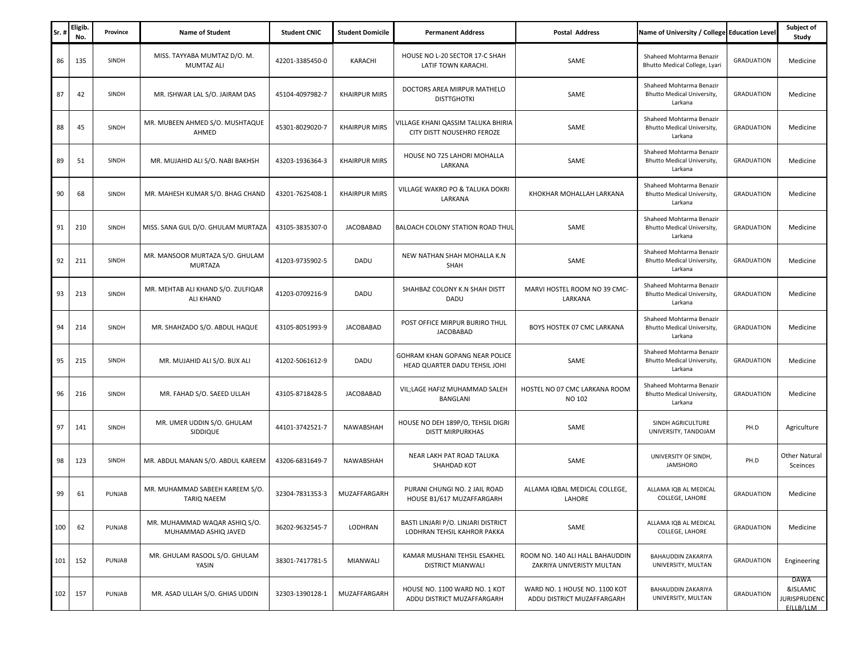| Sr. | <b>Eligib</b><br>No. | Province      | <b>Name of Student</b>                                 | <b>Student CNIC</b> | <b>Student Domicile</b> | <b>Permanent Address</b>                                           | <b>Postal Address</b>                                        | Name of University / College Education Level                             |                   | Subject of<br>Study                                    |
|-----|----------------------|---------------|--------------------------------------------------------|---------------------|-------------------------|--------------------------------------------------------------------|--------------------------------------------------------------|--------------------------------------------------------------------------|-------------------|--------------------------------------------------------|
| 86  | 135                  | SINDH         | MISS. TAYYABA MUMTAZ D/O. M.<br><b>MUMTAZ ALI</b>      | 42201-3385450-0     | KARACHI                 | HOUSE NO L-20 SECTOR 17-C SHAH<br>LATIF TOWN KARACHI.              | SAME                                                         | Shaheed Mohtarma Benazir<br>Bhutto Medical College, Lyari                | <b>GRADUATION</b> | Medicine                                               |
| 87  | 42                   | SINDH         | MR. ISHWAR LAL S/O. JAIRAM DAS                         | 45104-4097982-7     | <b>KHAIRPUR MIRS</b>    | DOCTORS AREA MIRPUR MATHELO<br><b>DISTTGHOTKI</b>                  | SAME                                                         | Shaheed Mohtarma Benazir<br>Bhutto Medical University,<br>Larkana        | <b>GRADUATION</b> | Medicine                                               |
| 88  | 45                   | SINDH         | MR. MUBEEN AHMED S/O. MUSHTAQUE<br>AHMED               | 45301-8029020-7     | <b>KHAIRPUR MIRS</b>    | VILLAGE KHANI QASSIM TALUKA BHIRIA<br>CITY DISTT NOUSEHRO FEROZE   | SAME                                                         | Shaheed Mohtarma Benazir<br>Bhutto Medical University,<br>Larkana        | <b>GRADUATION</b> | Medicine                                               |
| 89  | 51                   | SINDH         | MR. MUJAHID ALI S/O. NABI BAKHSH                       | 43203-1936364-3     | <b>KHAIRPUR MIRS</b>    | HOUSE NO 725 LAHORI MOHALLA<br>LARKANA                             | SAME                                                         | Shaheed Mohtarma Benazir<br>Bhutto Medical University,<br>Larkana        | <b>GRADUATION</b> | Medicine                                               |
| 90  | 68                   | SINDH         | MR. MAHESH KUMAR S/O. BHAG CHAND                       | 43201-7625408-1     | <b>KHAIRPUR MIRS</b>    | VILLAGE WAKRO PO & TALUKA DOKRI<br>LARKANA                         | KHOKHAR MOHALLAH LARKANA                                     | Shaheed Mohtarma Benazir<br>Bhutto Medical University,<br>Larkana        | <b>GRADUATION</b> | Medicine                                               |
| 91  | 210                  | SINDH         | MISS. SANA GUL D/O. GHULAM MURTAZA                     | 43105-3835307-0     | <b>JACOBABAD</b>        | <b>BALOACH COLONY STATION ROAD THUL</b>                            | SAME                                                         | Shaheed Mohtarma Benazir<br><b>Bhutto Medical University,</b><br>Larkana | <b>GRADUATION</b> | Medicine                                               |
| 92  | 211                  | SINDH         | MR. MANSOOR MURTAZA S/O. GHULAM<br><b>MURTAZA</b>      | 41203-9735902-5     | DADU                    | NEW NATHAN SHAH MOHALLA K.N<br>SHAH                                | SAME                                                         | Shaheed Mohtarma Benazir<br>Bhutto Medical University,<br>Larkana        | <b>GRADUATION</b> | Medicine                                               |
| 93  | 213                  | SINDH         | MR. MEHTAB ALI KHAND S/O. ZULFIQAR<br><b>ALI KHAND</b> | 41203-0709216-9     | DADU                    | SHAHBAZ COLONY K.N SHAH DISTT<br>DADU                              | MARVI HOSTEL ROOM NO 39 CMC-<br>LARKANA                      | Shaheed Mohtarma Benazir<br>Bhutto Medical University,<br>Larkana        | <b>GRADUATION</b> | Medicine                                               |
| 94  | 214                  | SINDH         | MR. SHAHZADO S/O. ABDUL HAQUE                          | 43105-8051993-9     | <b>JACOBABAD</b>        | POST OFFICE MIRPUR BURIRO THUL<br><b>JACOBABAD</b>                 | BOYS HOSTEK 07 CMC LARKANA                                   | Shaheed Mohtarma Benazir<br><b>Bhutto Medical University,</b><br>Larkana | <b>GRADUATION</b> | Medicine                                               |
| 95  | 215                  | SINDH         | MR. MUJAHID ALI S/O. BUX ALI                           | 41202-5061612-9     | DADU                    | GOHRAM KHAN GOPANG NEAR POLICE<br>HEAD QUARTER DADU TEHSIL JOHI    | SAME                                                         | Shaheed Mohtarma Benazir<br><b>Bhutto Medical University,</b><br>Larkana | <b>GRADUATION</b> | Medicine                                               |
| 96  | 216                  | SINDH         | MR. FAHAD S/O. SAEED ULLAH                             | 43105-8718428-5     | <b>JACOBABAD</b>        | VIL; LAGE HAFIZ MUHAMMAD SALEH<br>BANGLANI                         | HOSTEL NO 07 CMC LARKANA ROOM<br>NO 102                      | Shaheed Mohtarma Benazir<br>Bhutto Medical University,<br>Larkana        | <b>GRADUATION</b> | Medicine                                               |
| 97  | 141                  | SINDH         | MR. UMER UDDIN S/O. GHULAM<br>SIDDIQUE                 | 44101-3742521-7     | NAWABSHAH               | HOUSE NO DEH 189P/O, TEHSIL DIGRI<br><b>DISTT MIRPURKHAS</b>       | SAME                                                         | SINDH AGRICULTURE<br>UNIVERSITY, TANDOJAM                                | PH.D              | Agriculture                                            |
| 98  | 123                  | SINDH         | MR. ABDUL MANAN S/O. ABDUL KAREEM                      | 43206-6831649-7     | <b>NAWABSHAH</b>        | NEAR LAKH PAT ROAD TALUKA<br>SHAHDAD KOT                           | SAME                                                         | UNIVERSITY OF SINDH,<br><b>JAMSHORO</b>                                  | PH.D              | Other Natural<br>Sceinces                              |
| 99  | 61                   | <b>PUNJAB</b> | MR. MUHAMMAD SABEEH KAREEM S/O.<br><b>TARIQ NAEEM</b>  | 32304-7831353-3     | MUZAFFARGARH            | PURANI CHUNGI NO. 2 JAIL ROAD<br>HOUSE B1/617 MUZAFFARGARH         | ALLAMA IQBAL MEDICAL COLLEGE,<br>LAHORE                      | ALLAMA IQB AL MEDICAL<br>COLLEGE, LAHORE                                 | <b>GRADUATION</b> | Medicine                                               |
| 100 | 62                   | PUNJAB        | MR. MUHAMMAD WAQAR ASHIQ S/O.<br>MUHAMMAD ASHIQ JAVED  | 36202-9632545-7     | LODHRAN                 | BASTI LINJARI P/O. LINJARI DISTRICT<br>LODHRAN TEHSIL KAHROR PAKKA | SAME                                                         | ALLAMA IQB AL MEDICAL<br>COLLEGE, LAHORE                                 | <b>GRADUATION</b> | Medicine                                               |
| 101 | 152                  | PUNJAB        | MR. GHULAM RASOOL S/O. GHULAM<br>YASIN                 | 38301-7417781-5     | MIANWALI                | KAMAR MUSHANI TEHSIL ESAKHEL<br>DISTRICT MIANWALI                  | ROOM NO. 140 ALI HALL BAHAUDDIN<br>ZAKRIYA UNIVERISTY MULTAN | <b>BAHAUDDIN ZAKARIYA</b><br>UNIVERSITY, MULTAN                          | <b>GRADUATION</b> | Engineering                                            |
| 102 | 157                  | PUNJAB        | MR. ASAD ULLAH S/O. GHIAS UDDIN                        | 32303-1390128-1     | MUZAFFARGARH            | HOUSE NO. 1100 WARD NO. 1 KOT<br>ADDU DISTRICT MUZAFFARGARH        | WARD NO. 1 HOUSE NO. 1100 KOT<br>ADDU DISTRICT MUZAFFARGARH  | <b>BAHAUDDIN ZAKARIYA</b><br>UNIVERSITY, MULTAN                          | GRADUATION        | DAWA<br>&ISLAMIC<br><b>JURISPRUDENC</b><br>F(II B/II M |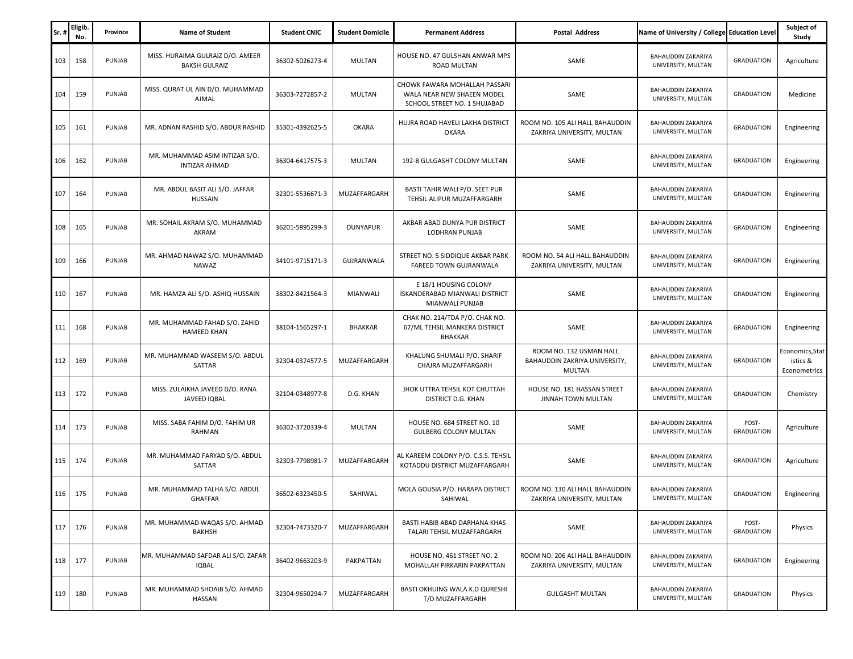| Sr. | <b>Eligib</b><br>No. | Province | <b>Name of Student</b>                                   | <b>Student CNIC</b> | <b>Student Domicile</b> | <b>Permanent Address</b>                                                                    | <b>Postal Address</b>                                                     | Name of University / College Education Level    |                            | Subject of<br>Study                         |
|-----|----------------------|----------|----------------------------------------------------------|---------------------|-------------------------|---------------------------------------------------------------------------------------------|---------------------------------------------------------------------------|-------------------------------------------------|----------------------------|---------------------------------------------|
| 103 | 158                  | PUNJAB   | MISS. HURAIMA GULRAIZ D/O. AMEER<br><b>BAKSH GULRAIZ</b> | 36302-5026273-4     | MULTAN                  | HOUSE NO. 47 GULSHAN ANWAR MPS<br>ROAD MULTAN                                               | SAME                                                                      | BAHAUDDIN ZAKARIYA<br>UNIVERSITY, MULTAN        | <b>GRADUATION</b>          | Agriculture                                 |
| 104 | 159                  | PUNJAB   | MISS. QURAT UL AIN D/O. MUHAMMAD<br>AJMAL                | 36303-7272857-2     | MULTAN                  | CHOWK FAWARA MOHALLAH PASSARI<br>WALA NEAR NEW SHAEEN MODEL<br>SCHOOL STREET NO. 1 SHUJABAD | SAME                                                                      | BAHAUDDIN ZAKARIYA<br>UNIVERSITY, MULTAN        | <b>GRADUATION</b>          | Medicine                                    |
| 105 | 161                  | PUNJAB   | MR. ADNAN RASHID S/O. ABDUR RASHID                       | 35301-4392625-5     | <b>OKARA</b>            | HUJRA ROAD HAVELI LAKHA DISTRICT<br><b>OKARA</b>                                            | ROOM NO. 105 ALI HALL BAHAUDDIN<br>ZAKRIYA UNIVERSITY, MULTAN             | BAHAUDDIN ZAKARIYA<br>UNIVERSITY, MULTAN        | <b>GRADUATION</b>          | Engineering                                 |
| 106 | 162                  | PUNJAB   | MR. MUHAMMAD ASIM INTIZAR S/O.<br><b>INTIZAR AHMAD</b>   | 36304-6417575-3     | MULTAN                  | 192-B GULGASHT COLONY MULTAN                                                                | SAME                                                                      | <b>BAHAUDDIN ZAKARIYA</b><br>UNIVERSITY, MULTAN | <b>GRADUATION</b>          | Engineering                                 |
| 107 | 164                  | PUNJAB   | MR. ABDUL BASIT ALI S/O. JAFFAR<br>HUSSAIN               | 32301-5536671-3     | MUZAFFARGARH            | BASTI TAHIR WALI P/O. SEET PUR<br>TEHSIL ALIPUR MUZAFFARGARH                                | SAME                                                                      | <b>BAHAUDDIN ZAKARIYA</b><br>UNIVERSITY, MULTAN | <b>GRADUATION</b>          | Engineering                                 |
| 108 | 165                  | PUNJAB   | MR. SOHAIL AKRAM S/O. MUHAMMAD<br>AKRAM                  | 36201-5895299-3     | <b>DUNYAPUR</b>         | AKBAR ABAD DUNYA PUR DISTRICT<br>LODHRAN PUNJAB                                             | SAME                                                                      | BAHAUDDIN ZAKARIYA<br>UNIVERSITY, MULTAN        | <b>GRADUATION</b>          | Engineering                                 |
| 109 | 166                  | PUNJAB   | MR. AHMAD NAWAZ S/O. MUHAMMAD<br>NAWAZ                   | 34101-9715171-3     | GUJRANWALA              | STREET NO. 5 SIDDIQUE AKBAR PARK<br>FAREED TOWN GUJRANWALA                                  | ROOM NO. 54 ALI HALL BAHAUDDIN<br>ZAKRIYA UNIVERSITY, MULTAN              | <b>BAHAUDDIN ZAKARIYA</b><br>UNIVERSITY, MULTAN | <b>GRADUATION</b>          | Engineering                                 |
| 110 | 167                  | PUNJAB   | MR. HAMZA ALI S/O. ASHIQ HUSSAIN                         | 38302-8421564-3     | MIANWALI                | E 18/1 HOUSING COLONY<br>ISKANDERABAD MIANWALI DISTRICT<br>MIANWALI PUNJAB                  | SAME                                                                      | BAHAUDDIN ZAKARIYA<br>UNIVERSITY, MULTAN        | <b>GRADUATION</b>          | Engineering                                 |
| 111 | 168                  | PUNJAB   | MR. MUHAMMAD FAHAD S/O. ZAHID<br><b>HAMEED KHAN</b>      | 38104-1565297-1     | <b>BHAKKAR</b>          | CHAK NO. 214/TDA P/O. CHAK NO.<br>67/ML TEHSIL MANKERA DISTRICT<br>BHAKKAR                  | SAME                                                                      | <b>BAHAUDDIN ZAKARIYA</b><br>UNIVERSITY, MULTAN | <b>GRADUATION</b>          | Engineering                                 |
| 112 | 169                  | PUNJAB   | MR. MUHAMMAD WASEEM S/O. ABDUL<br>SATTAR                 | 32304-0374577-5     | MUZAFFARGARH            | KHALUNG SHUMALI P/O. SHARIF<br>CHAJRA MUZAFFARGARH                                          | ROOM NO. 132 USMAN HALL<br>BAHAUDDIN ZAKRIYA UNIVERSITY,<br><b>MULTAN</b> | <b>BAHAUDDIN ZAKARIYA</b><br>UNIVERSITY, MULTAN | <b>GRADUATION</b>          | Economics, Stat<br>istics &<br>Econometrics |
| 113 | 172                  | PUNJAB   | MISS. ZULAIKHA JAVEED D/O. RANA<br>JAVEED IQBAL          | 32104-0348977-8     | D.G. KHAN               | JHOK UTTRA TEHSIL KOT CHUTTAH<br>DISTRICT D.G. KHAN                                         | HOUSE NO. 181 HASSAN STREET<br>JINNAH TOWN MULTAN                         | BAHAUDDIN ZAKARIYA<br>UNIVERSITY, MULTAN        | <b>GRADUATION</b>          | Chemistry                                   |
| 114 | 173                  | PUNJAB   | MISS. SABA FAHIM D/O. FAHIM UR<br>RAHMAN                 | 36302-3720339-4     | MULTAN                  | HOUSE NO. 684 STREET NO. 10<br><b>GULBERG COLONY MULTAN</b>                                 | SAME                                                                      | BAHAUDDIN ZAKARIYA<br>UNIVERSITY, MULTAN        | POST-<br><b>GRADUATION</b> | Agriculture                                 |
| 115 | 174                  | PUNJAB   | MR. MUHAMMAD FARYAD S/O. ABDUL<br>SATTAR                 | 32303-7798981-7     | MUZAFFARGARH            | AL KAREEM COLONY P/O. C.S.S. TEHSIL<br>KOTADDU DISTRICT MUZAFFARGARH                        | SAME                                                                      | BAHAUDDIN ZAKARIYA<br>UNIVERSITY, MULTAN        | <b>GRADUATION</b>          | Agriculture                                 |
| 116 | 175                  | PUNJAB   | MR. MUHAMMAD TALHA S/O. ABDUL<br>GHAFFAR                 | 36502-6323450-5     | SAHIWAL                 | MOLA GOUSIA P/O. HARAPA DISTRICT<br>SAHIWAL                                                 | ROOM NO. 130 ALI HALL BAHAUDDIN<br>ZAKRIYA UNIVERSITY, MULTAN             | <b>BAHAUDDIN ZAKARIYA</b><br>UNIVERSITY, MULTAN | <b>GRADUATION</b>          | Engineering                                 |
| 117 | 176                  | PUNJAB   | MR. MUHAMMAD WAQAS S/O. AHMAD<br><b>BAKHSH</b>           | 32304-7473320-7     | MUZAFFARGARH            | BASTI HABIB ABAD DARHANA KHAS<br>TALARI TEHSIL MUZAFFARGARH                                 | SAME                                                                      | <b>BAHAUDDIN ZAKARIYA</b><br>UNIVERSITY, MULTAN | POST-<br><b>GRADUATION</b> | Physics                                     |
| 118 | 177                  | PUNJAB   | MR. MUHAMMAD SAFDAR ALI S/O. ZAFAR<br><b>IQBAL</b>       | 36402-9663203-9     | PAKPATTAN               | HOUSE NO. 461 STREET NO. 2<br>MOHALLAH PIRKARIN PAKPATTAN                                   | ROOM NO. 206 ALI HALL BAHAUDDIN<br>ZAKRIYA UNIVERSITY, MULTAN             | <b>BAHAUDDIN ZAKARIYA</b><br>UNIVERSITY, MULTAN | <b>GRADUATION</b>          | Engineering                                 |
| 119 | 180                  | PUNJAB   | MR. MUHAMMAD SHOAIB S/O. AHMAD<br><b>HASSAN</b>          | 32304-9650294-7     | MUZAFFARGARH            | BASTI OKHUING WALA K.D QURESHI<br>T/D MUZAFFARGARH                                          | <b>GULGASHT MULTAN</b>                                                    | <b>BAHAUDDIN ZAKARIYA</b><br>UNIVERSITY, MULTAN | <b>GRADUATION</b>          | Physics                                     |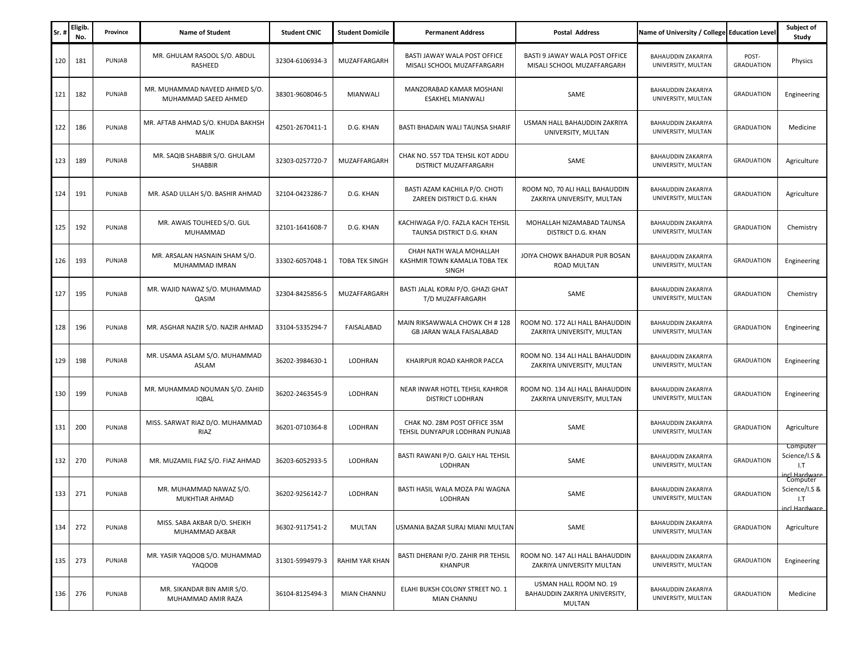| Sr. | <b>Eligib</b><br>No. | Province | <b>Name of Student</b>                                 | <b>Student CNIC</b> | <b>Student Domicile</b> | <b>Permanent Address</b>                                                 | <b>Postal Address</b>                                                    | Name of University / College Education Level    |                            | Subject of<br>Study                               |
|-----|----------------------|----------|--------------------------------------------------------|---------------------|-------------------------|--------------------------------------------------------------------------|--------------------------------------------------------------------------|-------------------------------------------------|----------------------------|---------------------------------------------------|
| 120 | 181                  | PUNJAB   | MR. GHULAM RASOOL S/O. ABDUL<br>RASHEED                | 32304-6106934-3     | MUZAFFARGARH            | BASTI JAWAY WALA POST OFFICE<br>MISALI SCHOOL MUZAFFARGARH               | BASTI 9 JAWAY WALA POST OFFICE<br>MISALI SCHOOL MUZAFFARGARH             | BAHAUDDIN ZAKARIYA<br>UNIVERSITY, MULTAN        | POST-<br><b>GRADUATION</b> | Physics                                           |
| 121 | 182                  | PUNJAB   | MR. MUHAMMAD NAVEED AHMED S/O.<br>MUHAMMAD SAEED AHMED | 38301-9608046-5     | MIANWALI                | MANZORABAD KAMAR MOSHANI<br>ESAKHEL MIANWALI                             | SAME                                                                     | BAHAUDDIN ZAKARIYA<br>UNIVERSITY, MULTAN        | <b>GRADUATION</b>          | Engineering                                       |
| 122 | 186                  | PUNJAB   | MR. AFTAB AHMAD S/O. KHUDA BAKHSH<br>MALIK             | 42501-2670411-1     | D.G. KHAN               | BASTI BHADAIN WALI TAUNSA SHARIF                                         | USMAN HALL BAHAUDDIN ZAKRIYA<br>UNIVERSITY, MULTAN                       | BAHAUDDIN ZAKARIYA<br>UNIVERSITY, MULTAN        | <b>GRADUATION</b>          | Medicine                                          |
| 123 | 189                  | PUNJAB   | MR. SAQIB SHABBIR S/O. GHULAM<br>SHABBIR               | 32303-0257720-7     | MUZAFFARGARH            | CHAK NO. 557 TDA TEHSIL KOT ADDU<br>DISTRICT MUZAFFARGARH                | SAME                                                                     | <b>BAHAUDDIN ZAKARIYA</b><br>UNIVERSITY, MULTAN | <b>GRADUATION</b>          | Agriculture                                       |
| 124 | 191                  | PUNJAB   | MR. ASAD ULLAH S/O. BASHIR AHMAD                       | 32104-0423286-7     | D.G. KHAN               | BASTI AZAM KACHILA P/O. CHOTI<br>ZAREEN DISTRICT D.G. KHAN               | ROOM NO, 70 ALI HALL BAHAUDDIN<br>ZAKRIYA UNIVERSITY, MULTAN             | BAHAUDDIN ZAKARIYA<br>UNIVERSITY, MULTAN        | <b>GRADUATION</b>          | Agriculture                                       |
| 125 | 192                  | PUNJAB   | MR. AWAIS TOUHEED S/O. GUL<br><b>MUHAMMAD</b>          | 32101-1641608-7     | D.G. KHAN               | KACHIWAGA P/O. FAZLA KACH TEHSIL<br>TAUNSA DISTRICT D.G. KHAN            | MOHALLAH NIZAMABAD TAUNSA<br>DISTRICT D.G. KHAN                          | BAHAUDDIN ZAKARIYA<br>UNIVERSITY, MULTAN        | <b>GRADUATION</b>          | Chemistry                                         |
| 126 | 193                  | PUNJAB   | MR. ARSALAN HASNAIN SHAM S/O.<br>MUHAMMAD IMRAN        | 33302-6057048-1     | <b>TOBA TEK SINGH</b>   | CHAH NATH WALA MOHALLAH<br>KASHMIR TOWN KAMALIA TOBA TEK<br><b>SINGH</b> | JOIYA CHOWK BAHADUR PUR BOSAN<br><b>ROAD MULTAN</b>                      | BAHAUDDIN ZAKARIYA<br>UNIVERSITY, MULTAN        | <b>GRADUATION</b>          | Engineering                                       |
| 127 | 195                  | PUNJAB   | MR. WAJID NAWAZ S/O. MUHAMMAD<br>QASIM                 | 32304-8425856-5     | MUZAFFARGARH            | BASTI JALAL KORAI P/O. GHAZI GHAT<br>T/D MUZAFFARGARH                    | SAME                                                                     | BAHAUDDIN ZAKARIYA<br>UNIVERSITY, MULTAN        | <b>GRADUATION</b>          | Chemistry                                         |
| 128 | 196                  | PUNJAB   | MR. ASGHAR NAZIR S/O. NAZIR AHMAD                      | 33104-5335294-7     | FAISALABAD              | MAIN RIKSAWWALA CHOWK CH #128<br><b>GB JARAN WALA FAISALABAD</b>         | ROOM NO. 172 ALI HALL BAHAUDDIN<br>ZAKRIYA UNIVERSITY, MULTAN            | <b>BAHAUDDIN ZAKARIYA</b><br>UNIVERSITY, MULTAN | <b>GRADUATION</b>          | Engineering                                       |
| 129 | 198                  | PUNJAB   | MR. USAMA ASLAM S/O. MUHAMMAD<br>ASLAM                 | 36202-3984630-1     | LODHRAN                 | KHAIRPUR ROAD KAHROR PACCA                                               | ROOM NO. 134 ALI HALL BAHAUDDIN<br>ZAKRIYA UNIVERSITY, MULTAN            | <b>BAHAUDDIN ZAKARIYA</b><br>UNIVERSITY, MULTAN | <b>GRADUATION</b>          | Engineering                                       |
| 130 | 199                  | PUNJAB   | MR. MUHAMMAD NOUMAN S/O. ZAHID<br><b>IQBAL</b>         | 36202-2463545-9     | LODHRAN                 | NEAR INWAR HOTEL TEHSIL KAHROR<br>DISTRICT LODHRAN                       | ROOM NO. 134 ALI HALL BAHAUDDIN<br>ZAKRIYA UNIVERSITY, MULTAN            | BAHAUDDIN ZAKARIYA<br>UNIVERSITY, MULTAN        | <b>GRADUATION</b>          | Engineering                                       |
| 131 | 200                  | PUNJAB   | MISS. SARWAT RIAZ D/O. MUHAMMAD<br>RIAZ                | 36201-0710364-8     | LODHRAN                 | CHAK NO. 28M POST OFFICE 35M<br>TEHSIL DUNYAPUR LODHRAN PUNJAB           | SAME                                                                     | BAHAUDDIN ZAKARIYA<br>UNIVERSITY, MULTAN        | <b>GRADUATION</b>          | Agriculture                                       |
| 132 | 270                  | PUNJAB   | MR. MUZAMIL FIAZ S/O. FIAZ AHMAD                       | 36203-6052933-5     | LODHRAN                 | BASTI RAWANI P/O. GAILY HAL TEHSIL<br>LODHRAN                            | SAME                                                                     | BAHAUDDIN ZAKARIYA<br>UNIVERSITY, MULTAN        | <b>GRADUATION</b>          | Computer<br>Science/I.S &<br>1.7<br>cl Hardware   |
| 133 | 271                  | PUNJAB   | MR. MUHAMMAD NAWAZ S/O.<br>MUKHTIAR AHMAD              | 36202-9256142-7     | LODHRAN                 | BASTI HASIL WALA MOZA PAI WAGNA<br>LODHRAN                               | SAME                                                                     | BAHAUDDIN ZAKARIYA<br>UNIVERSITY, MULTAN        | <b>GRADUATION</b>          | Computer<br>Science/I.S &<br>1.7<br>incl Hardware |
| 134 | 272                  | PUNJAB   | MISS. SABA AKBAR D/O. SHEIKH<br>MUHAMMAD AKBAR         | 36302-9117541-2     | MULTAN                  | USMANIA BAZAR SURAJ MIANI MULTAN                                         | SAME                                                                     | BAHAUDDIN ZAKARIYA<br>UNIVERSITY, MULTAN        | <b>GRADUATION</b>          | Agriculture                                       |
| 135 | 273                  | PUNJAB   | MR. YASIR YAQOOB S/O. MUHAMMAD<br>YAQOOB               | 31301-5994979-3     | <b>RAHIM YAR KHAN</b>   | BASTI DHERANI P/O. ZAHIR PIR TEHSIL<br>KHANPUR                           | ROOM NO. 147 ALI HALL BAHAUDDIN<br>ZAKRIYA UNIVERSITY MULTAN             | BAHAUDDIN ZAKARIYA<br>UNIVERSITY, MULTAN        | <b>GRADUATION</b>          | Engineering                                       |
| 136 | 276                  | PUNJAB   | MR. SIKANDAR BIN AMIR S/O.<br>MUHAMMAD AMIR RAZA       | 36104-8125494-3     | MIAN CHANNU             | ELAHI BUKSH COLONY STREET NO. 1<br>MIAN CHANNU                           | USMAN HALL ROOM NO. 19<br>BAHAUDDIN ZAKRIYA UNIVERSITY,<br><b>MULTAN</b> | BAHAUDDIN ZAKARIYA<br>UNIVERSITY, MULTAN        | <b>GRADUATION</b>          | Medicine                                          |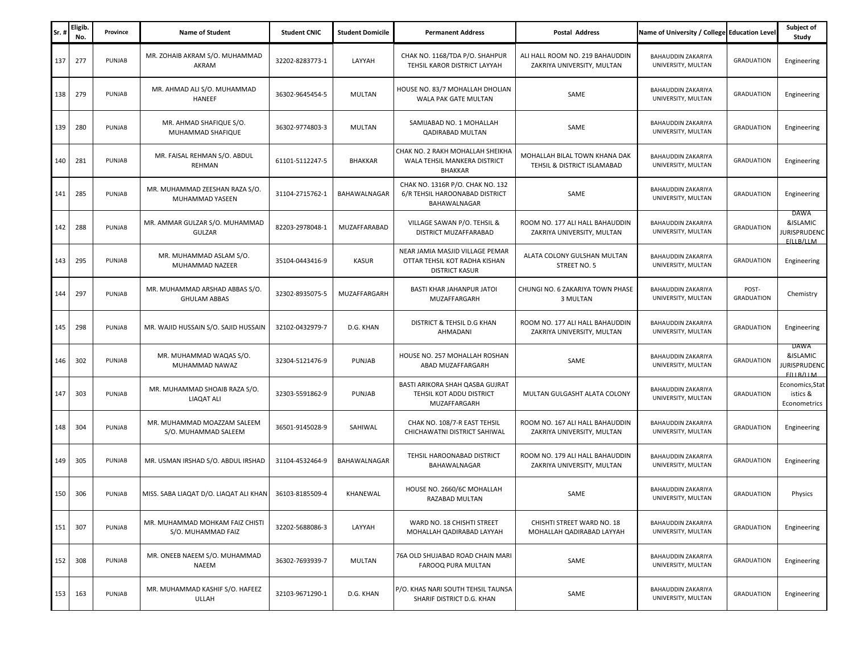| Sr. | Eligib<br>No. | Province | <b>Name of Student</b>                                | <b>Student CNIC</b> | <b>Student Domicile</b> | <b>Permanent Address</b>                                                                  | <b>Postal Address</b>                                         | Name of University / College Education Level    |                            | Subject of<br>Study                             |
|-----|---------------|----------|-------------------------------------------------------|---------------------|-------------------------|-------------------------------------------------------------------------------------------|---------------------------------------------------------------|-------------------------------------------------|----------------------------|-------------------------------------------------|
| 137 | 277           | PUNJAB   | MR. ZOHAIB AKRAM S/O. MUHAMMAD<br>AKRAM               | 32202-8283773-1     | LAYYAH                  | CHAK NO. 1168/TDA P/O. SHAHPUR<br>TEHSIL KAROR DISTRICT LAYYAH                            | ALI HALL ROOM NO. 219 BAHAUDDIN<br>ZAKRIYA UNIVERSITY, MULTAN | <b>BAHAUDDIN ZAKARIYA</b><br>UNIVERSITY, MULTAN | <b>GRADUATION</b>          | Engineering                                     |
| 138 | 279           | PUNJAB   | MR. AHMAD ALI S/O. MUHAMMAD<br><b>HANEEF</b>          | 36302-9645454-5     | MULTAN                  | HOUSE NO. 83/7 MOHALLAH DHOLIAN<br>WALA PAK GATE MULTAN                                   | SAME                                                          | <b>BAHAUDDIN ZAKARIYA</b><br>UNIVERSITY, MULTAN | <b>GRADUATION</b>          | Engineering                                     |
| 139 | 280           | PUNJAB   | MR. AHMAD SHAFIQUE S/O.<br>MUHAMMAD SHAFIQUE          | 36302-9774803-3     | MULTAN                  | SAMIJABAD NO. 1 MOHALLAH<br><b>QADIRABAD MULTAN</b>                                       | SAME                                                          | BAHAUDDIN ZAKARIYA<br>UNIVERSITY, MULTAN        | <b>GRADUATION</b>          | Engineering                                     |
| 140 | 281           | PUNJAB   | MR. FAISAL REHMAN S/O. ABDUL<br>REHMAN                | 61101-5112247-5     | <b>BHAKKAR</b>          | CHAK NO. 2 RAKH MOHALLAH SHEIKHA<br>WALA TEHSIL MANKERA DISTRICT<br>BHAKKAR               | MOHALLAH BILAL TOWN KHANA DAK<br>TEHSIL & DISTRICT ISLAMABAD  | BAHAUDDIN ZAKARIYA<br>UNIVERSITY, MULTAN        | <b>GRADUATION</b>          | Engineering                                     |
| 141 | 285           | PUNJAB   | MR. MUHAMMAD ZEESHAN RAZA S/O.<br>MUHAMMAD YASEEN     | 31104-2715762-1     | BAHAWALNAGAR            | CHAK NO. 1316R P/O. CHAK NO. 132<br>6/R TEHSIL HAROONABAD DISTRICT<br>BAHAWALNAGAR        | SAME                                                          | BAHAUDDIN ZAKARIYA<br>UNIVERSITY, MULTAN        | <b>GRADUATION</b>          | Engineering                                     |
| 142 | 288           | PUNJAB   | MR. AMMAR GULZAR S/O. MUHAMMAD<br><b>GULZAR</b>       | 82203-2978048-1     | MUZAFFARABAD            | VILLAGE SAWAN P/O. TEHSIL &<br>DISTRICT MUZAFFARABAD                                      | ROOM NO. 177 ALI HALL BAHAUDDIN<br>ZAKRIYA UNIVERSITY, MULTAN | BAHAUDDIN ZAKARIYA<br>UNIVERSITY, MULTAN        | <b>GRADUATION</b>          | DAWA<br>&ISLAMIC<br>URISPRUDENC<br>F(II B/II M) |
| 143 | 295           | PUNJAB   | MR. MUHAMMAD ASLAM S/O.<br>MUHAMMAD NAZEER            | 35104-0443416-9     | <b>KASUR</b>            | NEAR JAMIA MASJID VILLAGE PEMAR<br>OTTAR TEHSIL KOT RADHA KISHAN<br><b>DISTRICT KASUR</b> | ALATA COLONY GULSHAN MULTAN<br>STREET NO. 5                   | <b>BAHAUDDIN ZAKARIYA</b><br>UNIVERSITY, MULTAN | <b>GRADUATION</b>          | Engineering                                     |
| 144 | 297           | PUNJAB   | MR. MUHAMMAD ARSHAD ABBAS S/O.<br><b>GHULAM ABBAS</b> | 32302-8935075-5     | MUZAFFARGARH            | BASTI KHAR JAHANPUR JATOI<br>MUZAFFARGARH                                                 | CHUNGI NO. 6 ZAKARIYA TOWN PHASE<br>3 MULTAN                  | <b>BAHAUDDIN ZAKARIYA</b><br>UNIVERSITY, MULTAN | POST-<br><b>GRADUATION</b> | Chemistry                                       |
| 145 | 298           | PUNJAB   | MR. WAJID HUSSAIN S/O. SAJID HUSSAIN                  | 32102-0432979-7     | D.G. KHAN               | DISTRICT & TEHSIL D.G KHAN<br>AHMADANI                                                    | ROOM NO. 177 ALI HALL BAHAUDDIN<br>ZAKRIYA UNIVERSITY, MULTAN | BAHAUDDIN ZAKARIYA<br>UNIVERSITY, MULTAN        | <b>GRADUATION</b>          | Engineering                                     |
| 146 | 302           | PUNJAB   | MR. MUHAMMAD WAQAS S/O.<br>MUHAMMAD NAWAZ             | 32304-5121476-9     | PUNJAB                  | HOUSE NO. 257 MOHALLAH ROSHAN<br>ABAD MUZAFFARGARH                                        | SAME                                                          | BAHAUDDIN ZAKARIYA<br>UNIVERSITY, MULTAN        | <b>GRADUATION</b>          | DAWA<br>&ISLAMIC<br>URISPRUDENC<br>F(II B/II M) |
| 147 | 303           | PUNJAB   | MR. MUHAMMAD SHOAIB RAZA S/O.<br><b>LIAQAT ALI</b>    | 32303-5591862-9     | PUNJAB                  | BASTI ARIKORA SHAH QASBA GUJRAT<br>TEHSIL KOT ADDU DISTRICT<br>MUZAFFARGARH               | MULTAN GULGASHT ALATA COLONY                                  | BAHAUDDIN ZAKARIYA<br>UNIVERSITY, MULTAN        | <b>GRADUATION</b>          | Economics,Stat<br>istics &<br>Econometrics      |
| 148 | 304           | PUNJAB   | MR. MUHAMMAD MOAZZAM SALEEM<br>S/O. MUHAMMAD SALEEM   | 36501-9145028-9     | SAHIWAL                 | CHAK NO. 108/7-R EAST TEHSIL<br>CHICHAWATNI DISTRICT SAHIWAL                              | ROOM NO. 167 ALI HALL BAHAUDDIN<br>ZAKRIYA UNIVERSITY, MULTAN | BAHAUDDIN ZAKARIYA<br>UNIVERSITY, MULTAN        | <b>GRADUATION</b>          | Engineering                                     |
| 149 | 305           | PUNJAB   | MR. USMAN IRSHAD S/O. ABDUL IRSHAD                    | 31104-4532464-9     | BAHAWALNAGAR            | TEHSIL HAROONABAD DISTRICT<br>BAHAWALNAGAR                                                | ROOM NO. 179 ALI HALL BAHAUDDIN<br>ZAKRIYA UNIVERSITY, MULTAN | BAHAUDDIN ZAKARIYA<br>UNIVERSITY, MULTAN        | <b>GRADUATION</b>          | Engineering                                     |
| 150 | 306           | PUNJAB   | MISS. SABA LIAQAT D/O. LIAQAT ALI KHAN                | 36103-8185509-4     | KHANEWAL                | HOUSE NO. 2660/6C MOHALLAH<br>RAZABAD MULTAN                                              | SAME                                                          | BAHAUDDIN ZAKARIYA<br>UNIVERSITY, MULTAN        | <b>GRADUATION</b>          | Physics                                         |
| 151 | 307           | PUNJAB   | MR. MUHAMMAD MOHKAM FAIZ CHISTI<br>S/O. MUHAMMAD FAIZ | 32202-5688086-3     | LAYYAH                  | WARD NO. 18 CHISHTI STREET<br>MOHALLAH QADIRABAD LAYYAH                                   | CHISHTI STREET WARD NO. 18<br>MOHALLAH QADIRABAD LAYYAH       | BAHAUDDIN ZAKARIYA<br>UNIVERSITY, MULTAN        | <b>GRADUATION</b>          | Engineering                                     |
| 152 | 308           | PUNJAB   | MR. ONEEB NAEEM S/O. MUHAMMAD<br><b>NAEEM</b>         | 36302-7693939-7     | MULTAN                  | 76A OLD SHUJABAD ROAD CHAIN MARI<br><b>FAROOQ PURA MULTAN</b>                             | SAME                                                          | <b>BAHAUDDIN ZAKARIYA</b><br>UNIVERSITY, MULTAN | <b>GRADUATION</b>          | Engineering                                     |
| 153 | 163           | PUNJAB   | MR. MUHAMMAD KASHIF S/O. HAFEEZ<br>ULLAH              | 32103-9671290-1     | D.G. KHAN               | P/O. KHAS NARI SOUTH TEHSIL TAUNSA<br>SHARIF DISTRICT D.G. KHAN                           | SAME                                                          | BAHAUDDIN ZAKARIYA<br>UNIVERSITY, MULTAN        | <b>GRADUATION</b>          | Engineering                                     |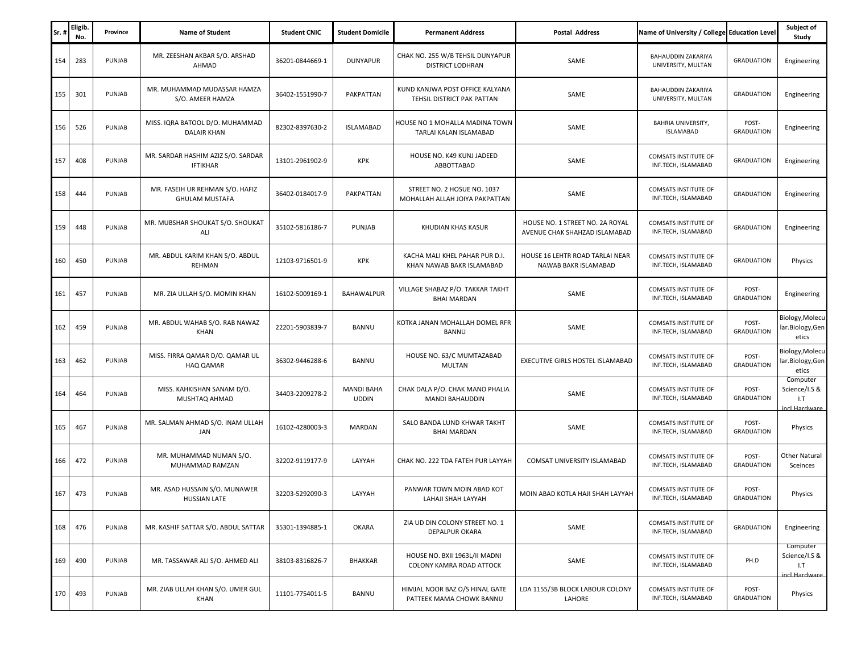| Sr. | Eligib.<br>No. | Province | <b>Name of Student</b>                                   | <b>Student CNIC</b> | <b>Student Domicile</b>           | <b>Permanent Address</b>                                      | <b>Postal Address</b>                                            | Name of University / College Education Level       |                            | Subject of<br>Study                               |
|-----|----------------|----------|----------------------------------------------------------|---------------------|-----------------------------------|---------------------------------------------------------------|------------------------------------------------------------------|----------------------------------------------------|----------------------------|---------------------------------------------------|
| 154 | 283            | PUNJAB   | MR. ZEESHAN AKBAR S/O. ARSHAD<br>AHMAD                   | 36201-0844669-1     | <b>DUNYAPUR</b>                   | CHAK NO. 255 W/B TEHSIL DUNYAPUR<br><b>DISTRICT LODHRAN</b>   | SAME                                                             | <b>BAHAUDDIN ZAKARIYA</b><br>UNIVERSITY, MULTAN    | <b>GRADUATION</b>          | Engineering                                       |
| 155 | 301            | PUNJAB   | MR. MUHAMMAD MUDASSAR HAMZA<br>S/O. AMEER HAMZA          | 36402-1551990-7     | PAKPATTAN                         | KUND KANJWA POST OFFICE KALYANA<br>TEHSIL DISTRICT PAK PATTAN | SAME                                                             | <b>BAHAUDDIN ZAKARIYA</b><br>UNIVERSITY, MULTAN    | <b>GRADUATION</b>          | Engineering                                       |
| 156 | 526            | PUNJAB   | MISS. IQRA BATOOL D/O. MUHAMMAD<br><b>DALAIR KHAN</b>    | 82302-8397630-2     | <b>ISLAMABAD</b>                  | HOUSE NO 1 MOHALLA MADINA TOWN<br>TARLAI KALAN ISLAMABAD      | SAME                                                             | <b>BAHRIA UNIVERSITY,</b><br><b>ISLAMABAD</b>      | POST-<br><b>GRADUATION</b> | Engineering                                       |
| 157 | 408            | PUNJAB   | MR. SARDAR HASHIM AZIZ S/O. SARDAR<br><b>IFTIKHAR</b>    | 13101-2961902-9     | <b>KPK</b>                        | HOUSE NO. K49 KUNJ JADEED<br>ABBOTTABAD                       | SAME                                                             | <b>COMSATS INSTITUTE OF</b><br>INF.TECH, ISLAMABAD | <b>GRADUATION</b>          | Engineering                                       |
| 158 | 444            | PUNJAB   | MR. FASEIH UR REHMAN S/O. HAFIZ<br><b>GHULAM MUSTAFA</b> | 36402-0184017-9     | PAKPATTAN                         | STREET NO. 2 HOSUE NO. 1037<br>MOHALLAH ALLAH JOIYA PAKPATTAN | SAME                                                             | COMSATS INSTITUTE OF<br>INF.TECH, ISLAMABAD        | <b>GRADUATION</b>          | Engineering                                       |
| 159 | 448            | PUNJAB   | MR. MUBSHAR SHOUKAT S/O. SHOUKAT<br>ALI                  | 35102-5816186-7     | PUNJAB                            | KHUDIAN KHAS KASUR                                            | HOUSE NO. 1 STREET NO. 2A ROYAL<br>AVENUE CHAK SHAHZAD ISLAMABAD | COMSATS INSTITUTE OF<br>INF.TECH, ISLAMABAD        | <b>GRADUATION</b>          | Engineering                                       |
| 160 | 450            | PUNJAB   | MR. ABDUL KARIM KHAN S/O. ABDUL<br>REHMAN                | 12103-9716501-9     | <b>KPK</b>                        | KACHA MALI KHEL PAHAR PUR D.I.<br>KHAN NAWAB BAKR ISLAMABAD   | HOUSE 16 LEHTR ROAD TARLAI NEAR<br>NAWAB BAKR ISLAMABAD          | <b>COMSATS INSTITUTE OF</b><br>INF.TECH, ISLAMABAD | <b>GRADUATION</b>          | Physics                                           |
| 161 | 457            | PUNJAB   | MR. ZIA ULLAH S/O. MOMIN KHAN                            | 16102-5009169-1     | BAHAWALPUR                        | VILLAGE SHABAZ P/O. TAKKAR TAKHT<br><b>BHAI MARDAN</b>        | SAME                                                             | <b>COMSATS INSTITUTE OF</b><br>INF.TECH, ISLAMABAD | POST-<br><b>GRADUATION</b> | Engineering                                       |
| 162 | 459            | PUNJAB   | MR. ABDUL WAHAB S/O. RAB NAWAZ<br>KHAN                   | 22201-5903839-7     | <b>BANNU</b>                      | KOTKA JANAN MOHALLAH DOMEL RFR<br><b>BANNU</b>                | SAME                                                             | <b>COMSATS INSTITUTE OF</b><br>INF.TECH, ISLAMABAD | POST-<br><b>GRADUATION</b> | Biology, Molecu<br>lar.Biology,Gen<br>etics       |
| 163 | 462            | PUNJAB   | MISS. FIRRA QAMAR D/O. QAMAR UL<br>HAQ QAMAR             | 36302-9446288-6     | <b>BANNU</b>                      | HOUSE NO. 63/C MUMTAZABAD<br><b>MULTAN</b>                    | EXECUTIVE GIRLS HOSTEL ISLAMABAD                                 | <b>COMSATS INSTITUTE OF</b><br>INF.TECH, ISLAMABAD | POST-<br><b>GRADUATION</b> | Biology, Molecu<br>lar.Biology,Gen<br>etics       |
| 164 | 464            | PUNJAB   | MISS. KAHKISHAN SANAM D/O.<br>MUSHTAQ AHMAD              | 34403-2209278-2     | <b>MANDI BAHA</b><br><b>UDDIN</b> | CHAK DALA P/O. CHAK MANO PHALIA<br>MANDI BAHAUDDIN            | SAME                                                             | COMSATS INSTITUTE OF<br>INF.TECH, ISLAMABAD        | POST-<br><b>GRADUATION</b> | Computer<br>Science/I.S &<br>I.T<br>incl Hardware |
| 165 | 467            | PUNJAB   | MR. SALMAN AHMAD S/O. INAM ULLAH<br>JAN                  | 16102-4280003-3     | MARDAN                            | SALO BANDA LUND KHWAR TAKHT<br><b>BHAI MARDAN</b>             | SAME                                                             | COMSATS INSTITUTE OF<br>INF.TECH, ISLAMABAD        | POST-<br><b>GRADUATION</b> | Physics                                           |
| 166 | 472            | PUNJAB   | MR. MUHAMMAD NUMAN S/O.<br>MUHAMMAD RAMZAN               | 32202-9119177-9     | LAYYAH                            | CHAK NO. 222 TDA FATEH PUR LAYYAH                             | COMSAT UNIVERSITY ISLAMABAD                                      | <b>COMSATS INSTITUTE OF</b><br>INF.TECH, ISLAMABAD | POST-<br><b>GRADUATION</b> | <b>Other Natural</b><br>Sceinces                  |
| 167 | 473            | PUNJAB   | MR. ASAD HUSSAIN S/O. MUNAWER<br><b>HUSSIAN LATE</b>     | 32203-5292090-3     | LAYYAH                            | PANWAR TOWN MOIN ABAD KOT<br>LAHAJI SHAH LAYYAH               | MOIN ABAD KOTLA HAJI SHAH LAYYAH                                 | COMSATS INSTITUTE OF<br>INF.TECH, ISLAMABAD        | POST-<br><b>GRADUATION</b> | Physics                                           |
| 168 | 476            | PUNJAB   | MR. KASHIF SATTAR S/O. ABDUL SATTAR                      | 35301-1394885-1     | OKARA                             | ZIA UD DIN COLONY STREET NO. 1<br>DEPALPUR OKARA              | SAME                                                             | <b>COMSATS INSTITUTE OF</b><br>INF.TECH, ISLAMABAD | <b>GRADUATION</b>          | Engineering                                       |
| 169 | 490            | PUNJAB   | MR. TASSAWAR ALI S/O. AHMED ALI                          | 38103-8316826-7     | <b>BHAKKAR</b>                    | HOUSE NO. BXII 1963L/II MADNI<br>COLONY KAMRA ROAD ATTOCK     | SAME                                                             | COMSATS INSTITUTE OF<br>INF.TECH, ISLAMABAD        | PH.D                       | Computer<br>Science/I.S &<br>1.7<br>incl Hardware |
| 170 | 493            | PUNJAB   | MR. ZIAB ULLAH KHAN S/O. UMER GUL<br>KHAN                | 11101-7754011-5     | <b>BANNU</b>                      | HIMJAL NOOR BAZ O/S HINAL GATE<br>PATTEEK MAMA CHOWK BANNU    | LDA 1155/3B BLOCK LABOUR COLONY<br>LAHORE                        | COMSATS INSTITUTE OF<br>INF.TECH, ISLAMABAD        | POST-<br><b>GRADUATION</b> | Physics                                           |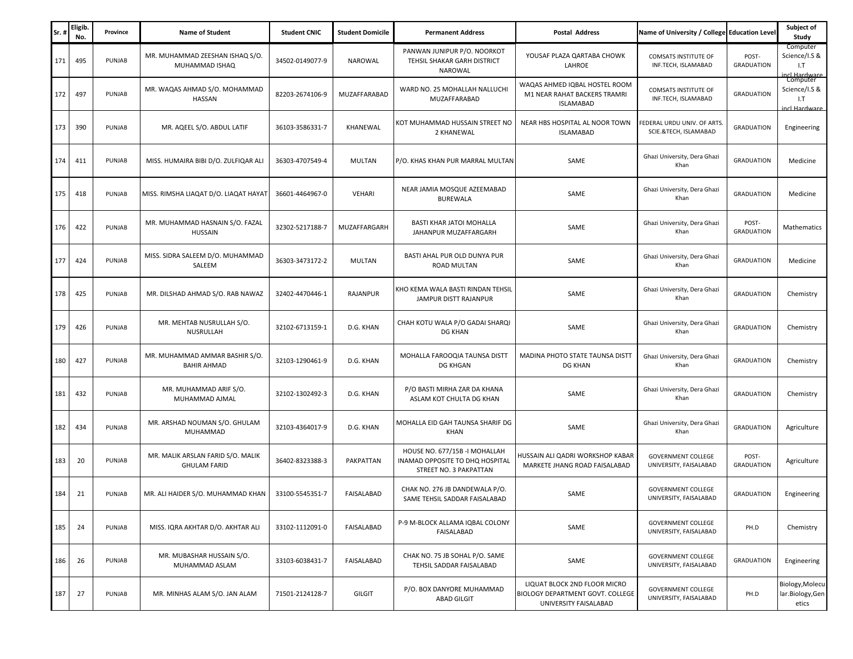| Sr. | Eligib.<br>No. | Province | <b>Name of Student</b>                                   | <b>Student CNIC</b> | <b>Student Domicile</b> | <b>Permanent Address</b>                                                                    | <b>Postal Address</b>                                                                            | Name of University / College Education Level         |                            | Subject of<br>Study                                          |
|-----|----------------|----------|----------------------------------------------------------|---------------------|-------------------------|---------------------------------------------------------------------------------------------|--------------------------------------------------------------------------------------------------|------------------------------------------------------|----------------------------|--------------------------------------------------------------|
| 171 | 495            | PUNJAB   | MR. MUHAMMAD ZEESHAN ISHAQ S/O.<br>MUHAMMAD ISHAQ        | 34502-0149077-9     | <b>NAROWAL</b>          | PANWAN JUNIPUR P/O. NOORKOT<br>TEHSIL SHAKAR GARH DISTRICT<br>NAROWAL                       | YOUSAF PLAZA QARTABA CHOWK<br>LAHROE                                                             | COMSATS INSTITUTE OF<br>INF.TECH, ISLAMABAD          | POST-<br><b>GRADUATION</b> | Computer<br>Science/I.S &<br>1.7<br>ncl.Hardware<br>Computer |
| 172 | 497            | PUNJAB   | MR. WAQAS AHMAD S/O. MOHAMMAD<br>HASSAN                  | 82203-2674106-9     | MUZAFFARABAD            | WARD NO. 25 MOHALLAH NALLUCHI<br>MUZAFFARABAD                                               | WAQAS AHMED IQBAL HOSTEL ROOM<br>M1 NEAR RAHAT BACKERS TRAMRI<br><b>ISLAMABAD</b>                | COMSATS INSTITUTE OF<br>INF.TECH, ISLAMABAD          | <b>GRADUATION</b>          | Science/I.S &<br>1.7<br>incl Hardware                        |
| 173 | 390            | PUNJAB   | MR. AQEEL S/O. ABDUL LATIF                               | 36103-3586331-7     | KHANEWAL                | KOT MUHAMMAD HUSSAIN STREET NO<br>2 KHANEWAL                                                | NEAR HBS HOSPITAL AL NOOR TOWN<br><b>ISLAMABAD</b>                                               | FEDERAL URDU UNIV. OF ARTS.<br>SCIE.&TECH, ISLAMABAD | <b>GRADUATION</b>          | Engineering                                                  |
| 174 | 411            | PUNJAB   | MISS. HUMAIRA BIBI D/O. ZULFIQAR ALI                     | 36303-4707549-4     | MULTAN                  | P/O. KHAS KHAN PUR MARRAL MULTAN                                                            | SAME                                                                                             | Ghazi University, Dera Ghazi<br>Khan                 | <b>GRADUATION</b>          | Medicine                                                     |
| 175 | 418            | PUNJAB   | MISS. RIMSHA LIAQAT D/O. LIAQAT HAYAT                    | 36601-4464967-0     | VEHARI                  | NEAR JAMIA MOSQUE AZEEMABAD<br><b>BUREWALA</b>                                              | SAME                                                                                             | Ghazi University, Dera Ghazi<br>Khan                 | <b>GRADUATION</b>          | Medicine                                                     |
| 176 | 422            | PUNJAB   | MR. MUHAMMAD HASNAIN S/O. FAZAL<br>HUSSAIN               | 32302-5217188-7     | MUZAFFARGARH            | BASTI KHAR JATOI MOHALLA<br>JAHANPUR MUZAFFARGARH                                           | SAME                                                                                             | Ghazi University, Dera Ghazi<br>Khan                 | POST-<br><b>GRADUATION</b> | Mathematics                                                  |
| 177 | 424            | PUNJAB   | MISS. SIDRA SALEEM D/O. MUHAMMAD<br>SALEEM               | 36303-3473172-2     | MULTAN                  | BASTI AHAL PUR OLD DUNYA PUR<br>ROAD MULTAN                                                 | SAME                                                                                             | Ghazi University, Dera Ghazi<br>Khan                 | <b>GRADUATION</b>          | Medicine                                                     |
| 178 | 425            | PUNJAB   | MR. DILSHAD AHMAD S/O. RAB NAWAZ                         | 32402-4470446-1     | RAJANPUR                | KHO KEMA WALA BASTI RINDAN TEHSIL<br>JAMPUR DISTT RAJANPUR                                  | SAME                                                                                             | Ghazi University, Dera Ghazi<br>Khan                 | <b>GRADUATION</b>          | Chemistry                                                    |
| 179 | 426            | PUNJAB   | MR. MEHTAB NUSRULLAH S/O.<br>NUSRULLAH                   | 32102-6713159-1     | D.G. KHAN               | CHAH KOTU WALA P/O GADAI SHARQI<br><b>DG KHAN</b>                                           | SAME                                                                                             | Ghazi University, Dera Ghazi<br>Khan                 | <b>GRADUATION</b>          | Chemistry                                                    |
| 180 | 427            | PUNJAB   | MR. MUHAMMAD AMMAR BASHIR S/O.<br><b>BAHIR AHMAD</b>     | 32103-1290461-9     | D.G. KHAN               | MOHALLA FAROOQIA TAUNSA DISTT<br>DG KHGAN                                                   | MADINA PHOTO STATE TAUNSA DISTT<br>DG KHAN                                                       | Ghazi University, Dera Ghazi<br>Khan                 | <b>GRADUATION</b>          | Chemistry                                                    |
| 181 | 432            | PUNJAB   | MR. MUHAMMAD ARIF S/O.<br>MUHAMMAD AJMAL                 | 32102-1302492-3     | D.G. KHAN               | P/O BASTI MIRHA ZAR DA KHANA<br>ASLAM KOT CHULTA DG KHAN                                    | SAME                                                                                             | Ghazi University, Dera Ghazi<br>Khan                 | <b>GRADUATION</b>          | Chemistry                                                    |
| 182 | 434            | PUNJAB   | MR. ARSHAD NOUMAN S/O. GHULAM<br>MUHAMMAD                | 32103-4364017-9     | D.G. KHAN               | MOHALLA EID GAH TAUNSA SHARIF DG<br><b>KHAN</b>                                             | SAME                                                                                             | Ghazi University, Dera Ghazi<br>Khan                 | <b>GRADUATION</b>          | Agriculture                                                  |
| 183 | 20             | PUNJAB   | MR. MALIK ARSLAN FARID S/O. MALIK<br><b>GHULAM FARID</b> | 36402-8323388-3     | PAKPATTAN               | HOUSE NO. 677/15B - I MOHALLAH<br>INAMAD OPPOSITE TO DHQ HOSPITAL<br>STREET NO. 3 PAKPATTAN | HUSSAIN ALI QADRI WORKSHOP KABAR<br>MARKETE JHANG ROAD FAISALABAD                                | <b>GOVERNMENT COLLEGE</b><br>UNIVERSITY, FAISALABAD  | POST-<br><b>GRADUATION</b> | Agriculture                                                  |
| 184 | 21             | PUNJAB   | MR. ALI HAIDER S/O. MUHAMMAD KHAN                        | 33100-5545351-7     | FAISALABAD              | CHAK NO. 276 JB DANDEWALA P/O.<br>SAME TEHSIL SADDAR FAISALABAD                             | SAME                                                                                             | <b>GOVERNMENT COLLEGE</b><br>UNIVERSITY, FAISALABAD  | <b>GRADUATION</b>          | Engineering                                                  |
| 185 | 24             | PUNJAB   | MISS. IQRA AKHTAR D/O. AKHTAR ALI                        | 33102-1112091-0     | FAISALABAD              | P-9 M-BLOCK ALLAMA IOBAL COLONY<br>FAISALABAD                                               | SAME                                                                                             | <b>GOVERNMENT COLLEGE</b><br>UNIVERSITY, FAISALABAD  | PH.D                       | Chemistry                                                    |
| 186 | 26             | PUNJAB   | MR. MUBASHAR HUSSAIN S/O.<br>MUHAMMAD ASLAM              | 33103-6038431-7     | FAISALABAD              | CHAK NO. 75 JB SOHAL P/O. SAME<br>TEHSIL SADDAR FAISALABAD                                  | SAME                                                                                             | <b>GOVERNMENT COLLEGE</b><br>UNIVERSITY, FAISALABAD  | <b>GRADUATION</b>          | Engineering                                                  |
| 187 | 27             | PUNJAB   | MR. MINHAS ALAM S/O. JAN ALAM                            | 71501-2124128-7     | GILGIT                  | P/O. BOX DANYORE MUHAMMAD<br><b>ABAD GILGIT</b>                                             | LIQUAT BLOCK 2ND FLOOR MICRO<br><b>BIOLOGY DEPARTMENT GOVT. COLLEGE</b><br>UNIVERSITY FAISALABAD | <b>GOVERNMENT COLLEGE</b><br>UNIVERSITY, FAISALABAD  | PH.D                       | Biology, Molecu<br>lar.Biology,Gen<br>etics                  |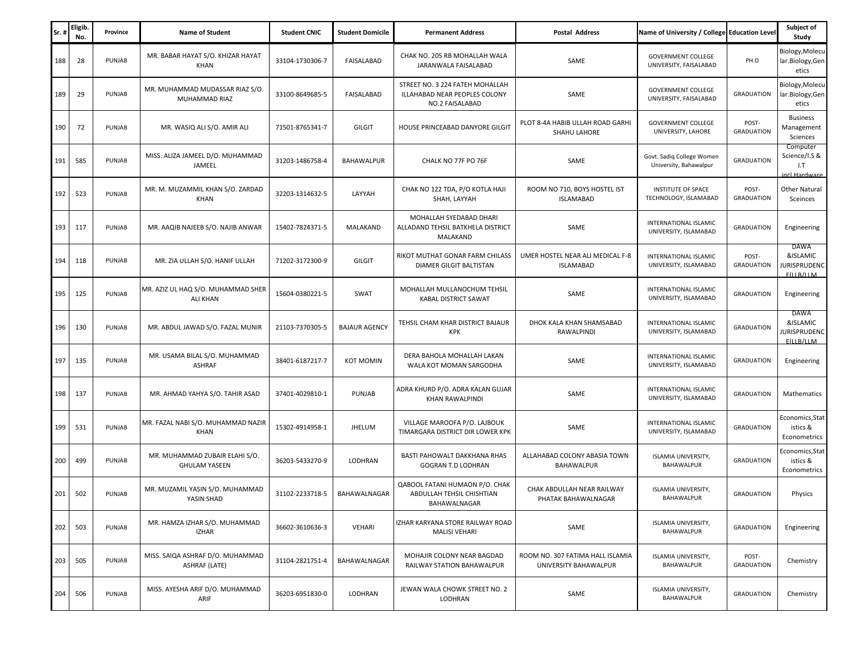| Sr. | <b>Eligib</b><br>No. | Province | <b>Name of Student</b>                                   | <b>Student CNIC</b> | <b>Student Domicile</b> | <b>Permanent Address</b>                                                            | <b>Postal Address</b>                                     | Name of University / College Education Level        |                            | Subject of<br>Study                                   |
|-----|----------------------|----------|----------------------------------------------------------|---------------------|-------------------------|-------------------------------------------------------------------------------------|-----------------------------------------------------------|-----------------------------------------------------|----------------------------|-------------------------------------------------------|
| 188 | 28                   | PUNJAB   | MR. BABAR HAYAT S/O. KHIZAR HAYAT<br>KHAN                | 33104-1730306-7     | FAISALABAD              | CHAK NO. 205 RB MOHALLAH WALA<br>JARANWALA FAISALABAD                               | SAME                                                      | <b>GOVERNMENT COLLEGE</b><br>UNIVERSITY, FAISALABAD | PH.D                       | Biology, Molecu<br>lar.Biology,Gen<br>etics           |
| 189 | 29                   | PUNJAB   | MR. MUHAMMAD MUDASSAR RIAZ S/O.<br>MUHAMMAD RIAZ         | 33100-8649685-5     | FAISALABAD              | STREET NO. 3 224 FATEH MOHALLAH<br>ILLAHABAD NEAR PEOPLES COLONY<br>NO.2 FAISALABAD | SAME                                                      | <b>GOVERNMENT COLLEGE</b><br>UNIVERSITY, FAISALABAD | <b>GRADUATION</b>          | Biology, Molecu<br>lar.Biology,Gen<br>etics           |
| 190 | 72                   | PUNJAB   | MR. WASIQ ALI S/O. AMIR ALI                              | 71501-8765341-7     | <b>GILGIT</b>           | HOUSE PRINCEABAD DANYORE GILGIT                                                     | PLOT 8-4A HABIB ULLAH ROAD GARHI<br>SHAHU LAHORE          | <b>GOVERNMENT COLLEGE</b><br>UNIVERSITY, LAHORE     | POST-<br><b>GRADUATION</b> | <b>Business</b><br>Management<br>Sciences             |
| 191 | 585                  | PUNJAB   | MISS. ALIZA JAMEEL D/O. MUHAMMAD<br>JAMEEL               | 31203-1486758-4     | BAHAWALPUR              | CHALK NO 77F PO 76F                                                                 | SAME                                                      | Govt. Sadiq College Women<br>University, Bahawalpur | <b>GRADUATION</b>          | Computer<br>Science/I.S &<br>1.7<br>incl Hardware     |
| 192 | 523                  | PUNJAB   | MR. M. MUZAMMIL KHAN S/O. ZARDAD<br>KHAN                 | 32203-1314632-5     | LAYYAH                  | CHAK NO 122 TDA, P/O KOTLA HAJI<br>SHAH, LAYYAH                                     | ROOM NO 710, BOYS HOSTEL IST<br><b>ISLAMABAD</b>          | INSTITUTE OF SPACE<br>TECHNOLOGY, ISLAMABAD         | POST-<br><b>GRADUATION</b> | Other Natural<br>Sceinces                             |
| 193 | 117                  | PUNJAB   | MR. AAQIB NAJEEB S/O. NAJIB ANWAR                        | 15402-7824371-5     | MALAKAND                | MOHALLAH SYEDABAD DHARI<br>ALLADAND TEHSIL BATKHELA DISTRICT<br>MALAKAND            | SAME                                                      | INTERNATIONAL ISLAMIC<br>UNIVERSITY, ISLAMABAD      | <b>GRADUATION</b>          | Engineering                                           |
| 194 | 118                  | PUNJAB   | MR. ZIA ULLAH S/O. HANIF ULLAH                           | 71202-3172300-9     | <b>GILGIT</b>           | RIKOT MUTHAT GONAR FARM CHILASS<br>DIAMER GILGIT BALTISTAN                          | UMER HOSTEL NEAR ALI MEDICAL F-8<br><b>ISLAMABAD</b>      | INTERNATIONAL ISLAMIC<br>UNIVERSITY, ISLAMABAD      | POST-<br><b>GRADUATION</b> | DAWA<br>&ISLAMIC<br><b>URISPRUDENC</b><br>F(II B/II M |
| 195 | 125                  | PUNJAB   | MR. AZIZ UL HAQ S/O. MUHAMMAD SHER<br><b>ALI KHAN</b>    | 15604-0380221-5     | SWAT                    | MOHALLAH MULLANOCHUM TEHSIL<br>KABAL DISTRICT SAWAT                                 | SAME                                                      | INTERNATIONAL ISLAMIC<br>UNIVERSITY, ISLAMABAD      | <b>GRADUATION</b>          | Engineering                                           |
| 196 | 130                  | PUNJAB   | MR. ABDUL JAWAD S/O. FAZAL MUNIR                         | 21103-7370305-5     | <b>BAJAUR AGENCY</b>    | TEHSIL CHAM KHAR DISTRICT BAJAUR<br>KPK                                             | DHOK KALA KHAN SHAMSABAD<br>RAWALPINDI                    | INTERNATIONAL ISLAMIC<br>UNIVERSITY, ISLAMABAD      | <b>GRADUATION</b>          | DAWA<br>&ISLAMIC<br><b>URISPRUDENC</b><br>F(II B/II M |
| 197 | 135                  | PUNJAB   | MR. USAMA BILAL S/O. MUHAMMAD<br>ASHRAF                  | 38401-6187217-7     | <b>KOT MOMIN</b>        | DERA BAHOLA MOHALLAH LAKAN<br>WALA KOT MOMAN SARGODHA                               | SAME                                                      | INTERNATIONAL ISLAMIC<br>UNIVERSITY, ISLAMABAD      | <b>GRADUATION</b>          | Engineering                                           |
| 198 | 137                  | PUNJAB   | MR. AHMAD YAHYA S/O. TAHIR ASAD                          | 37401-4029810-1     | PUNJAB                  | ADRA KHURD P/O. ADRA KALAN GUJAR<br>KHAN RAWALPINDI                                 | SAME                                                      | INTERNATIONAL ISLAMIC<br>UNIVERSITY, ISLAMABAD      | <b>GRADUATION</b>          | Mathematics                                           |
| 199 | 531                  | PUNJAB   | MR. FAZAL NABI S/O. MUHAMMAD NAZIR<br>KHAN               | 15302-4914958-1     | JHELUM                  | VILLAGE MAROOFA P/O. LAJBOUK<br>TIMARGARA DISTRICT DIR LOWER KPK                    | SAME                                                      | INTERNATIONAL ISLAMIC<br>UNIVERSITY, ISLAMABAD      | <b>GRADUATION</b>          | Economics,Stat<br>istics &<br>Econometrics            |
| 200 | 499                  | PUNJAB   | MR. MUHAMMAD ZUBAIR ELAHI S/O.<br><b>GHULAM YASEEN</b>   | 36203-5433270-9     | LODHRAN                 | BASTI PAHOWALT DAKKHANA RHAS<br>GOGRAN T.D LODHRAN                                  | ALLAHABAD COLONY ABASIA TOWN<br><b>BAHAWALPUR</b>         | ISLAMIA UNIVERSITY,<br>BAHAWALPUR                   | <b>GRADUATION</b>          | Economics, Stat<br>istics &<br>Econometrics           |
| 201 | 502                  | PUNJAB   | MR. MUZAMIL YASIN S/O. MUHAMMAD<br>YASIN SHAD            | 31102-2233718-5     | BAHAWALNAGAR            | QABOOL FATANI HUMAON P/O. CHAK<br>ABDULLAH TEHSIL CHISHTIAN<br>BAHAWALNAGAR         | CHAK ABDULLAH NEAR RAILWAY<br>PHATAK BAHAWALNAGAR         | ISLAMIA UNIVERSITY,<br>BAHAWALPUR                   | <b>GRADUATION</b>          | Physics                                               |
| 202 | 503                  | PUNJAB   | MR. HAMZA IZHAR S/O. MUHAMMAD<br><b>IZHAR</b>            | 36602-3610636-3     | VEHARI                  | IZHAR KARYANA STORE RAILWAY ROAD<br>MALISI VEHARI                                   | SAME                                                      | ISLAMIA UNIVERSITY,<br>BAHAWALPUR                   | <b>GRADUATION</b>          | Engineering                                           |
| 203 | 505                  | PUNJAB   | MISS. SAIQA ASHRAF D/O. MUHAMMAD<br><b>ASHRAF (LATE)</b> | 31104-2821751-4     | BAHAWALNAGAR            | MOHAJIR COLONY NEAR BAGDAD<br>RAILWAY STATION BAHAWALPUR                            | ROOM NO. 307 FATIMA HALL ISLAMIA<br>UNIVERSITY BAHAWALPUR | ISLAMIA UNIVERSITY,<br>BAHAWALPUR                   | POST-<br><b>GRADUATION</b> | Chemistry                                             |
| 204 | 506                  | PUNJAB   | MISS. AYESHA ARIF D/O. MUHAMMAD<br>ARIF                  | 36203-6951830-0     | LODHRAN                 | JEWAN WALA CHOWK STREET NO. 2<br>LODHRAN                                            | SAME                                                      | ISLAMIA UNIVERSITY,<br><b>BAHAWALPUR</b>            | <b>GRADUATION</b>          | Chemistry                                             |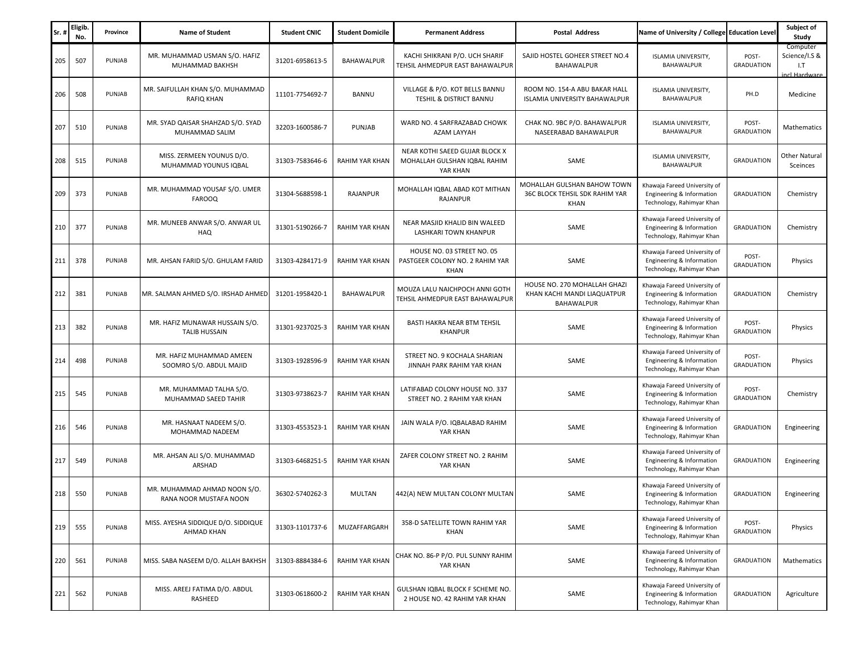| Sr. | Eligib<br>No. | Province | <b>Name of Student</b>                                 | <b>Student CNIC</b> | <b>Student Domicile</b> | <b>Permanent Address</b>                                                   | <b>Postal Address</b>                                                     | Name of University / College Education Level                                           |                            | Subject of<br>Study                               |
|-----|---------------|----------|--------------------------------------------------------|---------------------|-------------------------|----------------------------------------------------------------------------|---------------------------------------------------------------------------|----------------------------------------------------------------------------------------|----------------------------|---------------------------------------------------|
| 205 | 507           | PUNJAB   | MR. MUHAMMAD USMAN S/O. HAFIZ<br>MUHAMMAD BAKHSH       | 31201-6958613-5     | <b>BAHAWALPUR</b>       | KACHI SHIKRANI P/O. UCH SHARIF<br>TEHSIL AHMEDPUR EAST BAHAWALPUR          | SAJID HOSTEL GOHEER STREET NO.4<br>BAHAWALPUR                             | ISLAMIA UNIVERSITY,<br>BAHAWALPUR                                                      | POST-<br><b>GRADUATION</b> | Computer<br>Science/I.S &<br>I.T<br>incl.Hardware |
| 206 | 508           | PUNJAB   | MR. SAIFULLAH KHAN S/O. MUHAMMAD<br>RAFIQ KHAN         | 11101-7754692-7     | BANNU                   | VILLAGE & P/O. KOT BELLS BANNU<br>TESHIL & DISTRICT BANNU                  | ROOM NO. 154-A ABU BAKAR HALL<br>ISLAMIA UNIVERSITY BAHAWALPUR            | ISLAMIA UNIVERSITY,<br>BAHAWALPUR                                                      | PH.D                       | Medicine                                          |
| 207 | 510           | PUNJAB   | MR. SYAD QAISAR SHAHZAD S/O. SYAD<br>MUHAMMAD SALIM    | 32203-1600586-7     | PUNJAB                  | WARD NO. 4 SARFRAZABAD CHOWK<br>AZAM LAYYAH                                | CHAK NO. 9BC P/O. BAHAWALPUR<br>NASEERABAD BAHAWALPUR                     | ISLAMIA UNIVERSITY,<br>BAHAWALPUR                                                      | POST-<br><b>GRADUATION</b> | Mathematics                                       |
| 208 | 515           | PUNJAB   | MISS. ZERMEEN YOUNUS D/O.<br>MUHAMMAD YOUNUS IQBAL     | 31303-7583646-6     | <b>RAHIM YAR KHAN</b>   | NEAR KOTHI SAEED GUJAR BLOCK X<br>MOHALLAH GULSHAN IQBAL RAHIM<br>YAR KHAN | SAME                                                                      | ISLAMIA UNIVERSITY,<br>BAHAWALPUR                                                      | <b>GRADUATION</b>          | <b>Other Natural</b><br>Sceinces                  |
| 209 | 373           | PUNJAB   | MR. MUHAMMAD YOUSAF S/O. UMER<br><b>FAROOQ</b>         | 31304-5688598-1     | RAJANPUR                | MOHALLAH IQBAL ABAD KOT MITHAN<br>RAJANPUR                                 | MOHALLAH GULSHAN BAHOW TOWN<br>36C BLOCK TEHSIL SDK RAHIM YAR<br>KHAN     | Khawaja Fareed University of<br>Engineering & Information<br>Technology, Rahimyar Khan | <b>GRADUATION</b>          | Chemistry                                         |
| 210 | 377           | PUNJAB   | MR. MUNEEB ANWAR S/O. ANWAR UL<br>HAQ                  | 31301-5190266-7     | RAHIM YAR KHAN          | NEAR MASJID KHALID BIN WALEED<br>LASHKARI TOWN KHANPUR                     | SAME                                                                      | Khawaja Fareed University of<br>Engineering & Information<br>Technology, Rahimyar Khan | <b>GRADUATION</b>          | Chemistry                                         |
| 211 | 378           | PUNJAB   | MR. AHSAN FARID S/O. GHULAM FARID                      | 31303-4284171-9     | RAHIM YAR KHAN          | HOUSE NO. 03 STREET NO. 05<br>PASTGEER COLONY NO. 2 RAHIM YAR<br>KHAN      | SAME                                                                      | Khawaja Fareed University of<br>Engineering & Information<br>Technology, Rahimyar Khan | POST-<br><b>GRADUATION</b> | Physics                                           |
| 212 | 381           | PUNJAB   | MR. SALMAN AHMED S/O. IRSHAD AHMED                     | 31201-1958420-1     | BAHAWALPUR              | MOUZA LALU NAICHPOCH ANNI GOTH<br>TEHSIL AHMEDPUR EAST BAHAWALPUR          | HOUSE NO. 270 MOHALLAH GHAZI<br>KHAN KACHI MANDI LIAQUATPUR<br>BAHAWALPUR | Khawaja Fareed University of<br>Engineering & Information<br>Technology, Rahimyar Khan | <b>GRADUATION</b>          | Chemistry                                         |
| 213 | 382           | PUNJAB   | MR. HAFIZ MUNAWAR HUSSAIN S/O.<br><b>TALIB HUSSAIN</b> | 31301-9237025-3     | RAHIM YAR KHAN          | <b>BASTI HAKRA NEAR BTM TEHSIL</b><br><b>KHANPUR</b>                       | SAME                                                                      | Khawaja Fareed University of<br>Engineering & Information<br>Technology, Rahimyar Khan | POST-<br><b>GRADUATION</b> | Physics                                           |
| 214 | 498           | PUNJAB   | MR. HAFIZ MUHAMMAD AMEEN<br>SOOMRO S/O. ABDUL MAJID    | 31303-1928596-9     | RAHIM YAR KHAN          | STREET NO. 9 KOCHALA SHARIAN<br>JINNAH PARK RAHIM YAR KHAN                 | SAME                                                                      | Khawaja Fareed University of<br>Engineering & Information<br>Technology, Rahimyar Khan | POST-<br><b>GRADUATION</b> | Physics                                           |
| 215 | 545           | PUNJAB   | MR. MUHAMMAD TALHA S/O.<br>MUHAMMAD SAEED TAHIR        | 31303-9738623-7     | RAHIM YAR KHAN          | LATIFABAD COLONY HOUSE NO. 337<br>STREET NO. 2 RAHIM YAR KHAN              | SAME                                                                      | Khawaja Fareed University of<br>Engineering & Information<br>Technology, Rahimyar Khan | POST-<br><b>GRADUATION</b> | Chemistry                                         |
| 216 | 546           | PUNJAB   | MR. HASNAAT NADEEM S/O.<br>MOHAMMAD NADEEM             | 31303-4553523-1     | RAHIM YAR KHAN          | JAIN WALA P/O. IQBALABAD RAHIM<br>YAR KHAN                                 | SAME                                                                      | Khawaja Fareed University of<br>Engineering & Information<br>Technology, Rahimyar Khan | <b>GRADUATION</b>          | Engineering                                       |
| 217 | 549           | PUNJAB   | MR. AHSAN ALI S/O. MUHAMMAD<br>ARSHAD                  | 31303-6468251-5     | RAHIM YAR KHAN          | ZAFER COLONY STREET NO. 2 RAHIM<br>YAR KHAN                                | SAME                                                                      | Khawaja Fareed University of<br>Engineering & Information<br>Technology, Rahimyar Khan | <b>GRADUATION</b>          | Engineering                                       |
| 218 | 550           | PUNJAB   | MR. MUHAMMAD AHMAD NOON S/O.<br>RANA NOOR MUSTAFA NOON | 36302-5740262-3     | MULTAN                  | 442(A) NEW MULTAN COLONY MULTAN                                            | SAME                                                                      | Khawaja Fareed University of<br>Engineering & Information<br>Technology, Rahimyar Khan | <b>GRADUATION</b>          | Engineering                                       |
| 219 | 555           | PUNJAB   | MISS. AYESHA SIDDIQUE D/O. SIDDIQUE<br>AHMAD KHAN      | 31303-1101737-6     | MUZAFFARGARH            | 358-D SATELLITE TOWN RAHIM YAR<br>KHAN                                     | SAME                                                                      | Khawaja Fareed University of<br>Engineering & Information<br>Technology, Rahimyar Khan | POST-<br><b>GRADUATION</b> | Physics                                           |
| 220 | 561           | PUNJAB   | MISS. SABA NASEEM D/O. ALLAH BAKHSH                    | 31303-8884384-6     | <b>RAHIM YAR KHAN</b>   | CHAK NO. 86-P P/O. PUL SUNNY RAHIM<br>YAR KHAN                             | SAME                                                                      | Khawaja Fareed University of<br>Engineering & Information<br>Technology, Rahimyar Khan | <b>GRADUATION</b>          | Mathematics                                       |
| 221 | 562           | PUNJAB   | MISS. AREEJ FATIMA D/O. ABDUL<br>RASHEED               | 31303-0618600-2     | RAHIM YAR KHAN          | GULSHAN IQBAL BLOCK F SCHEME NO.<br>2 HOUSE NO. 42 RAHIM YAR KHAN          | SAME                                                                      | Khawaja Fareed University of<br>Engineering & Information<br>Technology, Rahimyar Khan | <b>GRADUATION</b>          | Agriculture                                       |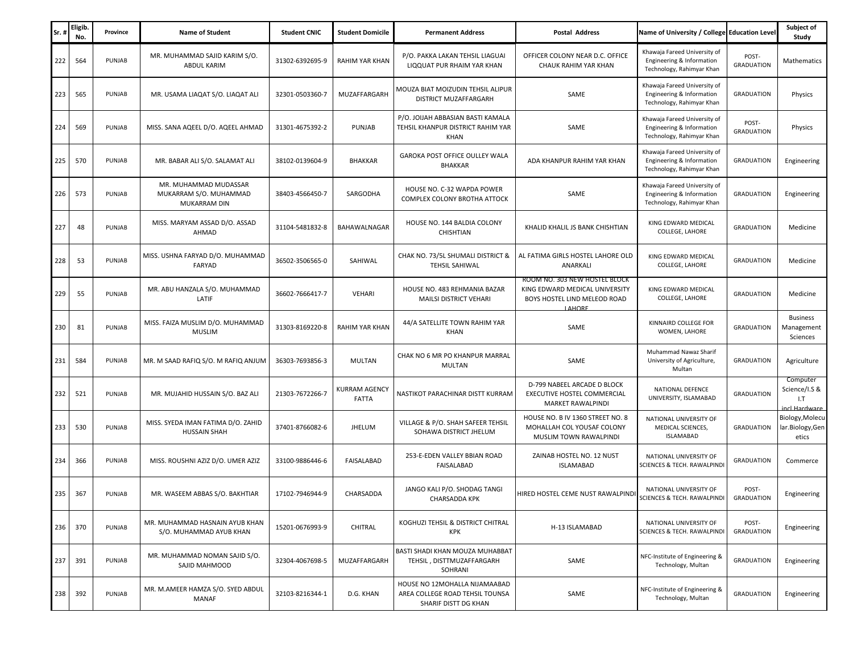| Sr | Eligib.<br>No. | Province | <b>Name of Student</b>                                          | <b>Student CNIC</b> | <b>Student Domicile</b>       | <b>Permanent Address</b>                                                                 | <b>Postal Address</b>                                                                                     | Name of University / College Education Level                                           |                            | Subject of<br>Study                               |
|----|----------------|----------|-----------------------------------------------------------------|---------------------|-------------------------------|------------------------------------------------------------------------------------------|-----------------------------------------------------------------------------------------------------------|----------------------------------------------------------------------------------------|----------------------------|---------------------------------------------------|
|    | 222<br>564     | PUNJAB   | MR. MUHAMMAD SAJID KARIM S/O<br>ABDUL KARIM                     | 31302-6392695-9     | RAHIM YAR KHAN                | P/O. PAKKA LAKAN TEHSIL LIAGUAI<br>LIQQUAT PUR RHAIM YAR KHAN                            | OFFICER COLONY NEAR D.C. OFFICE<br>CHAUK RAHIM YAR KHAN                                                   | Khawaja Fareed University of<br>Engineering & Information<br>Technology, Rahimyar Khan | POST-<br><b>GRADUATION</b> | <b>Mathematics</b>                                |
|    | 223<br>565     | PUNJAB   | MR. USAMA LIAQAT S/O. LIAQAT ALI                                | 32301-0503360-7     | MUZAFFARGARH                  | MOUZA BIAT MOIZUDIN TEHSIL ALIPUR<br>DISTRICT MUZAFFARGARH                               | SAME                                                                                                      | Khawaja Fareed University of<br>Engineering & Information<br>Technology, Rahimyar Khan | <b>GRADUATION</b>          | Physics                                           |
|    | 569<br>224     | PUNJAB   | MISS. SANA AQEEL D/O. AQEEL AHMAD                               | 31301-4675392-2     | PUNJAB                        | P/O. JOIJAH ABBASIAN BASTI KAMALA<br>TEHSIL KHANPUR DISTRICT RAHIM YAR<br>KHAN           | SAME                                                                                                      | Khawaja Fareed University of<br>Engineering & Information<br>Technology, Rahimyar Khan | POST-<br><b>GRADUATION</b> | Physics                                           |
|    | 225<br>570     | PUNJAB   | MR. BABAR ALI S/O. SALAMAT ALI                                  | 38102-0139604-9     | <b>BHAKKAR</b>                | GAROKA POST OFFICE OULLEY WALA<br><b>BHAKKAR</b>                                         | ADA KHANPUR RAHIM YAR KHAN                                                                                | Khawaja Fareed University of<br>Engineering & Information<br>Technology, Rahimyar Khan | <b>GRADUATION</b>          | Engineering                                       |
|    | 226<br>573     | PUNJAB   | MR. MUHAMMAD MUDASSAR<br>MUKARRAM S/O. MUHAMMAD<br>MUKARRAM DIN | 38403-4566450-7     | SARGODHA                      | HOUSE NO. C-32 WAPDA POWER<br>COMPLEX COLONY BROTHA ATTOCK                               | SAME                                                                                                      | Khawaja Fareed University of<br>Engineering & Information<br>Technology, Rahimyar Khan | <b>GRADUATION</b>          | Engineering                                       |
|    | 227<br>48      | PUNJAB   | MISS. MARYAM ASSAD D/O. ASSAD<br>AHMAD                          | 31104-5481832-8     | BAHAWALNAGAR                  | HOUSE NO. 144 BALDIA COLONY<br>CHISHTIAN                                                 | KHALID KHALIL JS BANK CHISHTIAN                                                                           | KING EDWARD MEDICAL<br>COLLEGE, LAHORE                                                 | <b>GRADUATION</b>          | Medicine                                          |
|    | 228<br>53      | PUNJAB   | MISS. USHNA FARYAD D/O. MUHAMMAD<br>FARYAD                      | 36502-3506565-0     | SAHIWAL                       | CHAK NO. 73/5L SHUMALI DISTRICT &<br>TEHSIL SAHIWAL                                      | AL FATIMA GIRLS HOSTEL LAHORE OLD<br>ANARKALI                                                             | KING EDWARD MEDICAL<br>COLLEGE, LAHORE                                                 | <b>GRADUATION</b>          | Medicine                                          |
|    | 229<br>55      | PUNJAB   | MR. ABU HANZALA S/O. MUHAMMAD<br>LATIF                          | 36602-7666417-7     | VEHARI                        | HOUSE NO. 483 REHMANIA BAZAR<br>MAILSI DISTRICT VEHARI                                   | ROOM NO. 303 NEW HOSTEL BLOCK<br>KING EDWARD MEDICAL UNIVERSITY<br>BOYS HOSTEL LIND MELEOD ROAD<br>LAHORE | KING EDWARD MEDICAL<br>COLLEGE, LAHORE                                                 | <b>GRADUATION</b>          | Medicine                                          |
|    | 230<br>81      | PUNJAB   | MISS. FAIZA MUSLIM D/O. MUHAMMAD<br><b>MUSLIM</b>               | 31303-8169220-8     | <b>RAHIM YAR KHAN</b>         | 44/A SATELLITE TOWN RAHIM YAR<br>KHAN                                                    | SAME                                                                                                      | KINNAIRD COLLEGE FOR<br>WOMEN, LAHORE                                                  | <b>GRADUATION</b>          | <b>Business</b><br>Management<br>Sciences         |
|    | 231<br>584     | PUNJAB   | MR. M SAAD RAFIQ S/O. M RAFIQ ANJUM                             | 36303-7693856-3     | MULTAN                        | CHAK NO 6 MR PO KHANPUR MARRAL<br>MULTAN                                                 | SAME                                                                                                      | Muhammad Nawaz Sharif<br>University of Agriculture,<br>Multan                          | <b>GRADUATION</b>          | Agriculture                                       |
|    | 232<br>521     | PUNJAB   | MR. MUJAHID HUSSAIN S/O. BAZ ALI                                | 21303-7672266-7     | KURRAM AGENCY<br><b>FATTA</b> | NASTIKOT PARACHINAR DISTT KURRAM                                                         | D-799 NABEEL ARCADE D BLOCK<br>EXECUTIVE HOSTEL COMMERCIAL<br>MARKET RAWALPINDI                           | NATIONAL DEFENCE<br>UNIVERSITY, ISLAMABAD                                              | <b>GRADUATION</b>          | Computer<br>Science/I.S &<br>I.T<br>incl Hardware |
|    | 233<br>530     | PUNJAB   | MISS. SYEDA IMAN FATIMA D/O. ZAHID<br><b>HUSSAIN SHAH</b>       | 37401-8766082-6     | <b>JHELUM</b>                 | VILLAGE & P/O. SHAH SAFEER TEHSIL<br>SOHAWA DISTRICT JHELUM                              | HOUSE NO. B IV 1360 STREET NO. 8<br>MOHALLAH COL YOUSAF COLONY<br>MUSLIM TOWN RAWALPINDI                  | NATIONAL UNIVERSITY OF<br>MEDICAL SCIENCES,<br><b>ISLAMABAD</b>                        | <b>GRADUATION</b>          | Biology, Molecu<br>lar.Biology,Gen<br>etics       |
|    | 366<br>234     | PUNJAB   | MISS. ROUSHNI AZIZ D/O. UMER AZIZ                               | 33100-9886446-6     | FAISALABAD                    | 253-E-EDEN VALLEY BBIAN ROAD<br>FAISALABAD                                               | ZAINAB HOSTEL NO. 12 NUST<br><b>ISLAMABAD</b>                                                             | NATIONAL UNIVERSITY OF<br><b>SCIENCES &amp; TECH. RAWALPINDI</b>                       | <b>GRADUATION</b>          | Commerce                                          |
|    | 235<br>367     | PUNJAB   | MR. WASEEM ABBAS S/O. BAKHTIAR                                  | 17102-7946944-9     | CHARSADDA                     | JANGO KALI P/O. SHODAG TANGI<br><b>CHARSADDA KPK</b>                                     | HIRED HOSTEL CEME NUST RAWALPINDI                                                                         | NATIONAL UNIVERSITY OF<br>SCIENCES & TECH. RAWALPINDI                                  | POST-<br><b>GRADUATION</b> | Engineering                                       |
|    | 236<br>370     | PUNJAB   | MR. MUHAMMAD HASNAIN AYUB KHAN<br>S/O. MUHAMMAD AYUB KHAN       | 15201-0676993-9     | CHITRAL                       | KOGHUZI TEHSIL & DISTRICT CHITRAL<br><b>KPK</b>                                          | H-13 ISLAMABAD                                                                                            | NATIONAL UNIVERSITY OF<br>SCIENCES & TECH. RAWALPINDI                                  | POST-<br><b>GRADUATION</b> | Engineering                                       |
|    | 237<br>391     | PUNJAB   | MR. MUHAMMAD NOMAN SAJID S/O.<br>SAJID MAHMOOD                  | 32304-4067698-5     | MUZAFFARGARH                  | BASTI SHADI KHAN MOUZA MUHABBAT<br>TEHSIL, DISTTMUZAFFARGARH<br>SOHRANI                  | SAME                                                                                                      | NFC-Institute of Engineering &<br>Technology, Multan                                   | <b>GRADUATION</b>          | Engineering                                       |
|    | 238<br>392     | PUNJAB   | MR. M.AMEER HAMZA S/O. SYED ABDUL<br><b>MANAF</b>               | 32103-8216344-1     | D.G. KHAN                     | HOUSE NO 12MOHALLA NIJAMAABAD<br>AREA COLLEGE ROAD TEHSIL TOUNSA<br>SHARIF DISTT DG KHAN | SAME                                                                                                      | NFC-Institute of Engineering &<br>Technology, Multan                                   | <b>GRADUATION</b>          | Engineering                                       |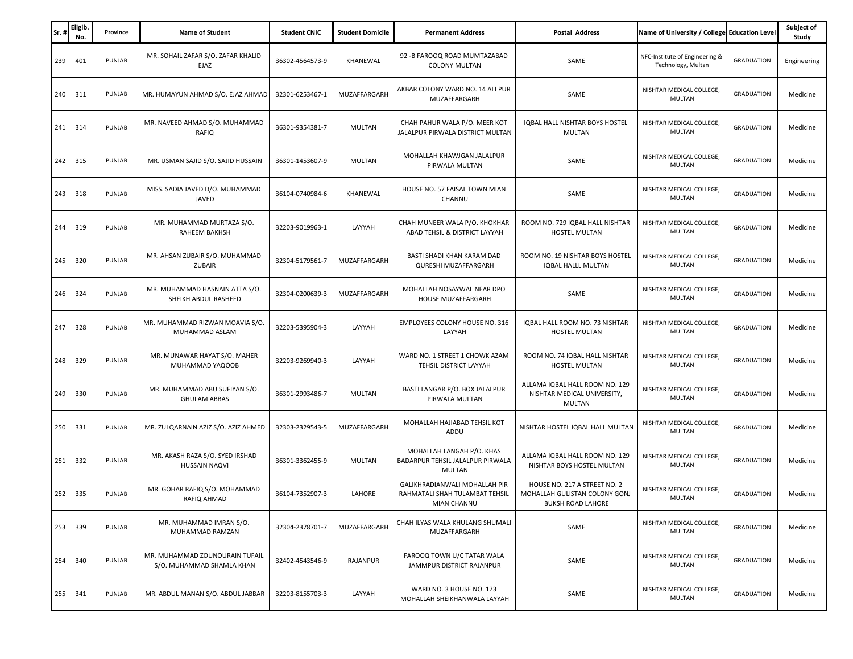| Sr. | Eligib.<br>No. | Province | <b>Name of Student</b>                                      | <b>Student CNIC</b> | <b>Student Domicile</b> | <b>Permanent Address</b>                                                       | <b>Postal Address</b>                                                              | Name of University / College Education Level         |                   | Subject of<br>Study |
|-----|----------------|----------|-------------------------------------------------------------|---------------------|-------------------------|--------------------------------------------------------------------------------|------------------------------------------------------------------------------------|------------------------------------------------------|-------------------|---------------------|
| 239 | 401            | PUNJAB   | MR. SOHAIL ZAFAR S/O. ZAFAR KHALID<br>EJAZ                  | 36302-4564573-9     | KHANEWAL                | 92 - B FAROOQ ROAD MUMTAZABAD<br><b>COLONY MULTAN</b>                          | SAME                                                                               | NFC-Institute of Engineering &<br>Technology, Multan | <b>GRADUATION</b> | Engineering         |
| 240 | 311            | PUNJAB   | MR. HUMAYUN AHMAD S/O. EJAZ AHMAD                           | 32301-6253467-1     | MUZAFFARGARH            | AKBAR COLONY WARD NO. 14 ALI PUR<br>MUZAFFARGARH                               | SAME                                                                               | NISHTAR MEDICAL COLLEGE,<br><b>MULTAN</b>            | <b>GRADUATION</b> | Medicine            |
| 241 | 314            | PUNJAB   | MR. NAVEED AHMAD S/O. MUHAMMAD<br>RAFIQ                     | 36301-9354381-7     | MULTAN                  | CHAH PAHUR WALA P/O. MEER KOT<br>JALALPUR PIRWALA DISTRICT MULTAN              | IQBAL HALL NISHTAR BOYS HOSTEL<br><b>MULTAN</b>                                    | NISHTAR MEDICAL COLLEGE,<br>MULTAN                   | <b>GRADUATION</b> | Medicine            |
| 242 | 315            | PUNJAB   | MR. USMAN SAJID S/O. SAJID HUSSAIN                          | 36301-1453607-9     | MULTAN                  | MOHALLAH KHAWJGAN JALALPUR<br>PIRWALA MULTAN                                   | SAME                                                                               | NISHTAR MEDICAL COLLEGE,<br>MULTAN                   | <b>GRADUATION</b> | Medicine            |
| 243 | 318            | PUNJAB   | MISS. SADIA JAVED D/O. MUHAMMAD<br>JAVED                    | 36104-0740984-6     | KHANEWAL                | HOUSE NO. 57 FAISAL TOWN MIAN<br>CHANNU                                        | SAME                                                                               | NISHTAR MEDICAL COLLEGE,<br><b>MULTAN</b>            | <b>GRADUATION</b> | Medicine            |
| 244 | 319            | PUNJAB   | MR. MUHAMMAD MURTAZA S/O.<br>RAHEEM BAKHSH                  | 32203-9019963-1     | LAYYAH                  | CHAH MUNEER WALA P/O. KHOKHAR<br>ABAD TEHSIL & DISTRICT LAYYAH                 | ROOM NO. 729 IQBAL HALL NISHTAR<br><b>HOSTEL MULTAN</b>                            | NISHTAR MEDICAL COLLEGE,<br><b>MULTAN</b>            | <b>GRADUATION</b> | Medicine            |
| 245 | 320            | PUNJAB   | MR. AHSAN ZUBAIR S/O. MUHAMMAD<br>ZUBAIR                    | 32304-5179561-7     | MUZAFFARGARH            | BASTI SHADI KHAN KARAM DAD<br>QURESHI MUZAFFARGARH                             | ROOM NO. 19 NISHTAR BOYS HOSTEL<br>IQBAL HALLL MULTAN                              | NISHTAR MEDICAL COLLEGE,<br><b>MULTAN</b>            | <b>GRADUATION</b> | Medicine            |
| 246 | 324            | PUNJAB   | MR. MUHAMMAD HASNAIN ATTA S/O.<br>SHEIKH ABDUL RASHEED      | 32304-0200639-3     | MUZAFFARGARH            | MOHALLAH NOSAYWAL NEAR DPO<br>HOUSE MUZAFFARGARH                               | SAME                                                                               | NISHTAR MEDICAL COLLEGE,<br><b>MULTAN</b>            | <b>GRADUATION</b> | Medicine            |
| 247 | 328            | PUNJAB   | MR. MUHAMMAD RIZWAN MOAVIA S/O.<br>MUHAMMAD ASLAM           | 32203-5395904-3     | LAYYAH                  | <b>EMPLOYEES COLONY HOUSE NO. 316</b><br>LAYYAH                                | IQBAL HALL ROOM NO. 73 NISHTAR<br>HOSTEL MULTAN                                    | NISHTAR MEDICAL COLLEGE,<br>MULTAN                   | <b>GRADUATION</b> | Medicine            |
| 248 | 329            | PUNJAB   | MR. MUNAWAR HAYAT S/O. MAHER<br>MUHAMMAD YAQOOB             | 32203-9269940-3     | LAYYAH                  | WARD NO. 1 STREET 1 CHOWK AZAM<br>TEHSIL DISTRICT LAYYAH                       | ROOM NO. 74 IQBAL HALL NISHTAR<br>HOSTEL MULTAN                                    | NISHTAR MEDICAL COLLEGE,<br>MULTAN                   | <b>GRADUATION</b> | Medicine            |
| 249 | 330            | PUNJAB   | MR. MUHAMMAD ABU SUFIYAN S/O.<br><b>GHULAM ABBAS</b>        | 36301-2993486-7     | MULTAN                  | BASTI LANGAR P/O. BOX JALALPUR<br>PIRWALA MULTAN                               | ALLAMA IQBAL HALL ROOM NO. 129<br>NISHTAR MEDICAL UNIVERSITY,<br><b>MULTAN</b>     | NISHTAR MEDICAL COLLEGE,<br><b>MULTAN</b>            | <b>GRADUATION</b> | Medicine            |
| 250 | 331            | PUNJAB   | MR. ZULQARNAIN AZIZ S/O. AZIZ AHMED                         | 32303-2329543-5     | MUZAFFARGARH            | MOHALLAH HAJIABAD TEHSIL KOT<br>ADDU                                           | NISHTAR HOSTEL IQBAL HALL MULTAN                                                   | NISHTAR MEDICAL COLLEGE,<br><b>MULTAN</b>            | <b>GRADUATION</b> | Medicine            |
| 251 | 332            | PUNJAB   | MR. AKASH RAZA S/O. SYED IRSHAD<br><b>HUSSAIN NAQVI</b>     | 36301-3362455-9     | MULTAN                  | MOHALLAH LANGAH P/O. KHAS<br>BADARPUR TEHSIL JALALPUR PIRWALA<br>MULTAN        | ALLAMA IQBAL HALL ROOM NO. 129<br>NISHTAR BOYS HOSTEL MULTAN                       | NISHTAR MEDICAL COLLEGE,<br><b>MULTAN</b>            | <b>GRADUATION</b> | Medicine            |
| 252 | 335            | PUNJAB   | MR. GOHAR RAFIQ S/O. MOHAMMAD<br>RAFIO AHMAD                | 36104-7352907-3     | LAHORE                  | GALIKHRADIANWALI MOHALLAH PIR<br>RAHMATALI SHAH TULAMBAT TEHSIL<br>MIAN CHANNU | HOUSE NO. 217 A STREET NO. 2<br>MOHALLAH GULISTAN COLONY GONJ<br>BUKSH ROAD LAHORE | NISHTAR MEDICAL COLLEGE,<br>MULTAN                   | <b>GRADUATION</b> | Medicine            |
| 253 | 339            | PUNJAB   | MR. MUHAMMAD IMRAN S/O.<br>MUHAMMAD RAMZAN                  | 32304-2378701-7     | MUZAFFARGARH            | CHAH ILYAS WALA KHULANG SHUMALI<br>MUZAFFARGARH                                | SAME                                                                               | NISHTAR MEDICAL COLLEGE,<br>MULTAN                   | <b>GRADUATION</b> | Medicine            |
| 254 | 340            | PUNJAB   | MR. MUHAMMAD ZOUNOURAIN TUFAIL<br>S/O. MUHAMMAD SHAMLA KHAN | 32402-4543546-9     | RAJANPUR                | FAROOQ TOWN U/C TATAR WALA<br>JAMMPUR DISTRICT RAJANPUR                        | SAME                                                                               | NISHTAR MEDICAL COLLEGE,<br>MULTAN                   | <b>GRADUATION</b> | Medicine            |
| 255 | 341            | PUNJAB   | MR. ABDUL MANAN S/O. ABDUL JABBAR                           | 32203-8155703-3     | LAYYAH                  | WARD NO. 3 HOUSE NO. 173<br>MOHALLAH SHEIKHANWALA LAYYAH                       | SAME                                                                               | NISHTAR MEDICAL COLLEGE,<br>MULTAN                   | <b>GRADUATION</b> | Medicine            |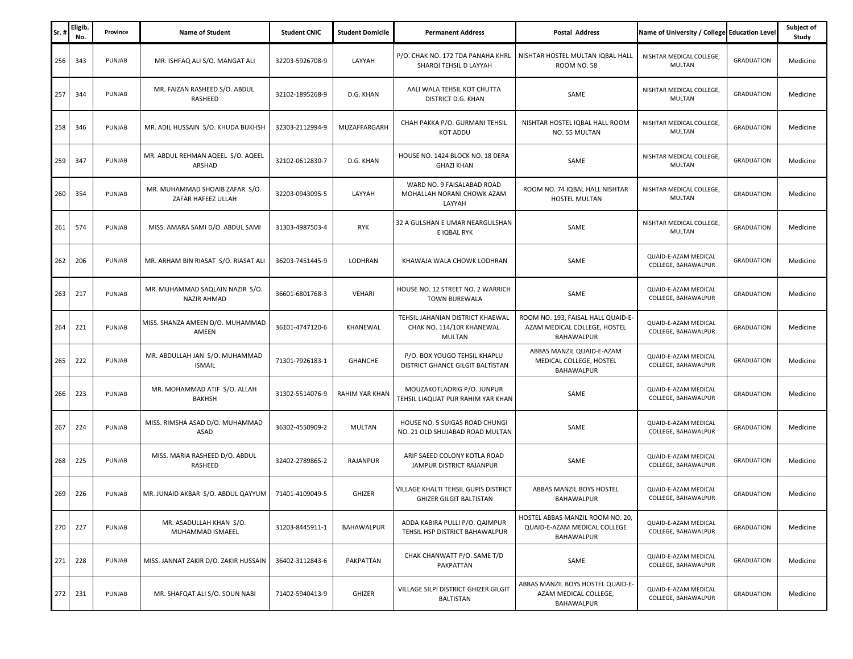| Sr. | <b>Eligib</b><br>No. | Province | <b>Name of Student</b>                               | <b>Student CNIC</b> | <b>Student Domicile</b> | <b>Permanent Address</b>                                                | <b>Postal Address</b>                                                            | Name of University / College Education Level       |                   | Subject of<br>Study |
|-----|----------------------|----------|------------------------------------------------------|---------------------|-------------------------|-------------------------------------------------------------------------|----------------------------------------------------------------------------------|----------------------------------------------------|-------------------|---------------------|
| 256 | 343                  | PUNJAB   | MR. ISHFAQ ALI S/O. MANGAT ALI                       | 32203-5926708-9     | LAYYAH                  | P/O. CHAK NO. 172 TDA PANAHA KHRL<br>SHARQI TEHSIL D LAYYAH             | NISHTAR HOSTEL MULTAN IQBAL HALL<br><b>ROOM NO. 58</b>                           | NISHTAR MEDICAL COLLEGE,<br><b>MULTAN</b>          | <b>GRADUATION</b> | Medicine            |
| 257 | 344                  | PUNJAB   | MR. FAIZAN RASHEED S/O. ABDUL<br>RASHEED             | 32102-1895268-9     | D.G. KHAN               | AALI WALA TEHSIL KOT CHUTTA<br>DISTRICT D.G. KHAN                       | SAME                                                                             | NISHTAR MEDICAL COLLEGE,<br><b>MULTAN</b>          | <b>GRADUATION</b> | Medicine            |
| 258 | 346                  | PUNJAB   | MR. ADIL HUSSAIN S/O. KHUDA BUKHSH                   | 32303-2112994-9     | MUZAFFARGARH            | CHAH PAKKA P/O. GURMANI TEHSIL<br><b>KOT ADDU</b>                       | NISHTAR HOSTEL IQBAL HALL ROOM<br>NO. 55 MULTAN                                  | NISHTAR MEDICAL COLLEGE,<br>MULTAN                 | <b>GRADUATION</b> | Medicine            |
| 259 | 347                  | PUNJAB   | MR. ABDUL REHMAN AQEEL S/O. AQEEL<br>ARSHAD          | 32102-0612830-7     | D.G. KHAN               | HOUSE NO. 1424 BLOCK NO. 18 DERA<br><b>GHAZI KHAN</b>                   | SAME                                                                             | NISHTAR MEDICAL COLLEGE,<br><b>MULTAN</b>          | <b>GRADUATION</b> | Medicine            |
| 260 | 354                  | PUNJAB   | MR. MUHAMMAD SHOAIB ZAFAR S/O.<br>ZAFAR HAFEEZ ULLAH | 32203-0943095-5     | LAYYAH                  | WARD NO. 9 FAISALABAD ROAD<br>MOHALLAH NORANI CHOWK AZAM<br>LAYYAH      | ROOM NO. 74 IQBAL HALL NISHTAR<br>HOSTEL MULTAN                                  | NISHTAR MEDICAL COLLEGE,<br>MULTAN                 | <b>GRADUATION</b> | Medicine            |
| 261 | 574                  | PUNJAB   | MISS. AMARA SAMI D/O. ABDUL SAMI                     | 31303-4987503-4     | <b>RYK</b>              | 32 A GULSHAN E UMAR NEARGULSHAN<br>E IQBAL RYK                          | SAME                                                                             | NISHTAR MEDICAL COLLEGE,<br>MULTAN                 | <b>GRADUATION</b> | Medicine            |
| 262 | 206                  | PUNJAB   | MR. ARHAM BIN RIASAT S/O. RIASAT ALI                 | 36203-7451445-9     | LODHRAN                 | KHAWAJA WALA CHOWK LODHRAN                                              | SAME                                                                             | QUAID-E-AZAM MEDICAL<br>COLLEGE, BAHAWALPUR        | <b>GRADUATION</b> | Medicine            |
| 263 | 217                  | PUNJAB   | MR. MUHAMMAD SAQLAIN NAZIR S/O.<br>NAZIR AHMAD       | 36601-6801768-3     | VEHARI                  | HOUSE NO. 12 STREET NO. 2 WARRICH<br><b>TOWN BUREWALA</b>               | SAME                                                                             | QUAID-E-AZAM MEDICAL<br>COLLEGE, BAHAWALPUR        | <b>GRADUATION</b> | Medicine            |
| 264 | 221                  | PUNJAB   | MISS. SHANZA AMEEN D/O. MUHAMMAD<br>AMEEN            | 36101-4747120-6     | KHANEWAL                | TEHSIL JAHANIAN DISTRICT KHAEWAL<br>CHAK NO. 114/10R KHANEWAL<br>MULTAN | ROOM NO. 193, FAISAL HALL QUAID-E-<br>AZAM MEDICAL COLLEGE, HOSTEL<br>BAHAWALPUR | QUAID-E-AZAM MEDICAL<br>COLLEGE, BAHAWALPUR        | <b>GRADUATION</b> | Medicine            |
| 265 | 222                  | PUNJAB   | MR. ABDULLAH JAN S/O. MUHAMMAD<br><b>ISMAIL</b>      | 71301-7926183-1     | <b>GHANCHE</b>          | P/O. BOX YOUGO TEHSIL KHAPLU<br>DISTRICT GHANCE GILGIT BALTISTAN        | ABBAS MANZIL QUAID-E-AZAM<br>MEDICAL COLLEGE, HOSTEL<br>BAHAWALPUR               | QUAID-E-AZAM MEDICAL<br>COLLEGE, BAHAWALPUR        | <b>GRADUATION</b> | Medicine            |
| 266 | 223                  | PUNJAB   | MR. MOHAMMAD ATIF S/O. ALLAH<br><b>BAKHSH</b>        | 31302-5514076-9     | RAHIM YAR KHAN          | MOUZAKOTLAORIG P/O. JUNPUR<br>TEHSIL LIAQUAT PUR RAHIM YAR KHAN         | SAME                                                                             | QUAID-E-AZAM MEDICAL<br>COLLEGE, BAHAWALPUR        | <b>GRADUATION</b> | Medicine            |
| 267 | 224                  | PUNJAB   | MISS. RIMSHA ASAD D/O. MUHAMMAD<br>ASAD              | 36302-4550909-2     | MULTAN                  | HOUSE NO. 5 SUIGAS ROAD CHUNGI<br>NO. 21 OLD SHUJABAD ROAD MULTAN       | SAME                                                                             | QUAID-E-AZAM MEDICAL<br>COLLEGE, BAHAWALPUR        | <b>GRADUATION</b> | Medicine            |
| 268 | 225                  | PUNJAB   | MISS. MARIA RASHEED D/O. ABDUL<br>RASHEED            | 32402-2789865-2     | RAJANPUR                | ARIF SAEED COLONY KOTLA ROAD<br>JAMPUR DISTRICT RAJANPUR                | SAME                                                                             | QUAID-E-AZAM MEDICAL<br>COLLEGE, BAHAWALPUR        | <b>GRADUATION</b> | Medicine            |
| 269 | 226                  | PUNJAB   | MR. JUNAID AKBAR S/O. ABDUL QAYYUM                   | 71401-4109049-5     | GHIZER                  | VILLAGE KHALTI TEHSIL GUPIS DISTRICT<br><b>GHIZER GILGIT BALTISTAN</b>  | ABBAS MANZIL BOYS HOSTEL<br>BAHAWALPUR                                           | QUAID-E-AZAM MEDICAL<br>COLLEGE, BAHAWALPUR        | <b>GRADUATION</b> | Medicine            |
| 270 | 227                  | PUNJAB   | MR. ASADULLAH KHAN S/O.<br>MUHAMMAD ISMAEEL          | 31203-8445911-1     | BAHAWALPUR              | ADDA KABIRA PULLI P/O. QAIMPUR<br>TEHSIL HSP DISTRICT BAHAWALPUR        | HOSTEL ABBAS MANZIL ROOM NO. 20,<br>QUAID-E-AZAM MEDICAL COLLEGE<br>BAHAWALPUR   | QUAID-E-AZAM MEDICAL<br>COLLEGE, BAHAWALPUR        | <b>GRADUATION</b> | Medicine            |
| 271 | 228                  | PUNJAB   | MISS. JANNAT ZAKIR D/O. ZAKIR HUSSAIN                | 36402-3112843-6     | PAKPATTAN               | CHAK CHANWATT P/O. SAME T/D<br>PAKPATTAN                                | SAME                                                                             | QUAID-E-AZAM MEDICAL<br>COLLEGE, BAHAWALPUR        | <b>GRADUATION</b> | Medicine            |
| 272 | 231                  | PUNJAB   | MR. SHAFQAT ALI S/O. SOUN NABI                       | 71402-5940413-9     | GHIZER                  | <b>VILLAGE SILPI DISTRICT GHIZER GILGIT</b><br><b>BALTISTAN</b>         | ABBAS MANZIL BOYS HOSTEL QUAID-E-<br>AZAM MEDICAL COLLEGE,<br><b>BAHAWALPUR</b>  | <b>QUAID-E-AZAM MEDICAL</b><br>COLLEGE, BAHAWALPUR | <b>GRADUATION</b> | Medicine            |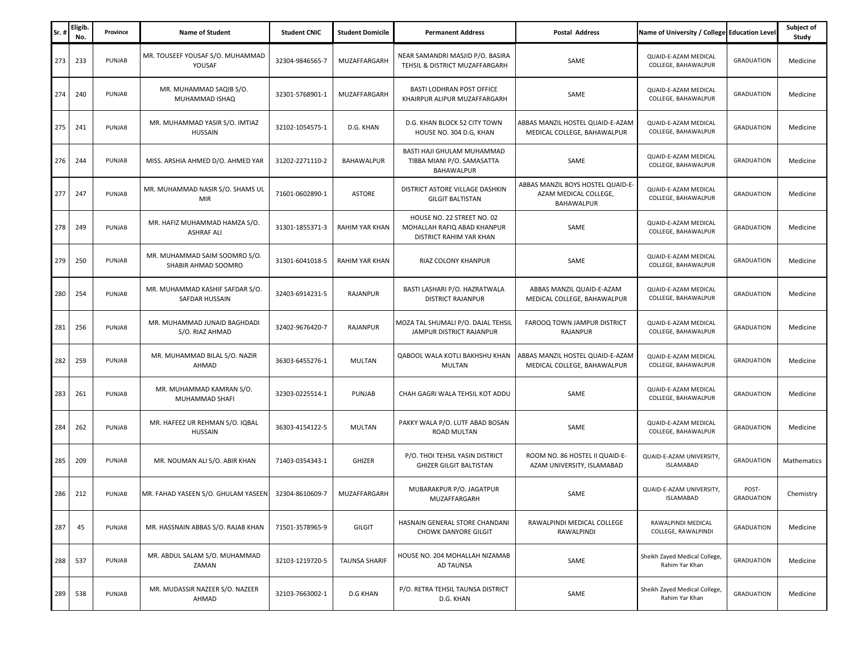| Sr. | <b>Eligib</b><br>No. | Province | <b>Name of Student</b>                               | <b>Student CNIC</b> | <b>Student Domicile</b> | <b>Permanent Address</b>                                                             | <b>Postal Address</b>                                                    | Name of University / College Education Level    |                            | Subject of<br>Study |
|-----|----------------------|----------|------------------------------------------------------|---------------------|-------------------------|--------------------------------------------------------------------------------------|--------------------------------------------------------------------------|-------------------------------------------------|----------------------------|---------------------|
| 273 | 233                  | PUNJAB   | MR. TOUSEEF YOUSAF S/O. MUHAMMAD<br>YOUSAF           | 32304-9846565-7     | MUZAFFARGARH            | NEAR SAMANDRI MASJID P/O. BASIRA<br>TEHSIL & DISTRICT MUZAFFARGARH                   | SAME                                                                     | QUAID-E-AZAM MEDICAL<br>COLLEGE, BAHAWALPUR     | <b>GRADUATION</b>          | Medicine            |
| 274 | 240                  | PUNJAB   | MR. MUHAMMAD SAQIB S/O.<br>MUHAMMAD ISHAQ            | 32301-5768901-1     | MUZAFFARGARH            | BASTI LODHRAN POST OFFICE<br>KHAIRPUR ALIPUR MUZAFFARGARH                            | SAME                                                                     | QUAID-E-AZAM MEDICAL<br>COLLEGE, BAHAWALPUR     | <b>GRADUATION</b>          | Medicine            |
| 275 | 241                  | PUNJAB   | MR. MUHAMMAD YASIR S/O. IMTIAZ<br>HUSSAIN            | 32102-1054575-1     | D.G. KHAN               | D.G. KHAN BLOCK 52 CITY TOWN<br>HOUSE NO. 304 D.G, KHAN                              | ABBAS MANZIL HOSTEL QUAID-E-AZAM<br>MEDICAL COLLEGE, BAHAWALPUR          | QUAID-E-AZAM MEDICAL<br>COLLEGE, BAHAWALPUR     | <b>GRADUATION</b>          | Medicine            |
| 276 | 244                  | PUNJAB   | MISS. ARSHIA AHMED D/O. AHMED YAR                    | 31202-2271110-2     | <b>BAHAWALPUR</b>       | BASTI HAJI GHULAM MUHAMMAD<br>TIBBA MIANI P/O. SAMASATTA<br>BAHAWALPUR               | SAME                                                                     | QUAID-E-AZAM MEDICAL<br>COLLEGE, BAHAWALPUR     | <b>GRADUATION</b>          | Medicine            |
| 277 | 247                  | PUNJAB   | MR. MUHAMMAD NASIR S/O. SHAMS UL<br>MIR              | 71601-0602890-1     | ASTORE                  | DISTRICT ASTORE VILLAGE DASHKIN<br><b>GILGIT BALTISTAN</b>                           | ABBAS MANZIL BOYS HOSTEL QUAID-E-<br>AZAM MEDICAL COLLEGE,<br>BAHAWALPUR | QUAID-E-AZAM MEDICAL<br>COLLEGE, BAHAWALPUR     | <b>GRADUATION</b>          | Medicine            |
| 278 | 249                  | PUNJAB   | MR. HAFIZ MUHAMMAD HAMZA S/O.<br><b>ASHRAF ALI</b>   | 31301-1855371-3     | RAHIM YAR KHAN          | HOUSE NO. 22 STREET NO. 02<br>MOHALLAH RAFIQ ABAD KHANPUR<br>DISTRICT RAHIM YAR KHAN | SAME                                                                     | QUAID-E-AZAM MEDICAL<br>COLLEGE, BAHAWALPUR     | <b>GRADUATION</b>          | Medicine            |
| 279 | 250                  | PUNJAB   | MR. MUHAMMAD SAIM SOOMRO S/O.<br>SHABIR AHMAD SOOMRO | 31301-6041018-5     | RAHIM YAR KHAN          | RIAZ COLONY KHANPUR                                                                  | SAME                                                                     | QUAID-E-AZAM MEDICAL<br>COLLEGE, BAHAWALPUR     | <b>GRADUATION</b>          | Medicine            |
| 280 | 254                  | PUNJAB   | MR. MUHAMMAD KASHIF SAFDAR S/O.<br>SAFDAR HUSSAIN    | 32403-6914231-5     | RAJANPUR                | BASTI LASHARI P/O. HAZRATWALA<br><b>DISTRICT RAJANPUR</b>                            | ABBAS MANZIL QUAID-E-AZAM<br>MEDICAL COLLEGE, BAHAWALPUR                 | QUAID-E-AZAM MEDICAL<br>COLLEGE, BAHAWALPUR     | <b>GRADUATION</b>          | Medicine            |
| 281 | 256                  | PUNJAB   | MR. MUHAMMAD JUNAID BAGHDADI<br>S/O. RIAZ AHMAD      | 32402-9676420-7     | RAJANPUR                | MOZA TAL SHUMALI P/O. DAJAL TEHSIL<br>JAMPUR DISTRICT RAJANPUR                       | FAROOQ TOWN JAMPUR DISTRICT<br><b>RAJANPUR</b>                           | QUAID-E-AZAM MEDICAL<br>COLLEGE, BAHAWALPUR     | <b>GRADUATION</b>          | Medicine            |
| 282 | 259                  | PUNJAB   | MR. MUHAMMAD BILAL S/O. NAZIR<br>AHMAD               | 36303-6455276-1     | MULTAN                  | QABOOL WALA KOTLI BAKHSHU KHAN<br><b>MULTAN</b>                                      | ABBAS MANZIL HOSTEL QUAID-E-AZAM<br>MEDICAL COLLEGE, BAHAWALPUR          | QUAID-E-AZAM MEDICAL<br>COLLEGE, BAHAWALPUR     | <b>GRADUATION</b>          | Medicine            |
| 283 | 261                  | PUNJAB   | MR. MUHAMMAD KAMRAN S/O.<br>MUHAMMAD SHAFI           | 32303-0225514-1     | PUNJAB                  | CHAH GAGRI WALA TEHSIL KOT ADDU                                                      | SAME                                                                     | QUAID-E-AZAM MEDICAL<br>COLLEGE, BAHAWALPUR     | <b>GRADUATION</b>          | Medicine            |
| 284 | 262                  | PUNJAB   | MR. HAFEEZ UR REHMAN S/O. IQBAL<br><b>HUSSAIN</b>    | 36303-4154122-5     | MULTAN                  | PAKKY WALA P/O. LUTF ABAD BOSAN<br>ROAD MULTAN                                       | SAME                                                                     | QUAID-E-AZAM MEDICAL<br>COLLEGE, BAHAWALPUR     | <b>GRADUATION</b>          | Medicine            |
| 285 | 209                  | PUNJAB   | MR. NOUMAN ALI S/O. ABIR KHAN                        | 71403-0354343-1     | GHIZER                  | P/O. THOI TEHSIL YASIN DISTRICT<br><b>GHIZER GILGIT BALTISTAN</b>                    | ROOM NO. 86 HOSTEL II QUAID-E-<br>AZAM UNIVERSITY, ISLAMABAD             | QUAID-E-AZAM UNIVERSITY,<br><b>ISLAMABAD</b>    | <b>GRADUATION</b>          | Mathematics         |
| 286 | 212                  | PUNJAB   | MR. FAHAD YASEEN S/O. GHULAM YASEEN                  | 32304-8610609-7     | MUZAFFARGARH            | MUBARAKPUR P/O. JAGATPUR<br>MUZAFFARGARH                                             | SAME                                                                     | QUAID-E-AZAM UNIVERSITY,<br><b>ISLAMABAD</b>    | POST-<br><b>GRADUATION</b> | Chemistry           |
| 287 | 45                   | PUNJAB   | MR. HASSNAIN ABBAS S/O. RAJAB KHAN                   | 71501-3578965-9     | <b>GILGIT</b>           | HASNAIN GENERAL STORE CHANDANI<br><b>CHOWK DANYORE GILGIT</b>                        | RAWALPINDI MEDICAL COLLEGE<br>RAWALPINDI                                 | RAWALPINDI MEDICAL<br>COLLEGE, RAWALPINDI       | <b>GRADUATION</b>          | Medicine            |
| 288 | 537                  | PUNJAB   | MR. ABDUL SALAM S/O. MUHAMMAD<br>ZAMAN               | 32103-1219720-5     | <b>TAUNSA SHARIF</b>    | HOUSE NO. 204 MOHALLAH NIZAMAB<br>AD TAUNSA                                          | SAME                                                                     | Sheikh Zayed Medical College,<br>Rahim Yar Khan | <b>GRADUATION</b>          | Medicine            |
| 289 | 538                  | PUNJAB   | MR. MUDASSIR NAZEER S/O. NAZEER<br>AHMAD             | 32103-7663002-1     | <b>D.G KHAN</b>         | P/O. RETRA TEHSIL TAUNSA DISTRICT<br>D.G. KHAN                                       | SAME                                                                     | Sheikh Zayed Medical College,<br>Rahim Yar Khan | <b>GRADUATION</b>          | Medicine            |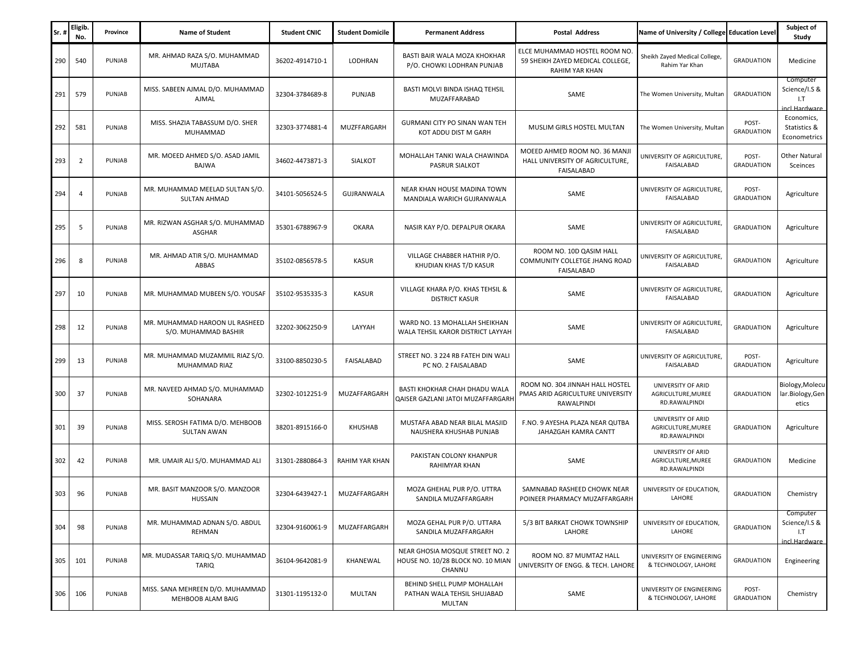| Sr. | <b>Eligib</b><br>No. | Province | <b>Name of Student</b>                                 | <b>Student CNIC</b> | <b>Student Domicile</b> | <b>Permanent Address</b>                                                       | <b>Postal Address</b>                                                              | Name of University / College Education Level              |                            | Subject of<br>Study                               |
|-----|----------------------|----------|--------------------------------------------------------|---------------------|-------------------------|--------------------------------------------------------------------------------|------------------------------------------------------------------------------------|-----------------------------------------------------------|----------------------------|---------------------------------------------------|
| 290 | 540                  | PUNJAB   | MR. AHMAD RAZA S/O. MUHAMMAD<br><b>MUJTABA</b>         | 36202-4914710-1     | LODHRAN                 | BASTI BAIR WALA MOZA KHOKHAR<br>P/O. CHOWKI LODHRAN PUNJAB                     | ELCE MUHAMMAD HOSTEL ROOM NO<br>59 SHEIKH ZAYED MEDICAL COLLEGE,<br>RAHIM YAR KHAN | Sheikh Zayed Medical College,<br>Rahim Yar Khan           | <b>GRADUATION</b>          | Medicine                                          |
| 291 | 579                  | PUNJAB   | MISS. SABEEN AJMAL D/O. MUHAMMAD<br>AJMAL              | 32304-3784689-8     | PUNJAB                  | BASTI MOLVI BINDA ISHAQ TEHSIL<br>MUZAFFARABAD                                 | SAME                                                                               | The Women University, Multan                              | <b>GRADUATION</b>          | Computer<br>Science/I.S &<br>1.7<br>incl Hardware |
| 292 | 581                  | PUNJAB   | MISS. SHAZIA TABASSUM D/O. SHER<br>MUHAMMAD            | 32303-3774881-4     | MUZFFARGARH             | GURMANI CITY PO SINAN WAN TEH<br>KOT ADDU DIST M GARH                          | MUSLIM GIRLS HOSTEL MULTAN                                                         | The Women University, Multan                              | POST-<br><b>GRADUATION</b> | Economics,<br>Statistics &<br>Econometrics        |
| 293 | $\overline{2}$       | PUNJAB   | MR. MOEED AHMED S/O. ASAD JAMIL<br>BAJWA               | 34602-4473871-3     | <b>SIALKOT</b>          | MOHALLAH TANKI WALA CHAWINDA<br>PASRUR SIALKOT                                 | MOEED AHMED ROOM NO. 36 MANJI<br>HALL UNIVERSITY OF AGRICULTURE,<br>FAISALABAD     | UNIVERSITY OF AGRICULTURE,<br>FAISALABAD                  | POST-<br><b>GRADUATION</b> | <b>Other Natural</b><br>Sceinces                  |
| 294 | 4                    | PUNJAB   | MR. MUHAMMAD MEELAD SULTAN S/O.<br>SULTAN AHMAD        | 34101-5056524-5     | GUJRANWALA              | NEAR KHAN HOUSE MADINA TOWN<br>MANDIALA WARICH GUJRANWALA                      | SAME                                                                               | UNIVERSITY OF AGRICULTURE,<br>FAISALABAD                  | POST-<br><b>GRADUATION</b> | Agriculture                                       |
| 295 | 5                    | PUNJAB   | MR. RIZWAN ASGHAR S/O. MUHAMMAD<br><b>ASGHAR</b>       | 35301-6788967-9     | <b>OKARA</b>            | NASIR KAY P/O. DEPALPUR OKARA                                                  | SAME                                                                               | UNIVERSITY OF AGRICULTURE,<br>FAISALABAD                  | <b>GRADUATION</b>          | Agriculture                                       |
| 296 | 8                    | PUNJAB   | MR. AHMAD ATIR S/O. MUHAMMAD<br>ABBAS                  | 35102-0856578-5     | <b>KASUR</b>            | VILLAGE CHABBER HATHIR P/O.<br>KHUDIAN KHAS T/D KASUR                          | ROOM NO. 10D QASIM HALL<br>COMMUNITY COLLETGE JHANG ROAD<br>FAISALABAD             | UNIVERSITY OF AGRICULTURE,<br>FAISALABAD                  | <b>GRADUATION</b>          | Agriculture                                       |
| 297 | 10                   | PUNJAB   | MR. MUHAMMAD MUBEEN S/O. YOUSAF                        | 35102-9535335-3     | <b>KASUR</b>            | VILLAGE KHARA P/O. KHAS TEHSIL &<br><b>DISTRICT KASUR</b>                      | SAME                                                                               | UNIVERSITY OF AGRICULTURE,<br><b>FAISALABAD</b>           | <b>GRADUATION</b>          | Agriculture                                       |
| 298 | 12                   | PUNJAB   | MR. MUHAMMAD HAROON UL RASHEED<br>S/O. MUHAMMAD BASHIR | 32202-3062250-9     | LAYYAH                  | WARD NO. 13 MOHALLAH SHEIKHAN<br>WALA TEHSIL KAROR DISTRICT LAYYAH             | SAME                                                                               | UNIVERSITY OF AGRICULTURE,<br>FAISALABAD                  | <b>GRADUATION</b>          | Agriculture                                       |
| 299 | 13                   | PUNJAB   | MR. MUHAMMAD MUZAMMIL RIAZ S/O.<br>MUHAMMAD RIAZ       | 33100-8850230-5     | FAISALABAD              | STREET NO. 3 224 RB FATEH DIN WALI<br>PC NO. 2 FAISALABAD                      | SAME                                                                               | UNIVERSITY OF AGRICULTURE,<br>FAISALABAD                  | POST-<br><b>GRADUATION</b> | Agriculture                                       |
| 300 | 37                   | PUNJAB   | MR. NAVEED AHMAD S/O. MUHAMMAD<br>SOHANARA             | 32302-1012251-9     | MUZAFFARGARH            | BASTI KHOKHAR CHAH DHADU WALA<br>QAISER GAZLANI JATOI MUZAFFARGARI             | ROOM NO. 304 JINNAH HALL HOSTEL<br>PMAS ARID AGRICULTURE UNIVERSITY<br>RAWALPINDI  | UNIVERSITY OF ARID<br>AGRICULTURE, MUREE<br>RD.RAWALPINDI | <b>GRADUATION</b>          | Biology, Molecu<br>lar.Biology,Gen<br>etics       |
| 301 | 39                   | PUNJAB   | MISS. SEROSH FATIMA D/O. MEHBOOB<br><b>SULTAN AWAN</b> | 38201-8915166-0     | KHUSHAB                 | MUSTAFA ABAD NEAR BILAL MASJID<br>NAUSHERA KHUSHAB PUNJAB                      | F.NO. 9 AYESHA PLAZA NEAR QUTBA<br>JAHAZGAH KAMRA CANTT                            | UNIVERSITY OF ARID<br>AGRICULTURE, MUREE<br>RD.RAWALPINDI | <b>GRADUATION</b>          | Agriculture                                       |
| 302 | 42                   | PUNJAB   | MR. UMAIR ALI S/O. MUHAMMAD ALI                        | 31301-2880864-3     | RAHIM YAR KHAN          | PAKISTAN COLONY KHANPUR<br><b>RAHIMYAR KHAN</b>                                | SAME                                                                               | UNIVERSITY OF ARID<br>AGRICULTURE, MUREE<br>RD.RAWALPINDI | <b>GRADUATION</b>          | Medicine                                          |
| 303 | 96                   | PUNJAB   | MR. BASIT MANZOOR S/O. MANZOOR<br>HUSSAIN              | 32304-6439427-1     | MUZAFFARGARH            | MOZA GHEHAL PUR P/O. UTTRA<br>SANDILA MUZAFFARGARH                             | SAMNABAD RASHEED CHOWK NEAR<br>POINEER PHARMACY MUZAFFARGARH                       | UNIVERSITY OF EDUCATION,<br>LAHORE                        | <b>GRADUATION</b>          | Chemistry                                         |
| 304 | 98                   | PUNJAB   | MR. MUHAMMAD ADNAN S/O. ABDUL<br>REHMAN                | 32304-9160061-9     | MUZAFFARGARH            | MOZA GEHAL PUR P/O. UTTARA<br>SANDILA MUZAFFARGARH                             | 5/3 BIT BARKAT CHOWK TOWNSHIP<br>LAHORE                                            | UNIVERSITY OF EDUCATION.<br>LAHORE                        | <b>GRADUATION</b>          | Computer<br>Science/I.S &<br>1.7<br>incl.Hardware |
| 305 | 101                  | PUNJAB   | MR. MUDASSAR TARIQ S/O. MUHAMMAD<br><b>TARIQ</b>       | 36104-9642081-9     | KHANEWAL                | NEAR GHOSIA MOSQUE STREET NO. 2<br>HOUSE NO. 10/28 BLOCK NO. 10 MIAN<br>CHANNU | ROOM NO. 87 MUMTAZ HALL<br>UNIVERSITY OF ENGG. & TECH. LAHORE                      | UNIVERSITY OF ENGINEERING<br>& TECHNOLOGY, LAHORE         | <b>GRADUATION</b>          | Engineering                                       |
| 306 | 106                  | PUNJAB   | MISS. SANA MEHREEN D/O. MUHAMMAD<br>MEHBOOB ALAM BAIG  | 31301-1195132-0     | MULTAN                  | BEHIND SHELL PUMP MOHALLAH<br>PATHAN WALA TEHSIL SHUJABAD<br>MULTAN            | SAME                                                                               | UNIVERSITY OF ENGINEERING<br>& TECHNOLOGY, LAHORE         | POST-<br><b>GRADUATION</b> | Chemistry                                         |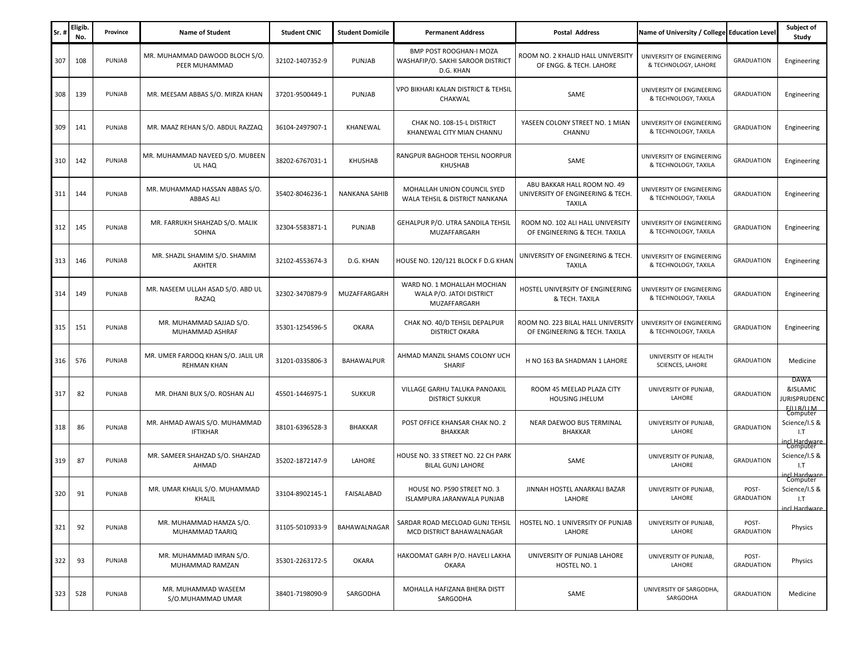| Sr. | Eligib<br>No. | Province | <b>Name of Student</b>                                   | <b>Student CNIC</b> | <b>Student Domicile</b> | <b>Permanent Address</b>                                                         | Postal Address                                                                    | Name of University / College Education Level      |                            | Subject of<br>Study                                             |
|-----|---------------|----------|----------------------------------------------------------|---------------------|-------------------------|----------------------------------------------------------------------------------|-----------------------------------------------------------------------------------|---------------------------------------------------|----------------------------|-----------------------------------------------------------------|
| 307 | 108           | PUNJAB   | MR. MUHAMMAD DAWOOD BLOCH S/O.<br>PEER MUHAMMAD          | 32102-1407352-9     | PUNJAB                  | <b>BMP POST ROOGHAN-I MOZA</b><br>WASHAFIP/O. SAKHI SAROOR DISTRICT<br>D.G. KHAN | ROOM NO. 2 KHALID HALL UNIVERSITY<br>OF ENGG. & TECH. LAHORE                      | UNIVERSITY OF ENGINEERING<br>& TECHNOLOGY, LAHORE | <b>GRADUATION</b>          | Engineering                                                     |
| 308 | 139           | PUNJAB   | MR. MEESAM ABBAS S/O. MIRZA KHAN                         | 37201-9500449-1     | PUNJAB                  | VPO BIKHARI KALAN DISTRICT & TEHSIL<br>CHAKWAL                                   | SAME                                                                              | UNIVERSITY OF ENGINEERING<br>& TECHNOLOGY, TAXILA | <b>GRADUATION</b>          | Engineering                                                     |
| 309 | 141           | PUNJAB   | MR. MAAZ REHAN S/O. ABDUL RAZZAQ                         | 36104-2497907-1     | KHANEWAL                | CHAK NO. 108-15-L DISTRICT<br>KHANEWAL CITY MIAN CHANNU                          | YASEEN COLONY STREET NO. 1 MIAN<br>CHANNU                                         | UNIVERSITY OF ENGINEERING<br>& TECHNOLOGY, TAXILA | <b>GRADUATION</b>          | Engineering                                                     |
| 310 | 142           | PUNJAB   | MR. MUHAMMAD NAVEED S/O. MUBEEN<br>UL HAQ                | 38202-6767031-1     | <b>KHUSHAB</b>          | RANGPUR BAGHOOR TEHSIL NOORPUR<br><b>KHUSHAB</b>                                 | SAME                                                                              | UNIVERSITY OF ENGINEERING<br>& TECHNOLOGY, TAXILA | <b>GRADUATION</b>          | Engineering                                                     |
| 311 | 144           | PUNJAB   | MR. MUHAMMAD HASSAN ABBAS S/O.<br><b>ABBAS ALI</b>       | 35402-8046236-1     | NANKANA SAHIB           | MOHALLAH UNION COUNCIL SYED<br>WALA TEHSIL & DISTRICT NANKANA                    | ABU BAKKAR HALL ROOM NO. 49<br>UNIVERSITY OF ENGINEERING & TECH.<br><b>TAXILA</b> | UNIVERSITY OF ENGINEERING<br>& TECHNOLOGY, TAXILA | <b>GRADUATION</b>          | Engineering                                                     |
| 312 | 145           | PUNJAB   | MR. FARRUKH SHAHZAD S/O. MALIK<br>SOHNA                  | 32304-5583871-1     | PUNJAB                  | GEHALPUR P/O. UTRA SANDILA TEHSIL<br>MUZAFFARGARH                                | ROOM NO. 102 ALI HALL UNIVERSITY<br>OF ENGINEERING & TECH. TAXILA                 | UNIVERSITY OF ENGINEERING<br>& TECHNOLOGY, TAXILA | <b>GRADUATION</b>          | Engineering                                                     |
| 313 | 146           | PUNJAB   | MR. SHAZIL SHAMIM S/O. SHAMIM<br><b>AKHTER</b>           | 32102-4553674-3     | D.G. KHAN               | HOUSE NO. 120/121 BLOCK F D.G KHAN                                               | UNIVERSITY OF ENGINEERING & TECH.<br><b>TAXILA</b>                                | UNIVERSITY OF ENGINEERING<br>& TECHNOLOGY, TAXILA | <b>GRADUATION</b>          | Engineering                                                     |
| 314 | 149           | PUNJAB   | MR. NASEEM ULLAH ASAD S/O. ABD UL<br>RAZAQ               | 32302-3470879-9     | MUZAFFARGARH            | WARD NO. 1 MOHALLAH MOCHIAN<br>WALA P/O. JATOI DISTRICT<br>MUZAFFARGARH          | HOSTEL UNIVERSITY OF ENGINEERING<br>& TECH. TAXILA                                | UNIVERSITY OF ENGINEERING<br>& TECHNOLOGY, TAXILA | <b>GRADUATION</b>          | Engineering                                                     |
| 315 | 151           | PUNJAB   | MR. MUHAMMAD SAJJAD S/O.<br>MUHAMMAD ASHRAF              | 35301-1254596-5     | <b>OKARA</b>            | CHAK NO. 40/D TEHSIL DEPALPUR<br><b>DISTRICT OKARA</b>                           | ROOM NO. 223 BILAL HALL UNIVERSITY<br>OF ENGINEERING & TECH. TAXILA               | UNIVERSITY OF ENGINEERING<br>& TECHNOLOGY, TAXILA | <b>GRADUATION</b>          | Engineering                                                     |
| 316 | 576           | PUNJAB   | MR. UMER FAROOQ KHAN S/O. JALIL UR<br><b>REHMAN KHAN</b> | 31201-0335806-3     | BAHAWALPUR              | AHMAD MANZIL SHAMS COLONY UCH<br>SHARIF                                          | H NO 163 BA SHADMAN 1 LAHORE                                                      | UNIVERSITY OF HEALTH<br>SCIENCES, LAHORE          | <b>GRADUATION</b>          | Medicine                                                        |
| 317 | 82            | PUNJAB   | MR. DHANI BUX S/O. ROSHAN ALI                            | 45501-1446975-1     | <b>SUKKUR</b>           | VILLAGE GARHU TALUKA PANOAKIL<br><b>DISTRICT SUKKUR</b>                          | ROOM 45 MEELAD PLAZA CITY<br><b>HOUSING JHELUM</b>                                | UNIVERSITY OF PUNJAB,<br>LAHORE                   | <b>GRADUATION</b>          | DAWA<br>&ISLAMIC<br>URISPRUDENC<br>F(II B/II M)                 |
| 318 | 86            | PUNJAB   | MR. AHMAD AWAIS S/O. MUHAMMAD<br><b>IFTIKHAR</b>         | 38101-6396528-3     | <b>BHAKKAR</b>          | POST OFFICE KHANSAR CHAK NO. 2<br><b>BHAKKAR</b>                                 | NEAR DAEWOO BUS TERMINAL<br>BHAKKAR                                               | UNIVERSITY OF PUNJAB,<br>LAHORE                   | <b>GRADUATION</b>          | Computer<br>Science/I.S &<br>1.7                                |
| 319 | 87            | PUNJAB   | MR. SAMEER SHAHZAD S/O. SHAHZAD<br>AHMAD                 | 35202-1872147-9     | LAHORE                  | HOUSE NO. 33 STREET NO. 22 CH PARK<br><b>BILAL GUNJ LAHORE</b>                   | SAME                                                                              | UNIVERSITY OF PUNJAB,<br>LAHORE                   | <b>GRADUATION</b>          | ncl Hardware<br>Computer<br>Science/I.S &<br>1.7<br>cl Hardware |
| 320 | 91            | PUNJAB   | MR. UMAR KHALIL S/O. MUHAMMAD<br>KHALIL                  | 33104-8902145-1     | FAISALABAD              | HOUSE NO. P590 STREET NO. 3<br>ISLAMPURA JARANWALA PUNJAB                        | JINNAH HOSTEL ANARKALI BAZAR<br>LAHORE                                            | UNIVERSITY OF PUNJAB,<br>LAHORE                   | POST-<br><b>GRADUATION</b> | Computer<br>Science/I.S &<br>1.7<br>incl Hardware               |
| 321 | 92            | PUNJAB   | MR. MUHAMMAD HAMZA S/O.<br>MUHAMMAD TAARIQ               | 31105-5010933-9     | BAHAWALNAGAR            | SARDAR ROAD MECLOAD GUNJ TEHSIL<br>MCD DISTRICT BAHAWALNAGAR                     | HOSTEL NO. 1 UNIVERSITY OF PUNJAB<br>LAHORE                                       | UNIVERSITY OF PUNJAB,<br>LAHORE                   | POST-<br><b>GRADUATION</b> | Physics                                                         |
| 322 | 93            | PUNJAB   | MR. MUHAMMAD IMRAN S/O.<br>MUHAMMAD RAMZAN               | 35301-2263172-5     | <b>OKARA</b>            | HAKOOMAT GARH P/O. HAVELI LAKHA<br>OKARA                                         | UNIVERSITY OF PUNJAB LAHORE<br>HOSTEL NO. 1                                       | UNIVERSITY OF PUNJAB,<br>LAHORE                   | POST-<br><b>GRADUATION</b> | Physics                                                         |
| 323 | 528           | PUNJAB   | MR. MUHAMMAD WASEEM<br>S/O.MUHAMMAD UMAR                 | 38401-7198090-9     | SARGODHA                | MOHALLA HAFIZANA BHERA DISTT<br>SARGODHA                                         | SAME                                                                              | UNIVERSITY OF SARGODHA,<br>SARGODHA               | <b>GRADUATION</b>          | Medicine                                                        |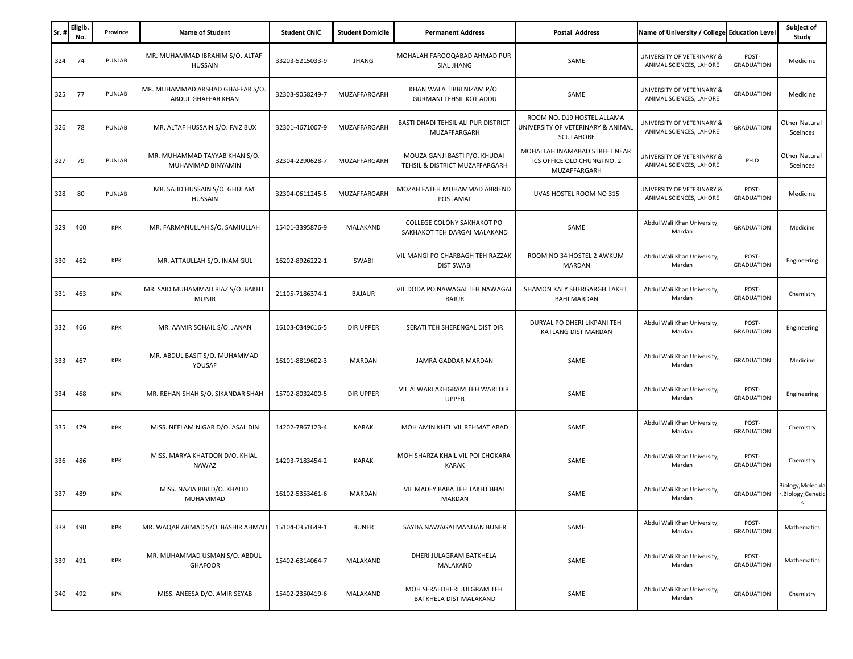| Sr. | Eligib.<br>No. | Province   | <b>Name of Student</b>                                 | <b>Student CNIC</b> | <b>Student Domicile</b> | <b>Permanent Address</b>                                        | <b>Postal Address</b>                                                                 | Name of University / College Education Level          |                            | Subject of<br>Study                    |
|-----|----------------|------------|--------------------------------------------------------|---------------------|-------------------------|-----------------------------------------------------------------|---------------------------------------------------------------------------------------|-------------------------------------------------------|----------------------------|----------------------------------------|
| 324 | 74             | PUNJAB     | MR. MUHAMMAD IBRAHIM S/O. ALTAF<br>HUSSAIN             | 33203-5215033-9     | JHANG                   | MOHALAH FAROOQABAD AHMAD PUR<br>SIAL JHANG                      | SAME                                                                                  | UNIVERSITY OF VETERINARY &<br>ANIMAL SCIENCES, LAHORE | POST-<br><b>GRADUATION</b> | Medicine                               |
| 325 | 77             | PUNJAB     | MR. MUHAMMAD ARSHAD GHAFFAR S/O.<br>ABDUL GHAFFAR KHAN | 32303-9058249-7     | MUZAFFARGARH            | KHAN WALA TIBBI NIZAM P/O.<br><b>GURMANI TEHSIL KOT ADDU</b>    | SAME                                                                                  | UNIVERSITY OF VETERINARY &<br>ANIMAL SCIENCES, LAHORE | <b>GRADUATION</b>          | Medicine                               |
| 326 | 78             | PUNJAB     | MR. ALTAF HUSSAIN S/O. FAIZ BUX                        | 32301-4671007-9     | MUZAFFARGARH            | BASTI DHADI TEHSIL ALI PUR DISTRICT<br>MUZAFFARGARH             | ROOM NO. D19 HOSTEL ALLAMA<br>UNIVERSITY OF VETERINARY & ANIMAL<br><b>SCI. LAHORE</b> | UNIVERSITY OF VETERINARY &<br>ANIMAL SCIENCES, LAHORE | <b>GRADUATION</b>          | <b>Other Natural</b><br>Sceinces       |
| 327 | 79             | PUNJAB     | MR. MUHAMMAD TAYYAB KHAN S/O.<br>MUHAMMAD BINYAMIN     | 32304-2290628-7     | MUZAFFARGARH            | MOUZA GANJI BASTI P/O. KHUDAI<br>TEHSIL & DISTRICT MUZAFFARGARH | MOHALLAH INAMABAD STREET NEAR<br>TCS OFFICE OLD CHUNGI NO. 2<br>MUZAFFARGARH          | UNIVERSITY OF VETERINARY &<br>ANIMAL SCIENCES, LAHORE | PH.D                       | <b>Other Natural</b><br>Sceinces       |
| 328 | 80             | PUNJAB     | MR. SAJID HUSSAIN S/O. GHULAM<br>HUSSAIN               | 32304-0611245-5     | MUZAFFARGARH            | MOZAH FATEH MUHAMMAD ABRIEND<br>POS JAMAL                       | UVAS HOSTEL ROOM NO 315                                                               | UNIVERSITY OF VETERINARY &<br>ANIMAL SCIENCES, LAHORE | POST-<br><b>GRADUATION</b> | Medicine                               |
| 329 | 460            | KPK        | MR. FARMANULLAH S/O. SAMIULLAH                         | 15401-3395876-9     | MALAKAND                | COLLEGE COLONY SAKHAKOT PO<br>SAKHAKOT TEH DARGAI MALAKAND      | SAME                                                                                  | Abdul Wali Khan University,<br>Mardan                 | <b>GRADUATION</b>          | Medicine                               |
| 330 | 462            | KPK        | MR. ATTAULLAH S/O. INAM GUL                            | 16202-8926222-1     | SWABI                   | VIL MANGI PO CHARBAGH TEH RAZZAK<br><b>DIST SWABI</b>           | ROOM NO 34 HOSTEL 2 AWKUM<br>MARDAN                                                   | Abdul Wali Khan University,<br>Mardan                 | POST-<br><b>GRADUATION</b> | Engineering                            |
| 331 | 463            | KPK        | MR. SAID MUHAMMAD RIAZ S/O. BAKHT<br><b>MUNIR</b>      | 21105-7186374-1     | <b>BAJAUR</b>           | VIL DODA PO NAWAGAI TEH NAWAGAI<br><b>BAJUR</b>                 | SHAMON KALY SHERGARGH TAKHT<br><b>BAHI MARDAN</b>                                     | Abdul Wali Khan University,<br>Mardan                 | POST-<br><b>GRADUATION</b> | Chemistry                              |
| 332 | 466            | KPK        | MR. AAMIR SOHAIL S/O. JANAN                            | 16103-0349616-5     | DIR UPPER               | SERATI TEH SHERENGAL DIST DIR                                   | DURYAL PO DHERI LIKPANI TEH<br>KATLANG DIST MARDAN                                    | Abdul Wali Khan University,<br>Mardan                 | POST-<br><b>GRADUATION</b> | Engineering                            |
| 333 | 467            | KPK        | MR. ABDUL BASIT S/O. MUHAMMAD<br>YOUSAF                | 16101-8819602-3     | MARDAN                  | JAMRA GADDAR MARDAN                                             | SAME                                                                                  | Abdul Wali Khan University,<br>Mardan                 | <b>GRADUATION</b>          | Medicine                               |
| 334 | 468            | KPK        | MR. REHAN SHAH S/O. SIKANDAR SHAH                      | 15702-8032400-5     | DIR UPPER               | VIL ALWARI AKHGRAM TEH WARI DIR<br><b>UPPER</b>                 | SAME                                                                                  | Abdul Wali Khan University,<br>Mardan                 | POST-<br><b>GRADUATION</b> | Engineering                            |
| 335 | 479            | KPK        | MISS. NEELAM NIGAR D/O. ASAL DIN                       | 14202-7867123-4     | KARAK                   | MOH AMIN KHEL VIL REHMAT ABAD                                   | SAME                                                                                  | Abdul Wali Khan University,<br>Mardan                 | POST-<br><b>GRADUATION</b> | Chemistry                              |
| 336 | 486            | KPK        | MISS. MARYA KHATOON D/O. KHIAL<br>NAWAZ                | 14203-7183454-2     | KARAK                   | MOH SHARZA KHAIL VIL POI CHOKARA<br>KARAK                       | SAME                                                                                  | Abdul Wali Khan University,<br>Mardan                 | POST-<br><b>GRADUATION</b> | Chemistry                              |
| 337 | 489            | <b>KPK</b> | MISS. NAZIA BIBI D/O. KHALID<br>MUHAMMAD               | 16102-5353461-6     | MARDAN                  | VIL MADEY BABA TEH TAKHT BHAI<br>MARDAN                         | SAME                                                                                  | Abdul Wali Khan University,<br>Mardan                 | <b>GRADUATION</b>          | Biology, Molecula<br>r.Biology,Genetic |
| 338 | 490            | KPK        | MR. WAQAR AHMAD S/O. BASHIR AHMAD                      | 15104-0351649-1     | <b>BUNER</b>            | SAYDA NAWAGAI MANDAN BUNER                                      | SAME                                                                                  | Abdul Wali Khan University,<br>Mardan                 | POST-<br><b>GRADUATION</b> | Mathematics                            |
| 339 | 491            | KPK        | MR. MUHAMMAD USMAN S/O. ABDUL<br><b>GHAFOOR</b>        | 15402-6314064-7     | MALAKAND                | DHERI JULAGRAM BATKHELA<br>MALAKAND                             | SAME                                                                                  | Abdul Wali Khan University,<br>Mardan                 | POST-<br><b>GRADUATION</b> | Mathematics                            |
| 340 | 492            | KPK        | MISS. ANEESA D/O. AMIR SEYAB                           | 15402-2350419-6     | MALAKAND                | MOH SERAI DHERI JULGRAM TEH<br>BATKHELA DIST MALAKAND           | SAME                                                                                  | Abdul Wali Khan University,<br>Mardan                 | <b>GRADUATION</b>          | Chemistry                              |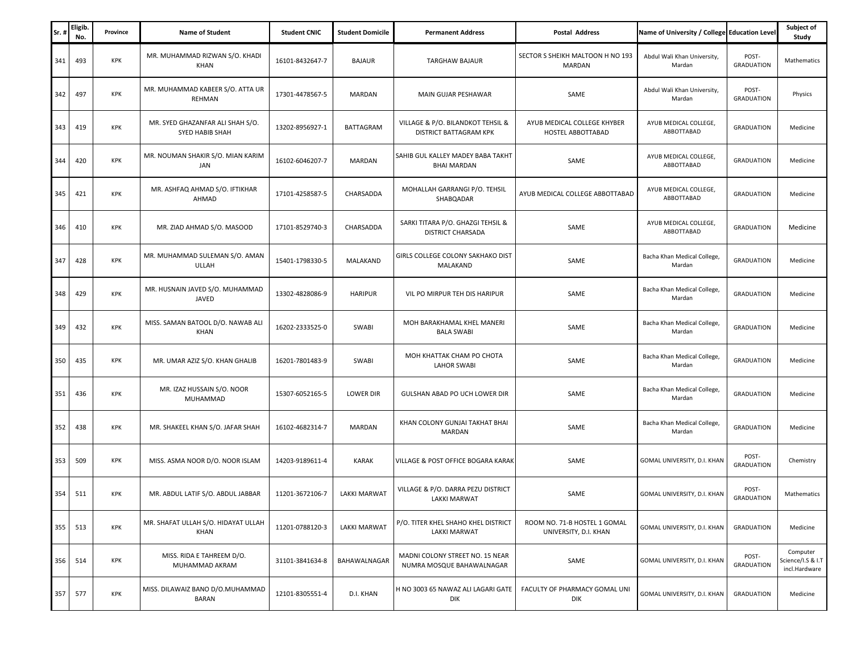| Sr. | <b>Eligib</b><br>No. | Province   | <b>Name of Student</b>                              | <b>Student CNIC</b> | <b>Student Domicile</b> | <b>Permanent Address</b>                                     | <b>Postal Address</b>                                 | Name of University / College Education Level |                            | Subject of<br>Study                            |
|-----|----------------------|------------|-----------------------------------------------------|---------------------|-------------------------|--------------------------------------------------------------|-------------------------------------------------------|----------------------------------------------|----------------------------|------------------------------------------------|
| 341 | 493                  | <b>KPK</b> | MR. MUHAMMAD RIZWAN S/O. KHADI<br>KHAN              | 16101-8432647-7     | <b>BAJAUR</b>           | <b>TARGHAW BAJAUR</b>                                        | SECTOR S SHEIKH MALTOON H NO 193<br>MARDAN            | Abdul Wali Khan University,<br>Mardan        | POST-<br><b>GRADUATION</b> | Mathematics                                    |
| 342 | 497                  | KPK        | MR. MUHAMMAD KABEER S/O. ATTA UR<br>REHMAN          | 17301-4478567-5     | MARDAN                  | MAIN GUJAR PESHAWAR                                          | SAME                                                  | Abdul Wali Khan University,<br>Mardan        | POST-<br><b>GRADUATION</b> | Physics                                        |
| 343 | 419                  | <b>KPK</b> | MR. SYED GHAZANFAR ALI SHAH S/O.<br>SYED HABIB SHAH | 13202-8956927-1     | <b>BATTAGRAM</b>        | VILLAGE & P/O. BILANDKOT TEHSIL &<br>DISTRICT BATTAGRAM KPK  | AYUB MEDICAL COLLEGE KHYBER<br>HOSTEL ABBOTTABAD      | AYUB MEDICAL COLLEGE,<br>ABBOTTABAD          | <b>GRADUATION</b>          | Medicine                                       |
| 344 | 420                  | <b>KPK</b> | MR. NOUMAN SHAKIR S/O. MIAN KARIM<br>JAN            | 16102-6046207-7     | MARDAN                  | SAHIB GUL KALLEY MADEY BABA TAKHT<br><b>BHAI MARDAN</b>      | SAME                                                  | AYUB MEDICAL COLLEGE,<br>ABBOTTABAD          | <b>GRADUATION</b>          | Medicine                                       |
| 345 | 421                  | KPK        | MR. ASHFAQ AHMAD S/O. IFTIKHAR<br>AHMAD             | 17101-4258587-5     | CHARSADDA               | MOHALLAH GARRANGI P/O. TEHSIL<br>SHABQADAR                   | AYUB MEDICAL COLLEGE ABBOTTABAD                       | AYUB MEDICAL COLLEGE,<br>ABBOTTABAD          | <b>GRADUATION</b>          | Medicine                                       |
| 346 | 410                  | KPK        | MR. ZIAD AHMAD S/O. MASOOD                          | 17101-8529740-3     | CHARSADDA               | SARKI TITARA P/O. GHAZGI TEHSIL &<br>DISTRICT CHARSADA       | SAME                                                  | AYUB MEDICAL COLLEGE,<br>ABBOTTABAD          | <b>GRADUATION</b>          | Medicine                                       |
| 347 | 428                  | <b>KPK</b> | MR. MUHAMMAD SULEMAN S/O. AMAN<br>ULLAH             | 15401-1798330-5     | MALAKAND                | GIRLS COLLEGE COLONY SAKHAKO DIST<br>MALAKAND                | SAME                                                  | Bacha Khan Medical College,<br>Mardan        | <b>GRADUATION</b>          | Medicine                                       |
| 348 | 429                  | <b>KPK</b> | MR. HUSNAIN JAVED S/O. MUHAMMAD<br>JAVED            | 13302-4828086-9     | HARIPUR                 | VIL PO MIRPUR TEH DIS HARIPUR                                | SAME                                                  | Bacha Khan Medical College,<br>Mardan        | <b>GRADUATION</b>          | Medicine                                       |
| 349 | 432                  | KPK        | MISS. SAMAN BATOOL D/O. NAWAB ALI<br><b>KHAN</b>    | 16202-2333525-0     | <b>SWABI</b>            | MOH BARAKHAMAL KHEL MANERI<br><b>BALA SWABI</b>              | SAME                                                  | Bacha Khan Medical College,<br>Mardan        | <b>GRADUATION</b>          | Medicine                                       |
| 350 | 435                  | KPK        | MR. UMAR AZIZ S/O. KHAN GHALIB                      | 16201-7801483-9     | <b>SWABI</b>            | MOH KHATTAK CHAM PO CHOTA<br><b>LAHOR SWABI</b>              | SAME                                                  | Bacha Khan Medical College,<br>Mardan        | <b>GRADUATION</b>          | Medicine                                       |
| 351 | 436                  | KPK        | MR. IZAZ HUSSAIN S/O. NOOR<br>MUHAMMAD              | 15307-6052165-5     | <b>LOWER DIR</b>        | GULSHAN ABAD PO UCH LOWER DIR                                | SAME                                                  | Bacha Khan Medical College,<br>Mardan        | <b>GRADUATION</b>          | Medicine                                       |
| 352 | 438                  | KPK        | MR. SHAKEEL KHAN S/O. JAFAR SHAH                    | 16102-4682314-7     | MARDAN                  | KHAN COLONY GUNJAI TAKHAT BHAI<br><b>MARDAN</b>              | SAME                                                  | Bacha Khan Medical College,<br>Mardan        | <b>GRADUATION</b>          | Medicine                                       |
| 353 | 509                  | KPK        | MISS. ASMA NOOR D/O. NOOR ISLAM                     | 14203-9189611-4     | KARAK                   | VILLAGE & POST OFFICE BOGARA KARAK                           | SAME                                                  | GOMAL UNIVERSITY, D.I. KHAN                  | POST-<br><b>GRADUATION</b> | Chemistry                                      |
| 354 | 511                  | KPK        | MR. ABDUL LATIF S/O. ABDUL JABBAR                   | 11201-3672106-7     | <b>LAKKI MARWAT</b>     | VILLAGE & P/O. DARRA PEZU DISTRICT<br>LAKKI MARWAT           | SAME                                                  | GOMAL UNIVERSITY, D.I. KHAN                  | POST-<br><b>GRADUATION</b> | Mathematics                                    |
| 355 | 513                  | KPK        | MR. SHAFAT ULLAH S/O. HIDAYAT ULLAH<br>KHAN         | 11201-0788120-3     | <b>LAKKI MARWAT</b>     | P/O. TITER KHEL SHAHO KHEL DISTRICT<br>LAKKI MARWAT          | ROOM NO. 71-B HOSTEL 1 GOMAL<br>UNIVERSITY, D.I. KHAN | GOMAL UNIVERSITY, D.I. KHAN                  | <b>GRADUATION</b>          | Medicine                                       |
| 356 | 514                  | KPK        | MISS. RIDA E TAHREEM D/O.<br>MUHAMMAD AKRAM         | 31101-3841634-8     | BAHAWALNAGAR            | MADNI COLONY STREET NO. 15 NEAR<br>NUMRA MOSQUE BAHAWALNAGAR | SAME                                                  | GOMAL UNIVERSITY, D.I. KHAN                  | POST-<br><b>GRADUATION</b> | Computer<br>Science/I.S & I.T<br>incl.Hardware |
| 357 | 577                  | KPK        | MISS. DILAWAIZ BANO D/O.MUHAMMAD<br><b>BARAN</b>    | 12101-8305551-4     | D.I. KHAN               | H NO 3003 65 NAWAZ ALI LAGARI GATE<br>DIK                    | FACULTY OF PHARMACY GOMAL UNI<br>DIK                  | GOMAL UNIVERSITY, D.I. KHAN                  | <b>GRADUATION</b>          | Medicine                                       |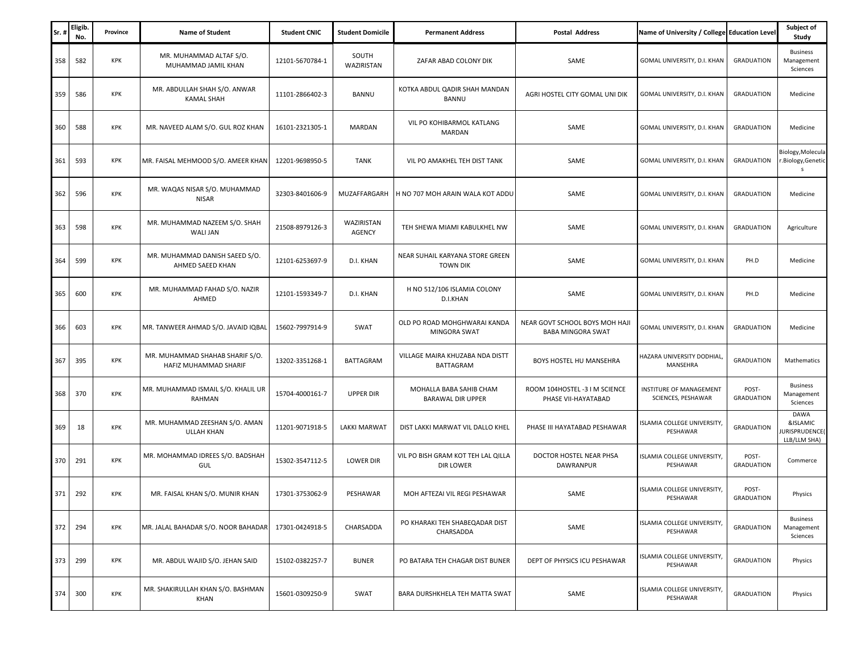| Sr. | <b>Eligib</b><br>No. | Province   | <b>Name of Student</b>                                   | <b>Student CNIC</b> | <b>Student Domicile</b> | <b>Permanent Address</b>                            | Postal Address                                             | Name of University / College Education Level  |                            | Subject of<br>Study                                      |
|-----|----------------------|------------|----------------------------------------------------------|---------------------|-------------------------|-----------------------------------------------------|------------------------------------------------------------|-----------------------------------------------|----------------------------|----------------------------------------------------------|
| 358 | 582                  | KPK        | MR. MUHAMMAD ALTAF S/O.<br>MUHAMMAD JAMIL KHAN           | 12101-5670784-1     | SOUTH<br>WAZIRISTAN     | ZAFAR ABAD COLONY DIK                               | SAME                                                       | GOMAL UNIVERSITY, D.I. KHAN                   | <b>GRADUATION</b>          | <b>Business</b><br>Management<br>Sciences                |
| 359 | 586                  | KPK        | MR. ABDULLAH SHAH S/O. ANWAR<br><b>KAMAL SHAH</b>        | 11101-2866402-3     | BANNU                   | KOTKA ABDUL QADIR SHAH MANDAN<br><b>BANNU</b>       | AGRI HOSTEL CITY GOMAL UNI DIK                             | GOMAL UNIVERSITY, D.I. KHAN                   | <b>GRADUATION</b>          | Medicine                                                 |
| 360 | 588                  | <b>KPK</b> | MR. NAVEED ALAM S/O. GUL ROZ KHAN                        | 16101-2321305-1     | <b>MARDAN</b>           | VIL PO KOHIBARMOL KATLANG<br>MARDAN                 | SAME                                                       | GOMAL UNIVERSITY, D.I. KHAN                   | <b>GRADUATION</b>          | Medicine                                                 |
| 361 | 593                  | KPK        | MR. FAISAL MEHMOOD S/O. AMEER KHAN                       | 12201-9698950-5     | <b>TANK</b>             | VIL PO AMAKHEL TEH DIST TANK                        | SAME                                                       | GOMAL UNIVERSITY, D.I. KHAN                   | <b>GRADUATION</b>          | Biology, Molecula<br>Biology, Genetic<br>s               |
| 362 | 596                  | KPK        | MR. WAQAS NISAR S/O. MUHAMMAD<br><b>NISAR</b>            | 32303-8401606-9     | MUZAFFARGARH            | H NO 707 MOH ARAIN WALA KOT ADDU                    | SAME                                                       | GOMAL UNIVERSITY, D.I. KHAN                   | <b>GRADUATION</b>          | Medicine                                                 |
| 363 | 598                  | KPK        | MR. MUHAMMAD NAZEEM S/O. SHAH<br><b>WALI JAN</b>         | 21508-8979126-3     | WAZIRISTAN<br>AGENCY    | TEH SHEWA MIAMI KABULKHEL NW                        | SAME                                                       | GOMAL UNIVERSITY, D.I. KHAN                   | <b>GRADUATION</b>          | Agriculture                                              |
| 364 | 599                  | KPK        | MR. MUHAMMAD DANISH SAEED S/O.<br>AHMED SAEED KHAN       | 12101-6253697-9     | D.I. KHAN               | NEAR SUHAIL KARYANA STORE GREEN<br><b>TOWN DIK</b>  | SAME                                                       | GOMAL UNIVERSITY, D.I. KHAN                   | PH.D                       | Medicine                                                 |
| 365 | 600                  | KPK        | MR. MUHAMMAD FAHAD S/O. NAZIR<br>AHMED                   | 12101-1593349-7     | D.I. KHAN               | H NO 512/106 ISLAMIA COLONY<br>D.I.KHAN             | SAME                                                       | GOMAL UNIVERSITY, D.I. KHAN                   | PH.D                       | Medicine                                                 |
| 366 | 603                  | <b>KPK</b> | MR. TANWEER AHMAD S/O. JAVAID IQBAL                      | 15602-7997914-9     | SWAT                    | OLD PO ROAD MOHGHWARAI KANDA<br>MINGORA SWAT        | NEAR GOVT SCHOOL BOYS MOH HAJI<br><b>BABA MINGORA SWAT</b> | GOMAL UNIVERSITY, D.I. KHAN                   | <b>GRADUATION</b>          | Medicine                                                 |
| 367 | 395                  | KPK        | MR. MUHAMMAD SHAHAB SHARIF S/O.<br>HAFIZ MUHAMMAD SHARIF | 13202-3351268-1     | <b>BATTAGRAM</b>        | VILLAGE MAIRA KHUZABA NDA DISTT<br>BATTAGRAM        | BOYS HOSTEL HU MANSEHRA                                    | HAZARA UNIVERSITY DODHIAL,<br>MANSEHRA        | <b>GRADUATION</b>          | Mathematics                                              |
| 368 | 370                  | KPK        | MR. MUHAMMAD ISMAIL S/O. KHALIL UR<br>RAHMAN             | 15704-4000161-7     | <b>UPPER DIR</b>        | MOHALLA BABA SAHIB CHAM<br><b>BARAWAL DIR UPPER</b> | ROOM 104HOSTEL -3 I M SCIENCE<br>PHASE VII-HAYATABAD       | INSTITURE OF MANAGEMENT<br>SCIENCES, PESHAWAR | POST-<br><b>GRADUATION</b> | <b>Business</b><br>Management<br>Sciences                |
| 369 | 18                   | KPK        | MR. MUHAMMAD ZEESHAN S/O. AMAN<br><b>ULLAH KHAN</b>      | 11201-9071918-5     | LAKKI MARWAT            | DIST LAKKI MARWAT VIL DALLO KHEL                    | PHASE III HAYATABAD PESHAWAR                               | ISLAMIA COLLEGE UNIVERSITY,<br>PESHAWAR       | <b>GRADUATION</b>          | <b>DAWA</b><br>&ISLAMIC<br>URISPRUDENCE(<br>LLB/LLM SHA) |
| 370 | 291                  | KPK        | MR. MOHAMMAD IDREES S/O. BADSHAH<br>GUL                  | 15302-3547112-5     | <b>LOWER DIR</b>        | VIL PO BISH GRAM KOT TEH LAL QILLA<br>DIR LOWER     | DOCTOR HOSTEL NEAR PHSA<br><b>DAWRANPUR</b>                | ISLAMIA COLLEGE UNIVERSITY,<br>PESHAWAR       | POST-<br><b>GRADUATION</b> | Commerce                                                 |
| 371 | 292                  | <b>KPK</b> | MR. FAISAL KHAN S/O. MUNIR KHAN                          | 17301-3753062-9     | PESHAWAR                | MOH AFTEZAI VIL REGI PESHAWAR                       | SAME                                                       | ISLAMIA COLLEGE UNIVERSITY,<br>PESHAWAR       | POST-<br><b>GRADUATION</b> | Physics                                                  |
| 372 | 294                  | KPK        | MR. JALAL BAHADAR S/O. NOOR BAHADAR                      | 17301-0424918-5     | CHARSADDA               | PO KHARAKI TEH SHABEQADAR DIST<br>CHARSADDA         | SAME                                                       | ISLAMIA COLLEGE UNIVERSITY,<br>PESHAWAR       | <b>GRADUATION</b>          | <b>Business</b><br>Management<br>Sciences                |
| 373 | 299                  | KPK        | MR. ABDUL WAJID S/O. JEHAN SAID                          | 15102-0382257-7     | <b>BUNER</b>            | PO BATARA TEH CHAGAR DIST BUNER                     | DEPT OF PHYSICS ICU PESHAWAR                               | ISLAMIA COLLEGE UNIVERSITY,<br>PESHAWAR       | <b>GRADUATION</b>          | Physics                                                  |
| 374 | 300                  | KPK        | MR. SHAKIRULLAH KHAN S/O. BASHMAN<br>KHAN                | 15601-0309250-9     | SWAT                    | BARA DURSHKHELA TEH MATTA SWAT                      | SAME                                                       | ISLAMIA COLLEGE UNIVERSITY,<br>PESHAWAR       | <b>GRADUATION</b>          | Physics                                                  |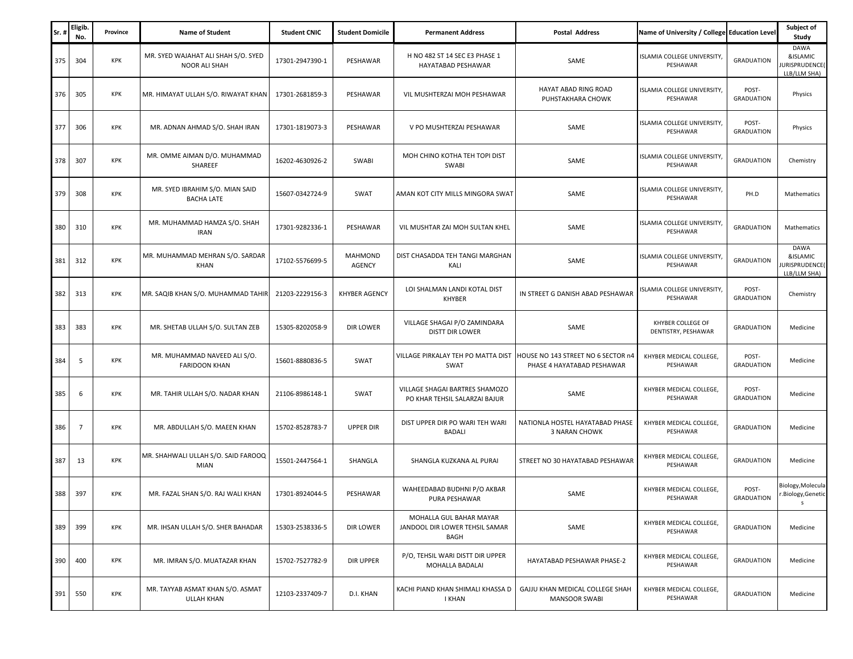| Sr  | Eligib.<br>No. | Province   | <b>Name of Student</b>                                | <b>Student CNIC</b> | <b>Student Domicile</b>         | <b>Permanent Address</b>                                          | <b>Postal Address</b>                                            | Name of University / College Education Level |                            | Subject of<br>Study                               |
|-----|----------------|------------|-------------------------------------------------------|---------------------|---------------------------------|-------------------------------------------------------------------|------------------------------------------------------------------|----------------------------------------------|----------------------------|---------------------------------------------------|
| 375 | 304            | KPK        | MR. SYED WAJAHAT ALI SHAH S/O. SYED<br>NOOR ALI SHAH  | 17301-2947390-1     | PESHAWAR                        | H NO 482 ST 14 SEC E3 PHASE 1<br>HAYATABAD PESHAWAR               | SAME                                                             | ISLAMIA COLLEGE UNIVERSITY,<br>PESHAWAR      | <b>GRADUATION</b>          | DAWA<br>&ISLAMIC<br>URISPRUDENCE(<br>LLB/LLM SHA) |
| 376 | 305            | KPK        | MR. HIMAYAT ULLAH S/O. RIWAYAT KHAN                   | 17301-2681859-3     | PESHAWAR                        | VIL MUSHTERZAI MOH PESHAWAR                                       | HAYAT ABAD RING ROAD<br>PUHSTAKHARA CHOWK                        | ISLAMIA COLLEGE UNIVERSITY,<br>PESHAWAR      | POST-<br><b>GRADUATION</b> | Physics                                           |
| 377 | 306            | KPK        | MR. ADNAN AHMAD S/O. SHAH IRAN                        | 17301-1819073-3     | PESHAWAR                        | V PO MUSHTERZAI PESHAWAR                                          | SAME                                                             | ISLAMIA COLLEGE UNIVERSITY,<br>PESHAWAR      | POST-<br><b>GRADUATION</b> | Physics                                           |
| 378 | 307            | KPK        | MR. OMME AIMAN D/O. MUHAMMAD<br>SHAREEF               | 16202-4630926-2     | SWABI                           | MOH CHINO KOTHA TEH TOPI DIST<br>SWABI                            | SAME                                                             | ISLAMIA COLLEGE UNIVERSITY,<br>PESHAWAR      | <b>GRADUATION</b>          | Chemistry                                         |
| 379 | 308            | <b>KPK</b> | MR. SYED IBRAHIM S/O. MIAN SAID<br><b>BACHA LATE</b>  | 15607-0342724-9     | SWAT                            | AMAN KOT CITY MILLS MINGORA SWAT                                  | SAME                                                             | ISLAMIA COLLEGE UNIVERSITY,<br>PESHAWAR      | PH.D                       | Mathematics                                       |
| 380 | 310            | <b>KPK</b> | MR. MUHAMMAD HAMZA S/O. SHAH<br><b>IRAN</b>           | 17301-9282336-1     | PESHAWAR                        | VIL MUSHTAR ZAI MOH SULTAN KHEL                                   | SAME                                                             | ISLAMIA COLLEGE UNIVERSITY,<br>PESHAWAR      | <b>GRADUATION</b>          | Mathematics                                       |
| 381 | 312            | <b>KPK</b> | MR. MUHAMMAD MEHRAN S/O. SARDAR<br>KHAN               | 17102-5576699-5     | <b>MAHMOND</b><br><b>AGENCY</b> | DIST CHASADDA TEH TANGI MARGHAN<br>KALI                           | SAME                                                             | ISLAMIA COLLEGE UNIVERSITY,<br>PESHAWAR      | <b>GRADUATION</b>          | DAWA<br>&ISLAMIC<br>URISPRUDENCE(<br>LLB/LLM SHA) |
| 382 | 313            | KPK        | MR. SAQIB KHAN S/O. MUHAMMAD TAHIR                    | 21203-2229156-3     | <b>KHYBER AGENCY</b>            | LOI SHALMAN LANDI KOTAL DIST<br><b>KHYBER</b>                     | IN STREET G DANISH ABAD PESHAWAR                                 | SLAMIA COLLEGE UNIVERSITY,<br>PESHAWAR       | POST-<br><b>GRADUATION</b> | Chemistry                                         |
| 383 | 383            | KPK        | MR. SHETAB ULLAH S/O. SULTAN ZEB                      | 15305-8202058-9     | DIR LOWER                       | VILLAGE SHAGAI P/O ZAMINDARA<br><b>DISTT DIR LOWER</b>            | SAME                                                             | KHYBER COLLEGE OF<br>DENTISTRY, PESHAWAR     | <b>GRADUATION</b>          | Medicine                                          |
| 384 | 5              | KPK        | MR. MUHAMMAD NAVEED ALI S/O.<br><b>FARIDOON KHAN</b>  | 15601-8880836-5     | SWAT                            | VILLAGE PIRKALAY TEH PO MATTA DIST<br>SWAT                        | HOUSE NO 143 STREET NO 6 SECTOR n4<br>PHASE 4 HAYATABAD PESHAWAR | KHYBER MEDICAL COLLEGE,<br>PESHAWAR          | POST-<br><b>GRADUATION</b> | Medicine                                          |
| 385 | 6              | <b>KPK</b> | MR. TAHIR ULLAH S/O. NADAR KHAN                       | 21106-8986148-1     | SWAT                            | VILLAGE SHAGAI BARTRES SHAMOZO<br>PO KHAR TEHSIL SALARZAI BAJUR   | SAME                                                             | KHYBER MEDICAL COLLEGE,<br>PESHAWAR          | POST-<br><b>GRADUATION</b> | Medicine                                          |
| 386 | 7              | KPK        | MR. ABDULLAH S/O. MAEEN KHAN                          | 15702-8528783-7     | <b>UPPER DIR</b>                | DIST UPPER DIR PO WARI TEH WARI<br><b>BADALI</b>                  | NATIONLA HOSTEL HAYATABAD PHASE<br><b>3 NARAN CHOWK</b>          | KHYBER MEDICAL COLLEGE<br>PESHAWAR           | <b>GRADUATION</b>          | Medicine                                          |
| 387 | 13             | <b>KPK</b> | MR. SHAHWALI ULLAH S/O. SAID FAROOQ<br>MIAN           | 15501-2447564-1     | SHANGLA                         | SHANGLA KUZKANA AL PURAI                                          | STREET NO 30 HAYATABAD PESHAWAR                                  | KHYBER MEDICAL COLLEGE,<br>PESHAWAR          | <b>GRADUATION</b>          | Medicine                                          |
| 388 | 397            | <b>KPK</b> | MR. FAZAL SHAN S/O. RAJ WALI KHAN                     | 17301-8924044-5     | PESHAWAR                        | WAHEEDABAD BUDHNI P/O AKBAR<br>PURA PESHAWAR                      | SAME                                                             | KHYBER MEDICAL COLLEGE,<br>PESHAWAR          | POST-<br><b>GRADUATION</b> | Biology, Molecula<br>.Biology, Genetic            |
| 389 | 399            | <b>KPK</b> | MR. IHSAN ULLAH S/O. SHER BAHADAR                     | 15303-2538336-5     | DIR LOWER                       | MOHALLA GUL BAHAR MAYAR<br>JANDOOL DIR LOWER TEHSIL SAMAR<br>BAGH | SAME                                                             | KHYBER MEDICAL COLLEGE,<br>PESHAWAR          | <b>GRADUATION</b>          | Medicine                                          |
| 390 | 400            | KPK        | MR. IMRAN S/O. MUATAZAR KHAN                          | 15702-7527782-9     | DIR UPPER                       | P/O, TEHSIL WARI DISTT DIR UPPER<br>MOHALLA BADALAI               | HAYATABAD PESHAWAR PHASE-2                                       | KHYBER MEDICAL COLLEGE,<br>PESHAWAR          | <b>GRADUATION</b>          | Medicine                                          |
| 391 | 550            | <b>KPK</b> | MR. TAYYAB ASMAT KHAN S/O. ASMAT<br><b>ULLAH KHAN</b> | 12103-2337409-7     | D.I. KHAN                       | KACHI PIAND KHAN SHIMALI KHASSA D<br>I KHAN                       | GAJJU KHAN MEDICAL COLLEGE SHAH<br><b>MANSOOR SWABI</b>          | KHYBER MEDICAL COLLEGE,<br>PESHAWAR          | <b>GRADUATION</b>          | Medicine                                          |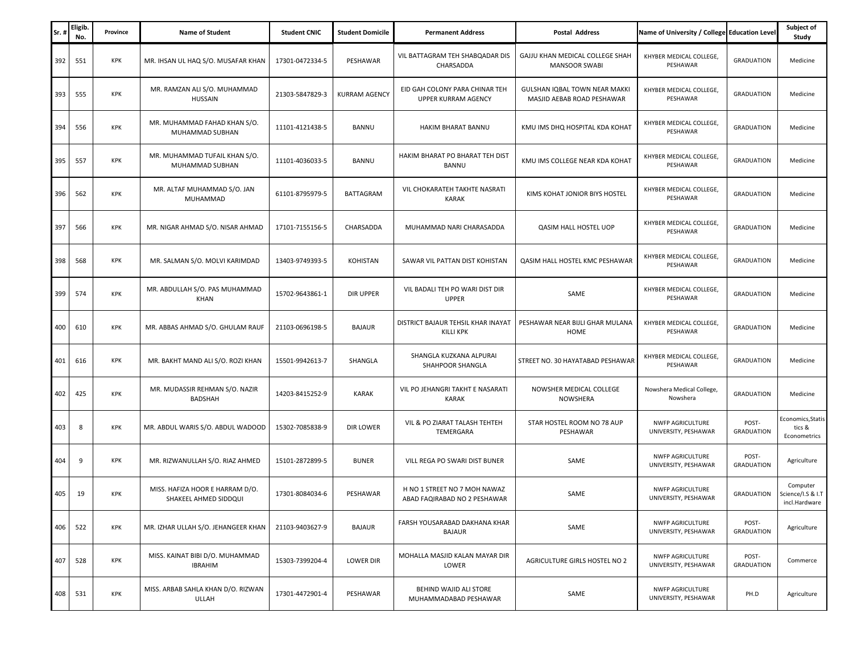| Sr. | <b>Eligib</b><br>No. | Province   | <b>Name of Student</b>                                   | <b>Student CNIC</b> | <b>Student Domicile</b> | <b>Permanent Address</b>                                     | <b>Postal Address</b>                                       | Name of University / College Education Level    |                            | Subject of<br>Study                            |
|-----|----------------------|------------|----------------------------------------------------------|---------------------|-------------------------|--------------------------------------------------------------|-------------------------------------------------------------|-------------------------------------------------|----------------------------|------------------------------------------------|
| 392 | 551                  | KPK        | MR. IHSAN UL HAQ S/O. MUSAFAR KHAN                       | 17301-0472334-5     | PESHAWAR                | VIL BATTAGRAM TEH SHABQADAR DIS<br>CHARSADDA                 | GAJJU KHAN MEDICAL COLLEGE SHAH<br><b>MANSOOR SWABI</b>     | KHYBER MEDICAL COLLEGE,<br>PESHAWAR             | <b>GRADUATION</b>          | Medicine                                       |
| 393 | 555                  | KPK        | MR. RAMZAN ALI S/O. MUHAMMAD<br>HUSSAIN                  | 21303-5847829-3     | <b>KURRAM AGENCY</b>    | EID GAH COLONY PARA CHINAR TEH<br><b>UPPER KURRAM AGENCY</b> | GULSHAN IQBAL TOWN NEAR MAKKI<br>MASJID AEBAB ROAD PESHAWAR | KHYBER MEDICAL COLLEGE,<br>PESHAWAR             | <b>GRADUATION</b>          | Medicine                                       |
| 394 | 556                  | KPK        | MR. MUHAMMAD FAHAD KHAN S/O.<br>MUHAMMAD SUBHAN          | 11101-4121438-5     | <b>BANNU</b>            | HAKIM BHARAT BANNU                                           | KMU IMS DHQ HOSPITAL KDA KOHAT                              | KHYBER MEDICAL COLLEGE,<br>PESHAWAR             | <b>GRADUATION</b>          | Medicine                                       |
| 395 | 557                  | KPK        | MR. MUHAMMAD TUFAIL KHAN S/O.<br>MUHAMMAD SUBHAN         | 11101-4036033-5     | BANNU                   | HAKIM BHARAT PO BHARAT TEH DIST<br>BANNU                     | KMU IMS COLLEGE NEAR KDA KOHAT                              | KHYBER MEDICAL COLLEGE,<br>PESHAWAR             | <b>GRADUATION</b>          | Medicine                                       |
| 396 | 562                  | KPK        | MR. ALTAF MUHAMMAD S/O. JAN<br>MUHAMMAD                  | 61101-8795979-5     | <b>BATTAGRAM</b>        | VIL CHOKARATEH TAKHTE NASRATI<br><b>KARAK</b>                | KIMS KOHAT JONIOR BIYS HOSTEL                               | KHYBER MEDICAL COLLEGE,<br>PESHAWAR             | <b>GRADUATION</b>          | Medicine                                       |
| 397 | 566                  | KPK        | MR. NIGAR AHMAD S/O. NISAR AHMAD                         | 17101-7155156-5     | CHARSADDA               | MUHAMMAD NARI CHARASADDA                                     | QASIM HALL HOSTEL UOP                                       | KHYBER MEDICAL COLLEGE,<br>PESHAWAR             | <b>GRADUATION</b>          | Medicine                                       |
| 398 | 568                  | KPK        | MR. SALMAN S/O. MOLVI KARIMDAD                           | 13403-9749393-5     | <b>KOHISTAN</b>         | SAWAR VIL PATTAN DIST KOHISTAN                               | QASIM HALL HOSTEL KMC PESHAWAR                              | KHYBER MEDICAL COLLEGE,<br>PESHAWAR             | <b>GRADUATION</b>          | Medicine                                       |
| 399 | 574                  | <b>KPK</b> | MR. ABDULLAH S/O. PAS MUHAMMAD<br>KHAN                   | 15702-9643861-1     | DIR UPPER               | VIL BADALI TEH PO WARI DIST DIR<br><b>UPPER</b>              | SAME                                                        | KHYBER MEDICAL COLLEGE,<br>PESHAWAR             | <b>GRADUATION</b>          | Medicine                                       |
| 400 | 610                  | KPK        | MR. ABBAS AHMAD S/O. GHULAM RAUF                         | 21103-0696198-5     | <b>BAJAUR</b>           | DISTRICT BAJAUR TEHSIL KHAR INAYAT<br>KILLI KPK              | PESHAWAR NEAR BIJLI GHAR MULANA<br>HOME                     | KHYBER MEDICAL COLLEGE,<br>PESHAWAR             | <b>GRADUATION</b>          | Medicine                                       |
| 401 | 616                  | KPK        | MR. BAKHT MAND ALI S/O. ROZI KHAN                        | 15501-9942613-7     | SHANGLA                 | SHANGLA KUZKANA ALPURAI<br>SHAHPOOR SHANGLA                  | STREET NO. 30 HAYATABAD PESHAWAR                            | KHYBER MEDICAL COLLEGE,<br>PESHAWAR             | <b>GRADUATION</b>          | Medicine                                       |
| 402 | 425                  | KPK        | MR. MUDASSIR REHMAN S/O. NAZIR<br><b>BADSHAH</b>         | 14203-8415252-9     | <b>KARAK</b>            | VIL PO JEHANGRI TAKHT E NASARATI<br>KARAK                    | NOWSHER MEDICAL COLLEGE<br>NOWSHERA                         | Nowshera Medical College,<br>Nowshera           | <b>GRADUATION</b>          | Medicine                                       |
| 403 | 8                    | KPK        | MR. ABDUL WARIS S/O. ABDUL WADOOD                        | 15302-7085838-9     | DIR LOWER               | VIL & PO ZIARAT TALASH TEHTEH<br>TEMERGARA                   | STAR HOSTEL ROOM NO 78 AUP<br>PESHAWAR                      | <b>NWFP AGRICULTURE</b><br>UNIVERSITY, PESHAWAR | POST-<br><b>GRADUATION</b> | Economics, Statis<br>tics &<br>Econometrics    |
| 404 | 9                    | KPK        | MR. RIZWANULLAH S/O. RIAZ AHMED                          | 15101-2872899-5     | <b>BUNER</b>            | VILL REGA PO SWARI DIST BUNER                                | SAME                                                        | <b>NWFP AGRICULTURE</b><br>UNIVERSITY, PESHAWAR | POST-<br><b>GRADUATION</b> | Agriculture                                    |
| 405 | 19                   | <b>KPK</b> | MISS. HAFIZA HOOR E HARRAM D/O.<br>SHAKEEL AHMED SIDDQUI | 17301-8084034-6     | PESHAWAR                | H NO 1 STREET NO 7 MOH NAWAZ<br>ABAD FAQIRABAD NO 2 PESHAWAR | SAME                                                        | <b>NWFP AGRICULTURE</b><br>UNIVERSITY, PESHAWAR | <b>GRADUATION</b>          | Computer<br>Science/I.S & I.T<br>incl.Hardware |
| 406 | 522                  | KPK        | MR. IZHAR ULLAH S/O. JEHANGEER KHAN                      | 21103-9403627-9     | <b>BAJAUR</b>           | FARSH YOUSARABAD DAKHANA KHAR<br><b>BAJAUR</b>               | SAME                                                        | <b>NWFP AGRICULTURE</b><br>UNIVERSITY, PESHAWAR | POST-<br><b>GRADUATION</b> | Agriculture                                    |
| 407 | 528                  | KPK        | MISS. KAINAT BIBI D/O. MUHAMMAD<br><b>IBRAHIM</b>        | 15303-7399204-4     | <b>LOWER DIR</b>        | MOHALLA MASJID KALAN MAYAR DIR<br>LOWER                      | AGRICULTURE GIRLS HOSTEL NO 2                               | <b>NWFP AGRICULTURE</b><br>UNIVERSITY, PESHAWAR | POST-<br><b>GRADUATION</b> | Commerce                                       |
| 408 | 531                  | KPK        | MISS. ARBAB SAHLA KHAN D/O. RIZWAN<br>ULLAH              | 17301-4472901-4     | PESHAWAR                | BEHIND WAJID ALI STORE<br>MUHAMMADABAD PESHAWAR              | SAME                                                        | <b>NWFP AGRICULTURE</b><br>UNIVERSITY, PESHAWAR | PH.D                       | Agriculture                                    |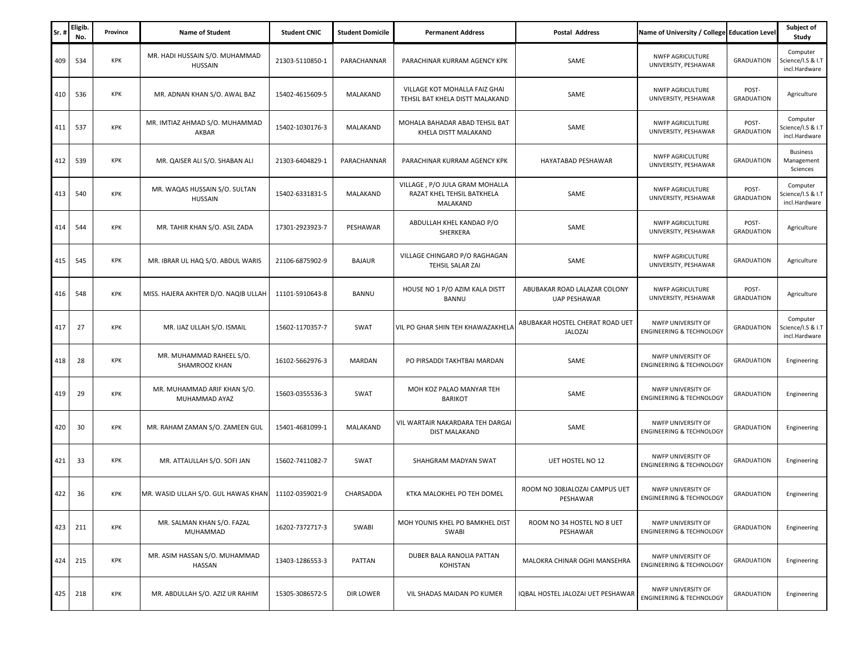| Sr. | Eligib.<br>No. | Province | <b>Name of Student</b>                       | <b>Student CNIC</b> | <b>Student Domicile</b> | <b>Permanent Address</b>                                                 | <b>Postal Address</b>                             | Name of University / College Education Level              |                            | Subject of<br>Study                            |
|-----|----------------|----------|----------------------------------------------|---------------------|-------------------------|--------------------------------------------------------------------------|---------------------------------------------------|-----------------------------------------------------------|----------------------------|------------------------------------------------|
| 409 | 534            | KPK      | MR. HADI HUSSAIN S/O. MUHAMMAD<br>HUSSAIN    | 21303-5110850-1     | PARACHANNAR             | PARACHINAR KURRAM AGENCY KPK                                             | SAME                                              | <b>NWFP AGRICULTURE</b><br>UNIVERSITY, PESHAWAR           | <b>GRADUATION</b>          | Computer<br>Science/I.S & I.T<br>incl.Hardware |
| 410 | 536            | KPK      | MR. ADNAN KHAN S/O. AWAL BAZ                 | 15402-4615609-5     | MALAKAND                | VILLAGE KOT MOHALLA FAIZ GHAI<br>TEHSIL BAT KHELA DISTT MALAKAND         | SAME                                              | <b>NWFP AGRICULTURE</b><br>UNIVERSITY, PESHAWAR           | POST-<br><b>GRADUATION</b> | Agriculture                                    |
| 411 | 537            | KPK      | MR. IMTIAZ AHMAD S/O. MUHAMMAD<br>AKBAR      | 15402-1030176-3     | MALAKAND                | MOHALA BAHADAR ABAD TEHSIL BAT<br>KHELA DISTT MALAKAND                   | SAME                                              | NWFP AGRICULTURE<br>UNIVERSITY, PESHAWAR                  | POST-<br><b>GRADUATION</b> | Computer<br>cience/I.S & I.T<br>incl.Hardware  |
| 412 | 539            | KPK      | MR. QAISER ALI S/O. SHABAN ALI               | 21303-6404829-1     | PARACHANNAR             | PARACHINAR KURRAM AGENCY KPK                                             | HAYATABAD PESHAWAR                                | <b>NWFP AGRICULTURE</b><br>UNIVERSITY, PESHAWAR           | <b>GRADUATION</b>          | <b>Business</b><br>Management<br>Sciences      |
| 413 | 540            | KPK      | MR. WAQAS HUSSAIN S/O. SULTAN<br>HUSSAIN     | 15402-6331831-5     | MALAKAND                | VILLAGE, P/O JULA GRAM MOHALLA<br>RAZAT KHEL TEHSIL BATKHELA<br>MALAKAND | SAME                                              | <b>NWFP AGRICULTURE</b><br>UNIVERSITY, PESHAWAR           | POST-<br><b>GRADUATION</b> | Computer<br>Science/I.S & I.T<br>incl.Hardware |
| 414 | 544            | KPK      | MR. TAHIR KHAN S/O. ASIL ZADA                | 17301-2923923-7     | PESHAWAR                | ABDULLAH KHEL KANDAO P/O<br>SHERKERA                                     | SAME                                              | <b>NWFP AGRICULTURE</b><br>UNIVERSITY, PESHAWAR           | POST-<br><b>GRADUATION</b> | Agriculture                                    |
| 415 | 545            | KPK      | MR. IBRAR UL HAQ S/O. ABDUL WARIS            | 21106-6875902-9     | <b>BAJAUR</b>           | VILLAGE CHINGARO P/O RAGHAGAN<br>TEHSIL SALAR ZAI                        | SAME                                              | <b>NWFP AGRICULTURE</b><br>UNIVERSITY, PESHAWAR           | <b>GRADUATION</b>          | Agriculture                                    |
| 416 | 548            | KPK      | MISS. HAJERA AKHTER D/O. NAQIB ULLAH         | 11101-5910643-8     | BANNU                   | HOUSE NO 1 P/O AZIM KALA DISTT<br><b>BANNU</b>                           | ABUBAKAR ROAD LALAZAR COLONY<br>UAP PESHAWAR      | NWFP AGRICULTURE<br>UNIVERSITY, PESHAWAR                  | POST-<br><b>GRADUATION</b> | Agriculture                                    |
| 417 | 27             | KPK      | MR. IJAZ ULLAH S/O. ISMAIL                   | 15602-1170357-7     | SWAT                    | VIL PO GHAR SHIN TEH KHAWAZAKHELA                                        | ABUBAKAR HOSTEL CHERAT ROAD UET<br><b>JALOZAI</b> | NWFP UNIVERSITY OF<br><b>ENGINEERING &amp; TECHNOLOGY</b> | <b>GRADUATION</b>          | Computer<br>Science/I.S & I.T<br>incl.Hardware |
| 418 | 28             | KPK      | MR. MUHAMMAD RAHEEL S/O.<br>SHAMROOZ KHAN    | 16102-5662976-3     | MARDAN                  | PO PIRSADDI TAKHTBAI MARDAN                                              | SAME                                              | NWFP UNIVERSITY OF<br><b>ENGINEERING &amp; TECHNOLOGY</b> | <b>GRADUATION</b>          | Engineering                                    |
| 419 | 29             | KPK      | MR. MUHAMMAD ARIF KHAN S/O.<br>MUHAMMAD AYAZ | 15603-0355536-3     | SWAT                    | MOH KOZ PALAO MANYAR TEH<br><b>BARIKOT</b>                               | SAME                                              | NWFP UNIVERSITY OF<br><b>ENGINEERING &amp; TECHNOLOGY</b> | <b>GRADUATION</b>          | Engineering                                    |
| 420 | 30             | KPK      | MR. RAHAM ZAMAN S/O. ZAMEEN GUL              | 15401-4681099-1     | MALAKAND                | VIL WARTAIR NAKARDARA TEH DARGAI<br>DIST MALAKAND                        | SAME                                              | NWFP UNIVERSITY OF<br><b>ENGINEERING &amp; TECHNOLOGY</b> | <b>GRADUATION</b>          | Engineering                                    |
| 421 | 33             | KPK      | MR. ATTAULLAH S/O. SOFI JAN                  | 15602-7411082-7     | SWAT                    | SHAHGRAM MADYAN SWAT                                                     | UET HOSTEL NO 12                                  | NWFP UNIVERSITY OF<br><b>ENGINEERING &amp; TECHNOLOGY</b> | <b>GRADUATION</b>          | Engineering                                    |
| 422 | 36             | KPK      | MR. WASID ULLAH S/O. GUL HAWAS KHAN          | 11102-0359021-9     | CHARSADDA               | KTKA MALOKHEL PO TEH DOMEL                                               | ROOM NO 308JALOZAI CAMPUS UET<br>PESHAWAR         | NWFP UNIVERSITY OF<br><b>ENGINEERING &amp; TECHNOLOGY</b> | <b>GRADUATION</b>          | Engineering                                    |
| 423 | 211            | KPK      | MR. SALMAN KHAN S/O. FAZAL<br>MUHAMMAD       | 16202-7372717-3     | SWABI                   | MOH YOUNIS KHEL PO BAMKHEL DIST<br>SWABI                                 | ROOM NO 34 HOSTEL NO 8 UET<br>PESHAWAR            | NWFP UNIVERSITY OF<br><b>ENGINEERING &amp; TECHNOLOGY</b> | <b>GRADUATION</b>          | Engineering                                    |
| 424 | 215            | KPK      | MR. ASIM HASSAN S/O. MUHAMMAD<br>HASSAN      | 13403-1286553-3     | PATTAN                  | DUBER BALA RANOLIA PATTAN<br>KOHISTAN                                    | MALOKRA CHINAR OGHI MANSEHRA                      | NWFP UNIVERSITY OF<br><b>ENGINEERING &amp; TECHNOLOGY</b> | <b>GRADUATION</b>          | Engineering                                    |
| 425 | 218            | KPK      | MR. ABDULLAH S/O. AZIZ UR RAHIM              | 15305-3086572-5     | <b>DIR LOWER</b>        | VIL SHADAS MAIDAN PO KUMER                                               | IQBAL HOSTEL JALOZAI UET PESHAWAR                 | NWFP UNIVERSITY OF<br><b>ENGINEERING &amp; TECHNOLOGY</b> | <b>GRADUATION</b>          | Engineering                                    |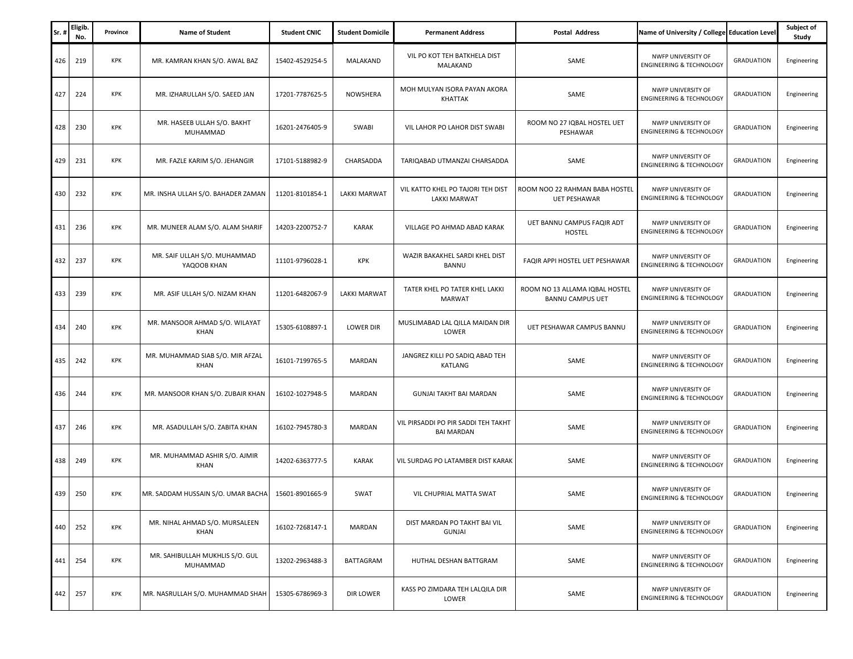| Sr. | Eligib.<br>No. | Province   | <b>Name of Student</b>                      | <b>Student CNIC</b> | <b>Student Domicile</b> | <b>Permanent Address</b>                                 | <b>Postal Address</b>                                     | Name of University / College Education Level              |                   | Subject of<br>Study |
|-----|----------------|------------|---------------------------------------------|---------------------|-------------------------|----------------------------------------------------------|-----------------------------------------------------------|-----------------------------------------------------------|-------------------|---------------------|
|     | 426<br>219     | <b>KPK</b> | MR. KAMRAN KHAN S/O. AWAL BAZ               | 15402-4529254-5     | MALAKAND                | VIL PO KOT TEH BATKHELA DIST<br>MALAKAND                 | SAME                                                      | NWFP UNIVERSITY OF<br><b>ENGINEERING &amp; TECHNOLOGY</b> | <b>GRADUATION</b> | Engineering         |
|     | 427<br>224     | KPK        | MR. IZHARULLAH S/O. SAEED JAN               | 17201-7787625-5     | <b>NOWSHERA</b>         | MOH MULYAN ISORA PAYAN AKORA<br>KHATTAK                  | SAME                                                      | NWFP UNIVERSITY OF<br><b>ENGINEERING &amp; TECHNOLOGY</b> | <b>GRADUATION</b> | Engineering         |
|     | 428<br>230     | <b>KPK</b> | MR. HASEEB ULLAH S/O. BAKHT<br>MUHAMMAD     | 16201-2476405-9     | SWABI                   | VIL LAHOR PO LAHOR DIST SWABI                            | ROOM NO 27 IQBAL HOSTEL UET<br>PESHAWAR                   | NWFP UNIVERSITY OF<br><b>ENGINEERING &amp; TECHNOLOGY</b> | <b>GRADUATION</b> | Engineering         |
|     | 429<br>231     | KPK        | MR. FAZLE KARIM S/O. JEHANGIR               | 17101-5188982-9     | CHARSADDA               | TARIQABAD UTMANZAI CHARSADDA                             | SAME                                                      | NWFP UNIVERSITY OF<br><b>ENGINEERING &amp; TECHNOLOGY</b> | <b>GRADUATION</b> | Engineering         |
|     | 430<br>232     | KPK        | MR. INSHA ULLAH S/O. BAHADER ZAMAN          | 11201-8101854-1     | <b>LAKKI MARWAT</b>     | VIL KATTO KHEL PO TAJORI TEH DIST<br>LAKKI MARWAT        | ROOM NOO 22 RAHMAN BABA HOSTEL<br><b>UET PESHAWAR</b>     | NWFP UNIVERSITY OF<br><b>ENGINEERING &amp; TECHNOLOGY</b> | <b>GRADUATION</b> | Engineering         |
|     | 431<br>236     | KPK        | MR. MUNEER ALAM S/O. ALAM SHARIF            | 14203-2200752-7     | <b>KARAK</b>            | VILLAGE PO AHMAD ABAD KARAK                              | UET BANNU CAMPUS FAQIR ADT<br><b>HOSTEL</b>               | NWFP UNIVERSITY OF<br><b>ENGINEERING &amp; TECHNOLOGY</b> | <b>GRADUATION</b> | Engineering         |
|     | 432<br>237     | <b>KPK</b> | MR. SAIF ULLAH S/O. MUHAMMAD<br>YAQOOB KHAN | 11101-9796028-1     | KPK                     | WAZIR BAKAKHEL SARDI KHEL DIST<br>BANNU                  | FAQIR APPI HOSTEL UET PESHAWAR                            | NWFP UNIVERSITY OF<br><b>ENGINEERING &amp; TECHNOLOGY</b> | <b>GRADUATION</b> | Engineering         |
|     | 433<br>239     | <b>KPK</b> | MR. ASIF ULLAH S/O. NIZAM KHAN              | 11201-6482067-9     | <b>LAKKI MARWAT</b>     | TATER KHEL PO TATER KHEL LAKKI<br><b>MARWAT</b>          | ROOM NO 13 ALLAMA IQBAL HOSTEL<br><b>BANNU CAMPUS UET</b> | NWFP UNIVERSITY OF<br><b>ENGINEERING &amp; TECHNOLOGY</b> | <b>GRADUATION</b> | Engineering         |
|     | 434<br>240     | KPK        | MR. MANSOOR AHMAD S/O. WILAYAT<br>KHAN      | 15305-6108897-1     | <b>LOWER DIR</b>        | MUSLIMABAD LAL QILLA MAIDAN DIR<br>LOWER                 | UET PESHAWAR CAMPUS BANNU                                 | NWFP UNIVERSITY OF<br><b>ENGINEERING &amp; TECHNOLOGY</b> | <b>GRADUATION</b> | Engineering         |
|     | 435<br>242     | KPK        | MR. MUHAMMAD SIAB S/O. MIR AFZAL<br>KHAN    | 16101-7199765-5     | MARDAN                  | JANGREZ KILLI PO SADIQ ABAD TEH<br>KATLANG               | SAME                                                      | NWFP UNIVERSITY OF<br><b>ENGINEERING &amp; TECHNOLOGY</b> | <b>GRADUATION</b> | Engineering         |
|     | 436<br>244     | KPK        | MR. MANSOOR KHAN S/O. ZUBAIR KHAN           | 16102-1027948-5     | MARDAN                  | GUNJAI TAKHT BAI MARDAN                                  | SAME                                                      | NWFP UNIVERSITY OF<br><b>ENGINEERING &amp; TECHNOLOGY</b> | <b>GRADUATION</b> | Engineering         |
|     | 437<br>246     | KPK        | MR. ASADULLAH S/O. ZABITA KHAN              | 16102-7945780-3     | MARDAN                  | VIL PIRSADDI PO PIR SADDI TEH TAKHT<br><b>BAI MARDAN</b> | SAME                                                      | NWFP UNIVERSITY OF<br><b>ENGINEERING &amp; TECHNOLOGY</b> | <b>GRADUATION</b> | Engineering         |
|     | 438<br>249     | <b>KPK</b> | MR. MUHAMMAD ASHIR S/O. AJMIR<br>KHAN       | 14202-6363777-5     | <b>KARAK</b>            | VIL SURDAG PO LATAMBER DIST KARAK                        | SAME                                                      | NWFP UNIVERSITY OF<br><b>ENGINEERING &amp; TECHNOLOGY</b> | <b>GRADUATION</b> | Engineering         |
|     | 439<br>250     | <b>KPK</b> | MR. SADDAM HUSSAIN S/O. UMAR BACHA          | 15601-8901665-9     | SWAT                    | VIL CHUPRIAL MATTA SWAT                                  | SAME                                                      | NWFP UNIVERSITY OF<br><b>ENGINEERING &amp; TECHNOLOGY</b> | <b>GRADUATION</b> | Engineering         |
|     | 252<br>440     | KPK        | MR. NIHAL AHMAD S/O. MURSALEEN<br>KHAN      | 16102-7268147-1     | MARDAN                  | DIST MARDAN PO TAKHT BAI VIL<br><b>GUNJAI</b>            | SAME                                                      | NWFP UNIVERSITY OF<br><b>ENGINEERING &amp; TECHNOLOGY</b> | <b>GRADUATION</b> | Engineering         |
|     | 441<br>254     | KPK        | MR. SAHIBULLAH MUKHLIS S/O. GUL<br>MUHAMMAD | 13202-2963488-3     | BATTAGRAM               | HUTHAL DESHAN BATTGRAM                                   | SAME                                                      | NWFP UNIVERSITY OF<br><b>ENGINEERING &amp; TECHNOLOGY</b> | <b>GRADUATION</b> | Engineering         |
|     | 442<br>257     | KPK        | MR. NASRULLAH S/O. MUHAMMAD SHAH            | 15305-6786969-3     | <b>DIR LOWER</b>        | KASS PO ZIMDARA TEH LALQILA DIR<br>LOWER                 | SAME                                                      | NWFP UNIVERSITY OF<br><b>ENGINEERING &amp; TECHNOLOGY</b> | <b>GRADUATION</b> | Engineering         |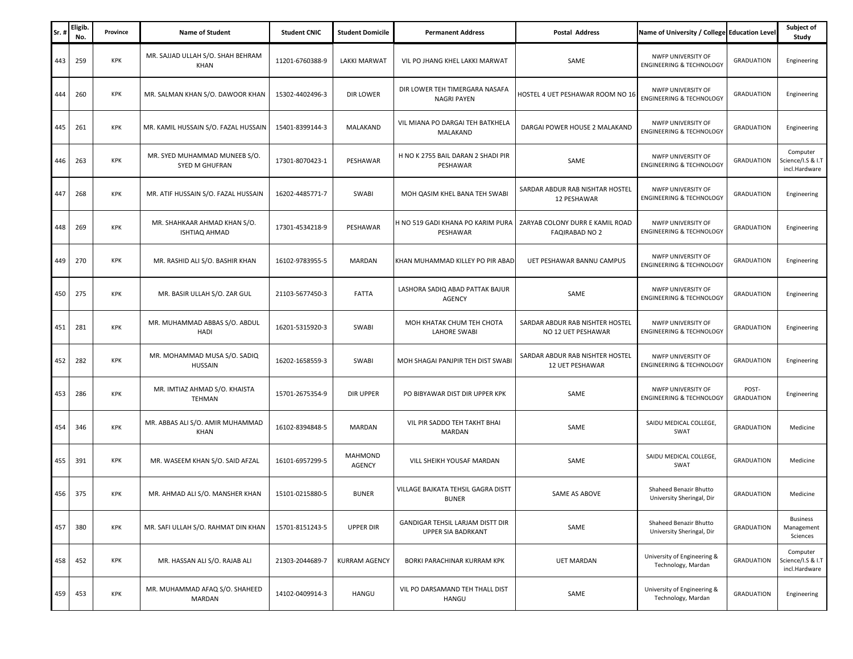| Sr  | Eligib.<br>No. | Province   | <b>Name of Student</b>                               | <b>Student CNIC</b> | <b>Student Domicile</b>         | <b>Permanent Address</b>                                      | <b>Postal Address</b>                                    | Name of University / College Education Level              |                            | Subject of<br>Study                            |
|-----|----------------|------------|------------------------------------------------------|---------------------|---------------------------------|---------------------------------------------------------------|----------------------------------------------------------|-----------------------------------------------------------|----------------------------|------------------------------------------------|
| 443 | 259            | <b>KPK</b> | MR. SAJJAD ULLAH S/O. SHAH BEHRAM<br><b>KHAN</b>     | 11201-6760388-9     | <b>LAKKI MARWAT</b>             | VIL PO JHANG KHEL LAKKI MARWAT                                | SAME                                                     | NWFP UNIVERSITY OF<br><b>ENGINEERING &amp; TECHNOLOGY</b> | <b>GRADUATION</b>          | Engineering                                    |
| 444 | 260            | KPK        | MR. SALMAN KHAN S/O. DAWOOR KHAN                     | 15302-4402496-3     | DIR LOWER                       | DIR LOWER TEH TIMERGARA NASAFA<br><b>NAGRI PAYEN</b>          | HOSTEL 4 UET PESHAWAR ROOM NO 16                         | NWFP UNIVERSITY OF<br><b>ENGINEERING &amp; TECHNOLOGY</b> | <b>GRADUATION</b>          | Engineering                                    |
| 445 | 261            | KPK        | MR. KAMIL HUSSAIN S/O. FAZAL HUSSAIN                 | 15401-8399144-3     | MALAKAND                        | VIL MIANA PO DARGAI TEH BATKHELA<br>MALAKAND                  | DARGAI POWER HOUSE 2 MALAKAND                            | NWFP UNIVERSITY OF<br><b>ENGINEERING &amp; TECHNOLOGY</b> | <b>GRADUATION</b>          | Engineering                                    |
| 446 | 263            | KPK        | MR. SYED MUHAMMAD MUNEEB S/O.<br>SYED M GHUFRAN      | 17301-8070423-1     | PESHAWAR                        | H NO K 2755 BAIL DARAN 2 SHADI PIR<br>PESHAWAR                | SAME                                                     | NWFP UNIVERSITY OF<br><b>ENGINEERING &amp; TECHNOLOGY</b> | <b>GRADUATION</b>          | Computer<br>Science/I.S & I.T<br>incl.Hardware |
| 447 | 268            | KPK        | MR. ATIF HUSSAIN S/O. FAZAL HUSSAIN                  | 16202-4485771-7     | <b>SWABI</b>                    | MOH QASIM KHEL BANA TEH SWABI                                 | SARDAR ABDUR RAB NISHTAR HOSTEL<br>12 PESHAWAR           | NWFP UNIVERSITY OF<br><b>ENGINEERING &amp; TECHNOLOGY</b> | <b>GRADUATION</b>          | Engineering                                    |
| 448 | 269            | KPK        | MR. SHAHKAAR AHMAD KHAN S/O.<br><b>ISHTIAO AHMAD</b> | 17301-4534218-9     | PESHAWAR                        | H NO 519 GADI KHANA PO KARIM PURA<br>PESHAWAR                 | ZARYAB COLONY DURR E KAMIL ROAD<br><b>FAQIRABAD NO 2</b> | NWFP UNIVERSITY OF<br><b>ENGINEERING &amp; TECHNOLOGY</b> | <b>GRADUATION</b>          | Engineering                                    |
| 449 | 270            | KPK        | MR. RASHID ALI S/O. BASHIR KHAN                      | 16102-9783955-5     | MARDAN                          | KHAN MUHAMMAD KILLEY PO PIR ABAD                              | UET PESHAWAR BANNU CAMPUS                                | NWFP UNIVERSITY OF<br><b>ENGINEERING &amp; TECHNOLOGY</b> | <b>GRADUATION</b>          | Engineering                                    |
| 450 | 275            | KPK        | MR. BASIR ULLAH S/O. ZAR GUL                         | 21103-5677450-3     | <b>FATTA</b>                    | LASHORA SADIQ ABAD PATTAK BAJUR<br><b>AGENCY</b>              | SAME                                                     | NWFP UNIVERSITY OF<br><b>ENGINEERING &amp; TECHNOLOGY</b> | <b>GRADUATION</b>          | Engineering                                    |
| 451 | 281            | KPK        | MR. MUHAMMAD ABBAS S/O. ABDUL<br>HADI                | 16201-5315920-3     | <b>SWABI</b>                    | MOH KHATAK CHUM TEH CHOTA<br>LAHORE SWABI                     | SARDAR ABDUR RAB NISHTER HOSTEL<br>NO 12 UET PESHAWAR    | NWFP UNIVERSITY OF<br><b>ENGINEERING &amp; TECHNOLOGY</b> | <b>GRADUATION</b>          | Engineering                                    |
| 452 | 282            | KPK        | MR. MOHAMMAD MUSA S/O. SADIQ<br>HUSSAIN              | 16202-1658559-3     | SWABI                           | MOH SHAGAI PANJPIR TEH DIST SWABI                             | SARDAR ABDUR RAB NISHTER HOSTEL<br>12 UET PESHAWAR       | NWFP UNIVERSITY OF<br><b>ENGINEERING &amp; TECHNOLOGY</b> | <b>GRADUATION</b>          | Engineering                                    |
| 453 | 286            | KPK        | MR. IMTIAZ AHMAD S/O. KHAISTA<br><b>TEHMAN</b>       | 15701-2675354-9     | <b>DIR UPPER</b>                | PO BIBYAWAR DIST DIR UPPER KPK                                | SAME                                                     | NWFP UNIVERSITY OF<br><b>ENGINEERING &amp; TECHNOLOGY</b> | POST-<br><b>GRADUATION</b> | Engineering                                    |
| 454 | 346            | KPK        | MR. ABBAS ALI S/O. AMIR MUHAMMAD<br><b>KHAN</b>      | 16102-8394848-5     | MARDAN                          | VIL PIR SADDO TEH TAKHT BHAI<br>MARDAN                        | SAME                                                     | SAIDU MEDICAL COLLEGE,<br>SWAT                            | <b>GRADUATION</b>          | Medicine                                       |
| 455 | 391            | KPK        | MR. WASEEM KHAN S/O. SAID AFZAL                      | 16101-6957299-5     | <b>MAHMOND</b><br><b>AGENCY</b> | VILL SHEIKH YOUSAF MARDAN                                     | SAME                                                     | SAIDU MEDICAL COLLEGE,<br>SWAT                            | <b>GRADUATION</b>          | Medicine                                       |
| 456 | 375            | <b>KPK</b> | MR. AHMAD ALI S/O. MANSHER KHAN                      | 15101-0215880-5     | <b>BUNER</b>                    | VILLAGE BAJKATA TEHSIL GAGRA DISTT<br><b>BUNER</b>            | SAME AS ABOVE                                            | Shaheed Benazir Bhutto<br>University Sheringal, Dir       | <b>GRADUATION</b>          | Medicine                                       |
| 457 | 380            | KPK        | MR. SAFI ULLAH S/O. RAHMAT DIN KHAN                  | 15701-8151243-5     | <b>UPPER DIR</b>                | GANDIGAR TEHSIL LARJAM DISTT DIR<br><b>UPPER SIA BADRKANT</b> | SAME                                                     | Shaheed Benazir Bhutto<br>University Sheringal, Dir       | <b>GRADUATION</b>          | <b>Business</b><br>Management<br>Sciences      |
| 458 | 452            | KPK        | MR. HASSAN ALI S/O. RAJAB ALI                        | 21303-2044689-7     | <b>KURRAM AGENCY</b>            | BORKI PARACHINAR KURRAM KPK                                   | <b>UET MARDAN</b>                                        | University of Engineering &<br>Technology, Mardan         | <b>GRADUATION</b>          | Computer<br>Science/I.S & I.T<br>incl.Hardware |
| 459 | 453            | KPK        | MR. MUHAMMAD AFAQ S/O. SHAHEED<br>MARDAN             | 14102-0409914-3     | <b>HANGU</b>                    | VIL PO DARSAMAND TEH THALL DIST<br>HANGU                      | SAME                                                     | University of Engineering &<br>Technology, Mardan         | <b>GRADUATION</b>          | Engineering                                    |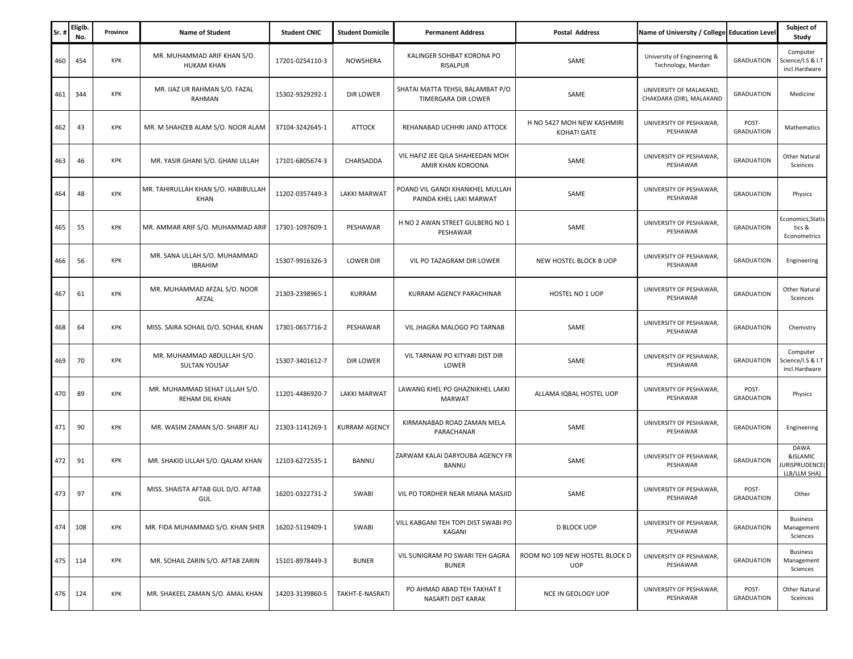| Sr  | Eligib.<br>No. | Province   | <b>Name of Student</b>                             | <b>Student CNIC</b> | <b>Student Domicile</b> | <b>Permanent Address</b>                                   | <b>Postal Address</b>                        | Name of University / College Education Level        |                            | Subject of<br>Study                               |
|-----|----------------|------------|----------------------------------------------------|---------------------|-------------------------|------------------------------------------------------------|----------------------------------------------|-----------------------------------------------------|----------------------------|---------------------------------------------------|
| 460 | 454            | <b>KPK</b> | MR. MUHAMMAD ARIF KHAN S/O.<br><b>HUKAM KHAN</b>   | 17201-0254110-3     | <b>NOWSHERA</b>         | KALINGER SOHBAT KORONA PO<br><b>RISALPUR</b>               | SAME                                         | University of Engineering &<br>Technology, Mardan   | <b>GRADUATION</b>          | Computer<br>Science/I.S & I.T<br>incl.Hardware    |
| 461 | 344            | <b>KPK</b> | MR. IJAZ UR RAHMAN S/O. FAZAL<br>RAHMAN            | 15302-9329292-1     | DIR LOWER               | SHATAI MATTA TEHSIL BALAMBAT P/O<br>TIMERGARA DIR LOWER    | SAME                                         | UNIVERSITY OF MALAKAND,<br>CHAKDARA (DIR), MALAKAND | <b>GRADUATION</b>          | Medicine                                          |
| 462 | 43             | KPK        | MR. M SHAHZEB ALAM S/O. NOOR ALAM                  | 37104-3242645-1     | <b>ATTOCK</b>           | REHANABAD UCHHRI JAND ATTOCK                               | H NO 5427 MOH NEW KASHMIRI<br>KOHATI GATE    | UNIVERSITY OF PESHAWAR,<br>PESHAWAR                 | POST-<br><b>GRADUATION</b> | Mathematics                                       |
| 463 | 46             | KPK        | MR. YASIR GHANI S/O. GHANI ULLAH                   | 17101-6805674-3     | CHARSADDA               | VIL HAFIZ JEE QILA SHAHEEDAN MOH<br>AMIR KHAN KOROONA      | SAME                                         | UNIVERSITY OF PESHAWAR,<br>PESHAWAR                 | <b>GRADUATION</b>          | Other Natural<br>Sceinces                         |
| 464 | 48             | <b>KPK</b> | MR. TAHIRULLAH KHAN S/O. HABIBULLAH<br><b>KHAN</b> | 11202-0357449-3     | <b>LAKKI MARWAT</b>     | POAND VIL GANDI KHANKHEL MULLAH<br>PAINDA KHEL LAKI MARWAT | SAME                                         | UNIVERSITY OF PESHAWAR,<br>PESHAWAR                 | <b>GRADUATION</b>          | Physics                                           |
| 465 | 55             | KPK        | MR. AMMAR ARIF S/O. MUHAMMAD ARIF                  | 17301-1097609-1     | PESHAWAR                | H NO 2 AWAN STREET GULBERG NO 1<br>PESHAWAR                | SAME                                         | UNIVERSITY OF PESHAWAR,<br>PESHAWAR                 | <b>GRADUATION</b>          | Economics, Statis<br>tics &<br>Econometrics       |
| 466 | 56             | KPK        | MR. SANA ULLAH S/O. MUHAMMAD<br><b>IBRAHIM</b>     | 15307-9916326-3     | <b>LOWER DIR</b>        | VIL PO TAZAGRAM DIR LOWER                                  | NEW HOSTEL BLOCK B UOP                       | UNIVERSITY OF PESHAWAR,<br>PESHAWAR                 | <b>GRADUATION</b>          | Engineering                                       |
| 467 | 61             | <b>KPK</b> | MR. MUHAMMAD AFZAL S/O. NOOR<br>AFZAL              | 21303-2398965-1     | KURRAM                  | KURRAM AGENCY PARACHINAR                                   | HOSTEL NO 1 UOP                              | UNIVERSITY OF PESHAWAR,<br>PESHAWAR                 | <b>GRADUATION</b>          | Other Natural<br>Sceinces                         |
| 468 | 64             | KPK        | MISS. SAIRA SOHAIL D/O. SOHAIL KHAN                | 17301-0657716-2     | PESHAWAR                | VIL JHAGRA MALOGO PO TARNAB                                | SAME                                         | UNIVERSITY OF PESHAWAR,<br>PESHAWAR                 | <b>GRADUATION</b>          | Chemistry                                         |
| 469 | 70             | KPK        | MR. MUHAMMAD ABDULLAH S/O.<br>SULTAN YOUSAF        | 15307-3401612-7     | <b>DIR LOWER</b>        | VIL TARNAW PO KITYARI DIST DIR<br>LOWER                    | SAME                                         | UNIVERSITY OF PESHAWAR,<br>PESHAWAR                 | <b>GRADUATION</b>          | Computer<br>Science/I.S & I.T<br>incl.Hardware    |
| 470 | 89             | KPK        | MR. MUHAMMAD SEHAT ULLAH S/O.<br>REHAM DIL KHAN    | 11201-4486920-7     | <b>LAKKI MARWAT</b>     | LAWANG KHEL PO GHAZNIKHEL LAKKI<br><b>MARWAT</b>           | ALLAMA IQBAL HOSTEL UOP                      | UNIVERSITY OF PESHAWAR,<br>PESHAWAR                 | POST-<br><b>GRADUATION</b> | Physics                                           |
| 471 | 90             | KPK        | MR. WASIM ZAMAN S/O. SHARIF ALI                    | 21303-1141269-1     | <b>KURRAM AGENCY</b>    | KIRMANABAD ROAD ZAMAN MELA<br>PARACHANAR                   | SAME                                         | UNIVERSITY OF PESHAWAR,<br>PESHAWAR                 | <b>GRADUATION</b>          | Engineering                                       |
| 472 | 91             | KPK        | MR. SHAKID ULLAH S/O. QALAM KHAN                   | 12103-6272535-1     | BANNU                   | ZARWAM KALAI DARYOUBA AGENCY FR<br><b>BANNU</b>            | SAME                                         | UNIVERSITY OF PESHAWAR,<br>PESHAWAR                 | <b>GRADUATION</b>          | DAWA<br>&ISLAMIC<br>URISPRUDENCE(<br>LLB/LLM SHA) |
| 473 | 97             | <b>KPK</b> | MISS. SHAISTA AFTAB GUL D/O. AFTAB<br>GUL          | 16201-0322731-2     | SWABI                   | VIL PO TORDHER NEAR MIANA MASJID                           | SAME                                         | UNIVERSITY OF PESHAWAR,<br>PESHAWAR                 | POST-<br><b>GRADUATION</b> | Other                                             |
| 474 | 108            | KPK        | MR. FIDA MUHAMMAD S/O. KHAN SHER                   | 16202-5119409-1     | SWABI                   | VILL KABGANI TEH TOPI DIST SWABI PO<br>KAGANI              | <b>D BLOCK UOP</b>                           | UNIVERSITY OF PESHAWAR,<br>PESHAWAR                 | <b>GRADUATION</b>          | <b>Business</b><br>Management<br>Sciences         |
| 475 | 114            | KPK        | MR. SOHAIL ZARIN S/O. AFTAB ZARIN                  | 15101-8978449-3     | <b>BUNER</b>            | VIL SUNIGRAM PO SWARI TEH GAGRA<br><b>BUNER</b>            | ROOM NO 109 NEW HOSTEL BLOCK D<br><b>UOP</b> | UNIVERSITY OF PESHAWAR,<br>PESHAWAR                 | <b>GRADUATION</b>          | <b>Business</b><br>Management<br>Sciences         |
| 476 | 124            | KPK        | MR. SHAKEEL ZAMAN S/O. AMAL KHAN                   | 14203-3139860-5     | TAKHT-E-NASRATI         | PO AHMAD ABAD TEH TAKHAT E<br>NASARTI DIST KARAK           | NCE IN GEOLOGY UOP                           | UNIVERSITY OF PESHAWAR,<br>PESHAWAR                 | POST-<br><b>GRADUATION</b> | Other Natural<br>Sceinces                         |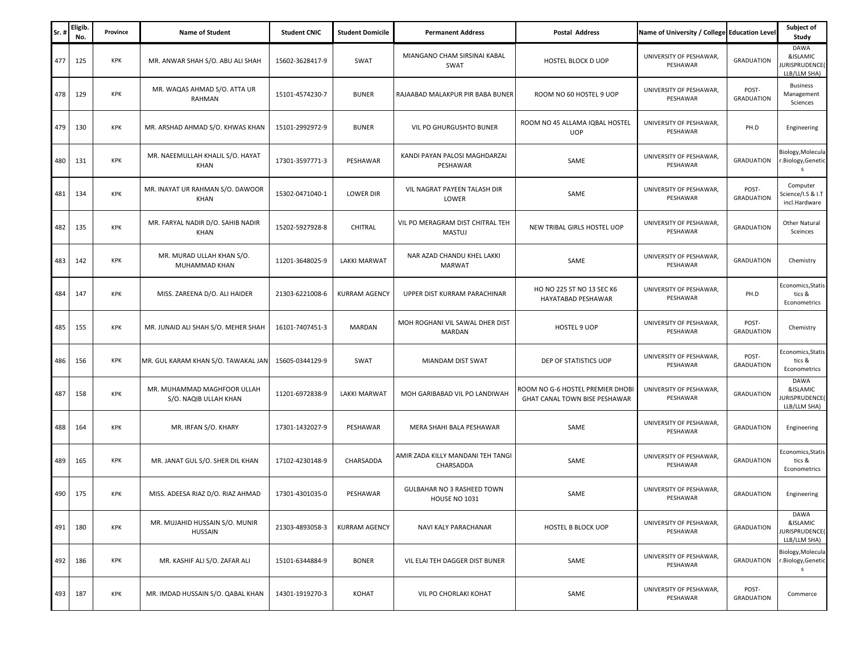| Sr  | Eligib.<br>No. | Province   | <b>Name of Student</b>                               | <b>Student CNIC</b> | <b>Student Domicile</b> | <b>Permanent Address</b>                                  | <b>Postal Address</b>                                             | Name of University / College Education Level |                            | Subject of<br>Study                               |
|-----|----------------|------------|------------------------------------------------------|---------------------|-------------------------|-----------------------------------------------------------|-------------------------------------------------------------------|----------------------------------------------|----------------------------|---------------------------------------------------|
| 477 | 125            | KPK        | MR. ANWAR SHAH S/O. ABU ALI SHAH                     | 15602-3628417-9     | SWAT                    | MIANGANO CHAM SIRSINAI KABAL<br>SWAT                      | HOSTEL BLOCK D UOP                                                | UNIVERSITY OF PESHAWAR,<br>PESHAWAR          | <b>GRADUATION</b>          | DAWA<br>&ISLAMIC<br>URISPRUDENCE(<br>LLB/LLM SHA) |
| 478 | 129            | <b>KPK</b> | MR. WAQAS AHMAD S/O. ATTA UR<br>RAHMAN               | 15101-4574230-7     | <b>BUNER</b>            | RAJAABAD MALAKPUR PIR BABA BUNER                          | ROOM NO 60 HOSTEL 9 UOP                                           | UNIVERSITY OF PESHAWAR,<br>PESHAWAR          | POST-<br><b>GRADUATION</b> | <b>Business</b><br>Management<br>Sciences         |
| 479 | 130            | KPK        | MR. ARSHAD AHMAD S/O. KHWAS KHAN                     | 15101-2992972-9     | <b>BUNER</b>            | VIL PO GHURGUSHTO BUNER                                   | ROOM NO 45 ALLAMA IQBAL HOSTEL<br><b>UOP</b>                      | UNIVERSITY OF PESHAWAR,<br>PESHAWAR          | PH.D                       | Engineering                                       |
| 480 | 131            | <b>KPK</b> | MR. NAEEMULLAH KHALIL S/O. HAYAT<br>KHAN             | 17301-3597771-3     | PESHAWAR                | KANDI PAYAN PALOSI MAGHDARZAI<br>PESHAWAR                 | SAME                                                              | UNIVERSITY OF PESHAWAR.<br>PESHAWAR          | <b>GRADUATION</b>          | Biology, Molecula<br>.Biology, Genetic<br>s       |
| 481 | 134            | KPK        | MR. INAYAT UR RAHMAN S/O. DAWOOR<br><b>KHAN</b>      | 15302-0471040-1     | <b>LOWER DIR</b>        | VIL NAGRAT PAYEEN TALASH DIR<br>LOWER                     | SAME                                                              | UNIVERSITY OF PESHAWAR,<br>PESHAWAR          | POST-<br><b>GRADUATION</b> | Computer<br>Science/I.S & I.T<br>incl.Hardware    |
| 482 | 135            | KPK        | MR. FARYAL NADIR D/O. SAHIB NADIR<br><b>KHAN</b>     | 15202-5927928-8     | CHITRAL                 | VIL PO MERAGRAM DIST CHITRAL TEH<br>MASTUJ                | NEW TRIBAL GIRLS HOSTEL UOP                                       | UNIVERSITY OF PESHAWAR,<br>PESHAWAR          | <b>GRADUATION</b>          | Other Natural<br>Sceinces                         |
| 483 | 142            | KPK        | MR. MURAD ULLAH KHAN S/O.<br>MUHAMMAD KHAN           | 11201-3648025-9     | <b>LAKKI MARWAT</b>     | NAR AZAD CHANDU KHEL LAKKI<br><b>MARWAT</b>               | SAME                                                              | UNIVERSITY OF PESHAWAR,<br>PESHAWAR          | <b>GRADUATION</b>          | Chemistry                                         |
| 484 | 147            | KPK        | MISS. ZAREENA D/O. ALI HAIDER                        | 21303-6221008-6     | <b>KURRAM AGENCY</b>    | UPPER DIST KURRAM PARACHINAR                              | HO NO 225 ST NO 13 SEC K6<br>HAYATABAD PESHAWAR                   | UNIVERSITY OF PESHAWAR,<br>PESHAWAR          | PH.D                       | Economics, Statis<br>tics &<br>Econometrics       |
| 485 | 155            | KPK        | MR. JUNAID ALI SHAH S/O. MEHER SHAH                  | 16101-7407451-3     | MARDAN                  | MOH ROGHANI VIL SAWAL DHER DIST<br>MARDAN                 | HOSTEL 9 UOP                                                      | UNIVERSITY OF PESHAWAR,<br>PESHAWAR          | POST-<br><b>GRADUATION</b> | Chemistry                                         |
| 486 | 156            | KPK        | MR. GUL KARAM KHAN S/O. TAWAKAL JAN                  | 15605-0344129-9     | SWAT                    | MIANDAM DIST SWAT                                         | DEP OF STATISTICS UOP                                             | UNIVERSITY OF PESHAWAR,<br>PESHAWAR          | POST-<br><b>GRADUATION</b> | Economics, Statis<br>tics &<br>Econometrics       |
| 487 | 158            | KPK        | MR. MUHAMMAD MAGHFOOR ULLAH<br>S/O. NAQIB ULLAH KHAN | 11201-6972838-9     | <b>LAKKI MARWAT</b>     | MOH GARIBABAD VIL PO LANDIWAH                             | ROOM NO G-6 HOSTEL PREMIER DHOBI<br>GHAT CANAL TOWN BISE PESHAWAR | UNIVERSITY OF PESHAWAR,<br>PESHAWAR          | <b>GRADUATION</b>          | DAWA<br>&ISLAMIC<br>URISPRUDENCE(<br>LLB/LLM SHA) |
| 488 | 164            | KPK        | MR. IRFAN S/O. KHARY                                 | 17301-1432027-9     | PESHAWAR                | MERA SHAHI BALA PESHAWAR                                  | SAME                                                              | UNIVERSITY OF PESHAWAR,<br>PESHAWAR          | <b>GRADUATION</b>          | Engineering                                       |
| 489 | 165            | KPK        | MR. JANAT GUL S/O. SHER DIL KHAN                     | 17102-4230148-9     | CHARSADDA               | AMIR ZADA KILLY MANDANI TEH TANGI<br>CHARSADDA            | SAME                                                              | UNIVERSITY OF PESHAWAR,<br>PESHAWAR          | <b>GRADUATION</b>          | Economics, Statis<br>tics &<br>Econometrics       |
| 490 | 175            | <b>KPK</b> | MISS. ADEESA RIAZ D/O. RIAZ AHMAD                    | 17301-4301035-0     | PESHAWAR                | <b>GULBAHAR NO 3 RASHEED TOWN</b><br><b>HOUSE NO 1031</b> | SAME                                                              | UNIVERSITY OF PESHAWAR<br>PESHAWAR           | <b>GRADUATION</b>          | Engineering                                       |
| 491 | 180            | KPK        | MR. MUJAHID HUSSAIN S/O. MUNIR<br><b>HUSSAIN</b>     | 21303-4893058-3     | <b>KURRAM AGENCY</b>    | NAVI KALY PARACHANAR                                      | <b>HOSTEL B BLOCK UOP</b>                                         | UNIVERSITY OF PESHAWAR,<br>PESHAWAR          | <b>GRADUATION</b>          | DAWA<br>&ISLAMIC<br>URISPRUDENCE(<br>LLB/LLM SHA) |
| 492 | 186            | KPK        | MR. KASHIF ALI S/O. ZAFAR ALI                        | 15101-6344884-9     | <b>BONER</b>            | VIL ELAI TEH DAGGER DIST BUNER                            | SAME                                                              | UNIVERSITY OF PESHAWAR,<br>PESHAWAR          | <b>GRADUATION</b>          | Biology, Molecula<br>.Biology, Genetic<br>s       |
| 493 | 187            | KPK        | MR. IMDAD HUSSAIN S/O. QABAL KHAN                    | 14301-1919270-3     | KOHAT                   | VIL PO CHORLAKI KOHAT                                     | SAME                                                              | UNIVERSITY OF PESHAWAR,<br>PESHAWAR          | POST-<br><b>GRADUATION</b> | Commerce                                          |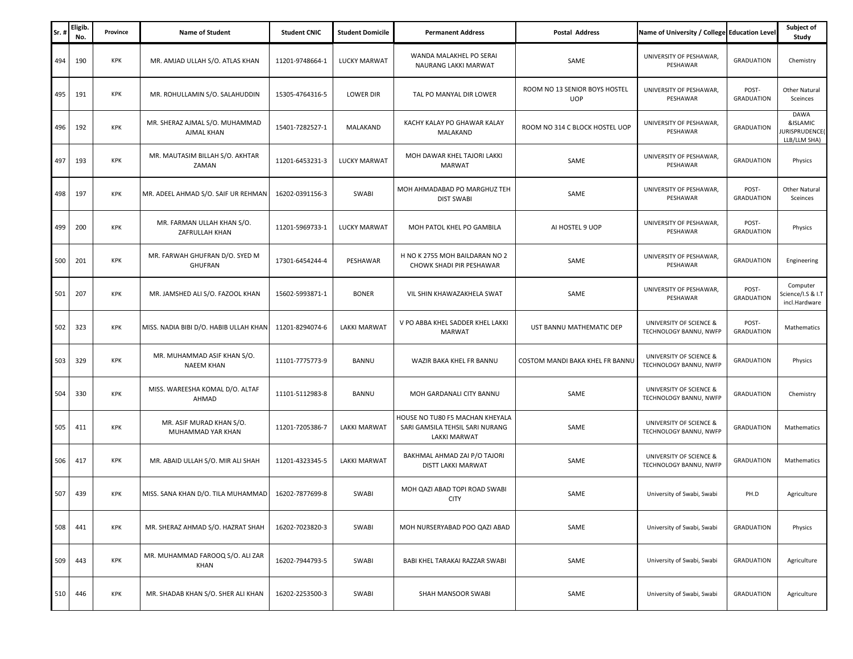| Sr. | Eligib.<br>No. | Province   | <b>Name of Student</b>                           | <b>Student CNIC</b> | <b>Student Domicile</b> | <b>Permanent Address</b>                                                           | <b>Postal Address</b>                       | Name of University / College Education Level      |                            | Subject of<br>Study                                     |
|-----|----------------|------------|--------------------------------------------------|---------------------|-------------------------|------------------------------------------------------------------------------------|---------------------------------------------|---------------------------------------------------|----------------------------|---------------------------------------------------------|
| 494 | 190            | <b>KPK</b> | MR. AMJAD ULLAH S/O. ATLAS KHAN                  | 11201-9748664-1     | LUCKY MARWAT            | WANDA MALAKHEL PO SERAI<br>NAURANG LAKKI MARWAT                                    | SAME                                        | UNIVERSITY OF PESHAWAR,<br>PESHAWAR               | <b>GRADUATION</b>          | Chemistry                                               |
| 495 | 191            | KPK        | MR. ROHULLAMIN S/O. SALAHUDDIN                   | 15305-4764316-5     | <b>LOWER DIR</b>        | TAL PO MANYAL DIR LOWER                                                            | ROOM NO 13 SENIOR BOYS HOSTEL<br><b>UOP</b> | UNIVERSITY OF PESHAWAR,<br>PESHAWAR               | POST-<br><b>GRADUATION</b> | Other Natural<br>Sceinces                               |
| 496 | 192            | <b>KPK</b> | MR. SHERAZ AJMAL S/O. MUHAMMAD<br>AJMAL KHAN     | 15401-7282527-1     | MALAKAND                | KACHY KALAY PO GHAWAR KALAY<br>MALAKAND                                            | ROOM NO 314 C BLOCK HOSTEL UOP              | UNIVERSITY OF PESHAWAR<br>PESHAWAR                | <b>GRADUATION</b>          | <b>DAWA</b><br>&ISLAMIC<br>URISPRUDENCE<br>LLB/LLM SHA) |
| 497 | 193            | KPK        | MR. MAUTASIM BILLAH S/O. AKHTAR<br>ZAMAN         | 11201-6453231-3     | <b>LUCKY MARWAT</b>     | MOH DAWAR KHEL TAJORI LAKKI<br><b>MARWAT</b>                                       | SAME                                        | UNIVERSITY OF PESHAWAR.<br>PESHAWAR               | <b>GRADUATION</b>          | Physics                                                 |
| 498 | 197            | KPK        | MR. ADEEL AHMAD S/O. SAIF UR REHMAN              | 16202-0391156-3     | SWABI                   | MOH AHMADABAD PO MARGHUZ TEH<br><b>DIST SWABI</b>                                  | SAME                                        | UNIVERSITY OF PESHAWAR,<br>PESHAWAR               | POST-<br><b>GRADUATION</b> | Other Natural<br>Sceinces                               |
| 499 | 200            | <b>KPK</b> | MR. FARMAN ULLAH KHAN S/O.<br>ZAFRULLAH KHAN     | 11201-5969733-1     | LUCKY MARWAT            | MOH PATOL KHEL PO GAMBILA                                                          | AI HOSTEL 9 UOP                             | UNIVERSITY OF PESHAWAR,<br>PESHAWAR               | POST-<br><b>GRADUATION</b> | Physics                                                 |
| 500 | 201            | KPK        | MR. FARWAH GHUFRAN D/O. SYED M<br><b>GHUFRAN</b> | 17301-6454244-4     | PESHAWAR                | H NO K 2755 MOH BAILDARAN NO 2<br>CHOWK SHADI PIR PESHAWAR                         | SAME                                        | UNIVERSITY OF PESHAWAR,<br>PESHAWAR               | <b>GRADUATION</b>          | Engineering                                             |
| 501 | 207            | <b>KPK</b> | MR. JAMSHED ALI S/O. FAZOOL KHAN                 | 15602-5993871-1     | <b>BONER</b>            | VIL SHIN KHAWAZAKHELA SWAT                                                         | SAME                                        | UNIVERSITY OF PESHAWAR,<br>PESHAWAR               | POST-<br><b>GRADUATION</b> | Computer<br>Science/I.S & I.T<br>incl.Hardware          |
| 502 | 323            | <b>KPK</b> | MISS. NADIA BIBI D/O. HABIB ULLAH KHAN           | 11201-8294074-6     | <b>LAKKI MARWAT</b>     | V PO ABBA KHEL SADDER KHEL LAKKI<br><b>MARWAT</b>                                  | UST BANNU MATHEMATIC DEP                    | UNIVERSITY OF SCIENCE &<br>TECHNOLOGY BANNU, NWFP | POST-<br><b>GRADUATION</b> | Mathematics                                             |
| 503 | 329            | <b>KPK</b> | MR. MUHAMMAD ASIF KHAN S/O.<br><b>NAEEM KHAN</b> | 11101-7775773-9     | BANNU                   | WAZIR BAKA KHEL FR BANNU                                                           | COSTOM MANDI BAKA KHEL FR BANNU             | UNIVERSITY OF SCIENCE &<br>TECHNOLOGY BANNU, NWFP | <b>GRADUATION</b>          | Physics                                                 |
| 504 | 330            | KPK        | MISS. WAREESHA KOMAL D/O. ALTAF<br>AHMAD         | 11101-5112983-8     | <b>BANNU</b>            | MOH GARDANALI CITY BANNU                                                           | SAME                                        | UNIVERSITY OF SCIENCE &<br>TECHNOLOGY BANNU, NWFP | <b>GRADUATION</b>          | Chemistry                                               |
| 505 | 411            | <b>KPK</b> | MR. ASIF MURAD KHAN S/O.<br>MUHAMMAD YAR KHAN    | 11201-7205386-7     | <b>LAKKI MARWAT</b>     | HOUSE NO TU80 F5 MACHAN KHEYALA<br>SARI GAMSILA TEHSIL SARI NURANG<br>LAKKI MARWAT | SAME                                        | UNIVERSITY OF SCIENCE &<br>TECHNOLOGY BANNU, NWFP | <b>GRADUATION</b>          | Mathematics                                             |
| 506 | 417            | KPK        | MR. ABAID ULLAH S/O. MIR ALI SHAH                | 11201-4323345-5     | <b>LAKKI MARWAT</b>     | BAKHMAL AHMAD ZAI P/O TAJORI<br>DISTT LAKKI MARWAT                                 | SAME                                        | UNIVERSITY OF SCIENCE &<br>TECHNOLOGY BANNU, NWFP | <b>GRADUATION</b>          | Mathematics                                             |
| 507 | 439            | <b>KPK</b> | MISS. SANA KHAN D/O. TILA MUHAMMAD               | 16202-7877699-8     | SWABI                   | MOH QAZI ABAD TOPI ROAD SWABI<br><b>CITY</b>                                       | SAME                                        | University of Swabi, Swabi                        | PH.D                       | Agriculture                                             |
| 508 | 441            | <b>KPK</b> | MR. SHERAZ AHMAD S/O. HAZRAT SHAH                | 16202-7023820-3     | SWABI                   | MOH NURSERYABAD POO QAZI ABAD                                                      | SAME                                        | University of Swabi, Swabi                        | <b>GRADUATION</b>          | Physics                                                 |
| 509 | 443            | KPK        | MR. MUHAMMAD FAROOQ S/O. ALI ZAR<br>KHAN         | 16202-7944793-5     | SWABI                   | BABI KHEL TARAKAI RAZZAR SWABI                                                     | SAME                                        | University of Swabi, Swabi                        | <b>GRADUATION</b>          | Agriculture                                             |
| 510 | 446            | KPK        | MR. SHADAB KHAN S/O. SHER ALI KHAN               | 16202-2253500-3     | SWABI                   | SHAH MANSOOR SWABI                                                                 | SAME                                        | University of Swabi, Swabi                        | <b>GRADUATION</b>          | Agriculture                                             |